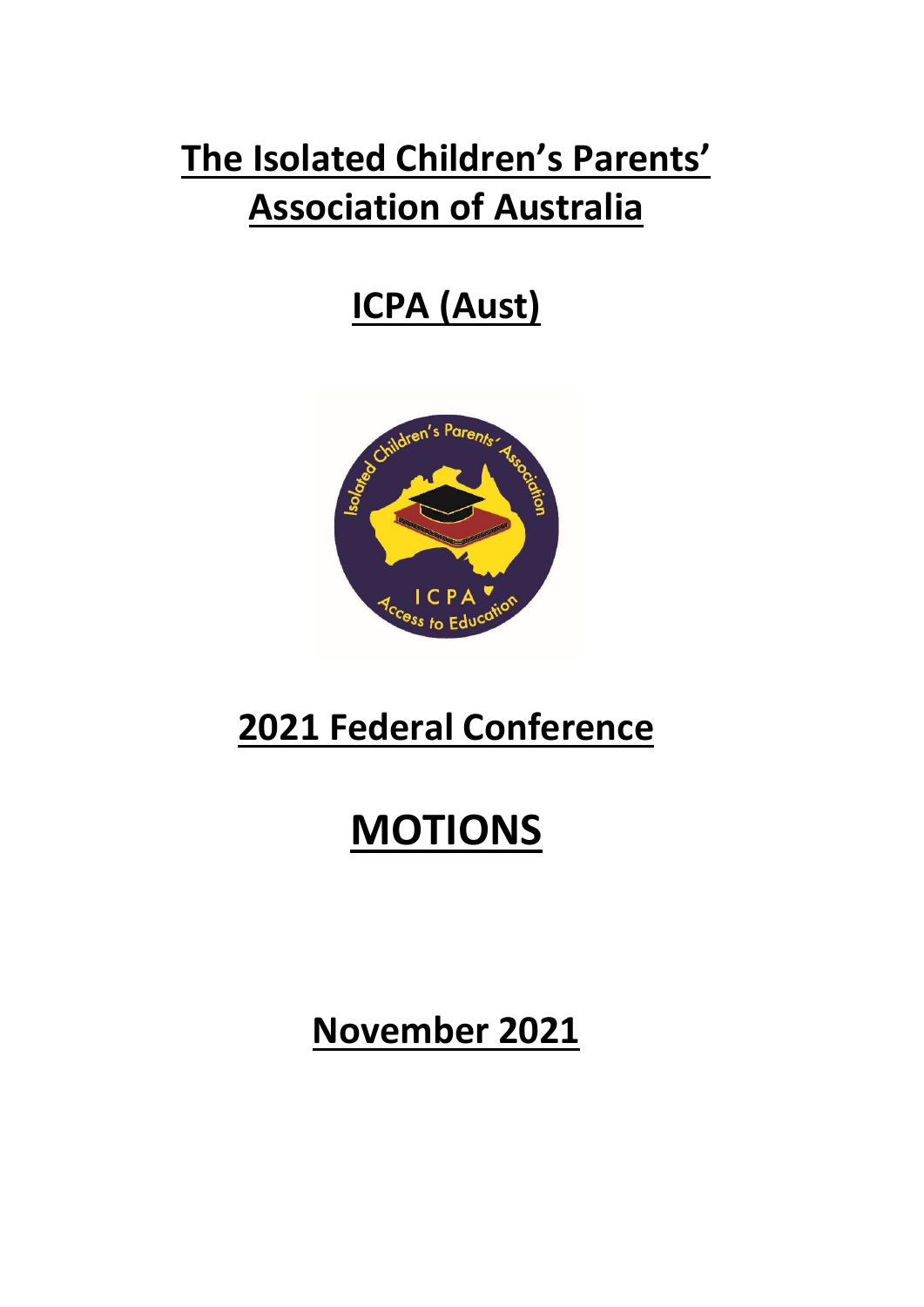# **The Isolated Children's Parents' Association of Australia**

# **ICPA (Aust)**



# **2021 Federal Conference**

# **MOTIONS**

**November 2021**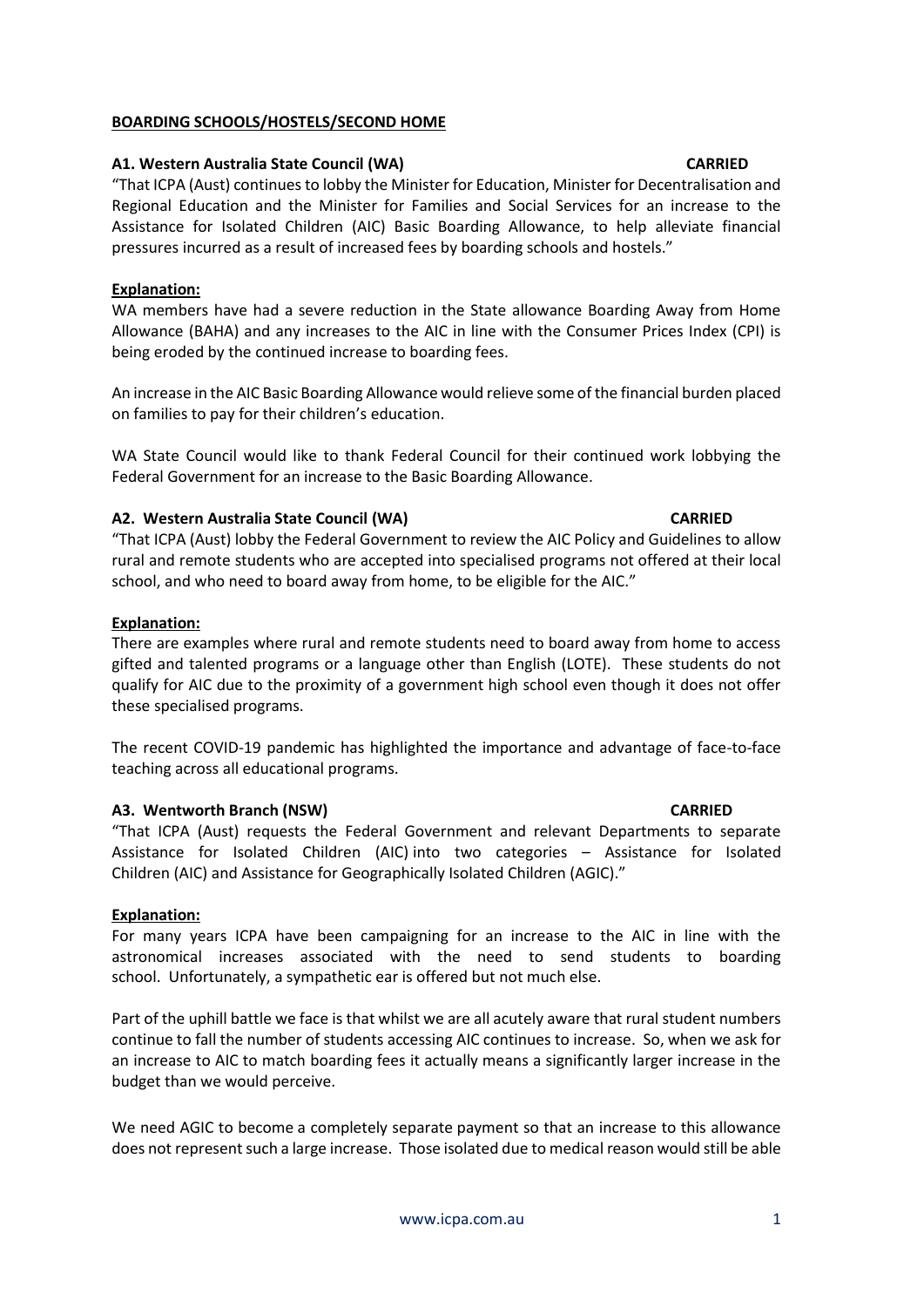#### [www.icpa.com.au](http://www.icpa.com.au/) 1

# **A1. Western Australia State Council (WA) CARRIED**

**BOARDING SCHOOLS/HOSTELS/SECOND HOME**

"That ICPA (Aust) continues to lobby the Minister for Education, Minister for Decentralisation and Regional Education and the Minister for Families and Social Services for an increase to the Assistance for Isolated Children (AIC) Basic Boarding Allowance, to help alleviate financial pressures incurred as a result of increased fees by boarding schools and hostels."

### **Explanation:**

WA members have had a severe reduction in the State allowance Boarding Away from Home Allowance (BAHA) and any increases to the AIC in line with the Consumer Prices Index (CPI) is being eroded by the continued increase to boarding fees.

An increase in the AIC Basic Boarding Allowance would relieve some of the financial burden placed on families to pay for their children's education.

WA State Council would like to thank Federal Council for their continued work lobbying the Federal Government for an increase to the Basic Boarding Allowance.

### **A2. Western Australia State Council (WA) CARRIED**

"That ICPA (Aust) lobby the Federal Government to review the AIC Policy and Guidelines to allow rural and remote students who are accepted into specialised programs not offered at their local school, and who need to board away from home, to be eligible for the AIC."

#### **Explanation:**

There are examples where rural and remote students need to board away from home to access gifted and talented programs or a language other than English (LOTE). These students do not qualify for AIC due to the proximity of a government high school even though it does not offer these specialised programs.

The recent COVID-19 pandemic has highlighted the importance and advantage of face-to-face teaching across all educational programs.

### **A3. Wentworth Branch (NSW) CARRIED**

"That ICPA (Aust) requests the Federal Government and relevant Departments to separate Assistance for Isolated Children (AIC) into two categories – Assistance for Isolated Children (AIC) and Assistance for Geographically Isolated Children (AGIC)."

### **Explanation:**

For many years ICPA have been campaigning for an increase to the AIC in line with the astronomical increases associated with the need to send students to boarding school. Unfortunately, a sympathetic ear is offered but not much else.

Part of the uphill battle we face is that whilst we are all acutely aware that rural student numbers continue to fall the number of students accessing AIC continues to increase. So, when we ask for an increase to AIC to match boarding fees it actually means a significantly larger increase in the budget than we would perceive.

We need AGIC to become a completely separate payment so that an increase to this allowance does not represent such a large increase. Those isolated due to medical reason would still be able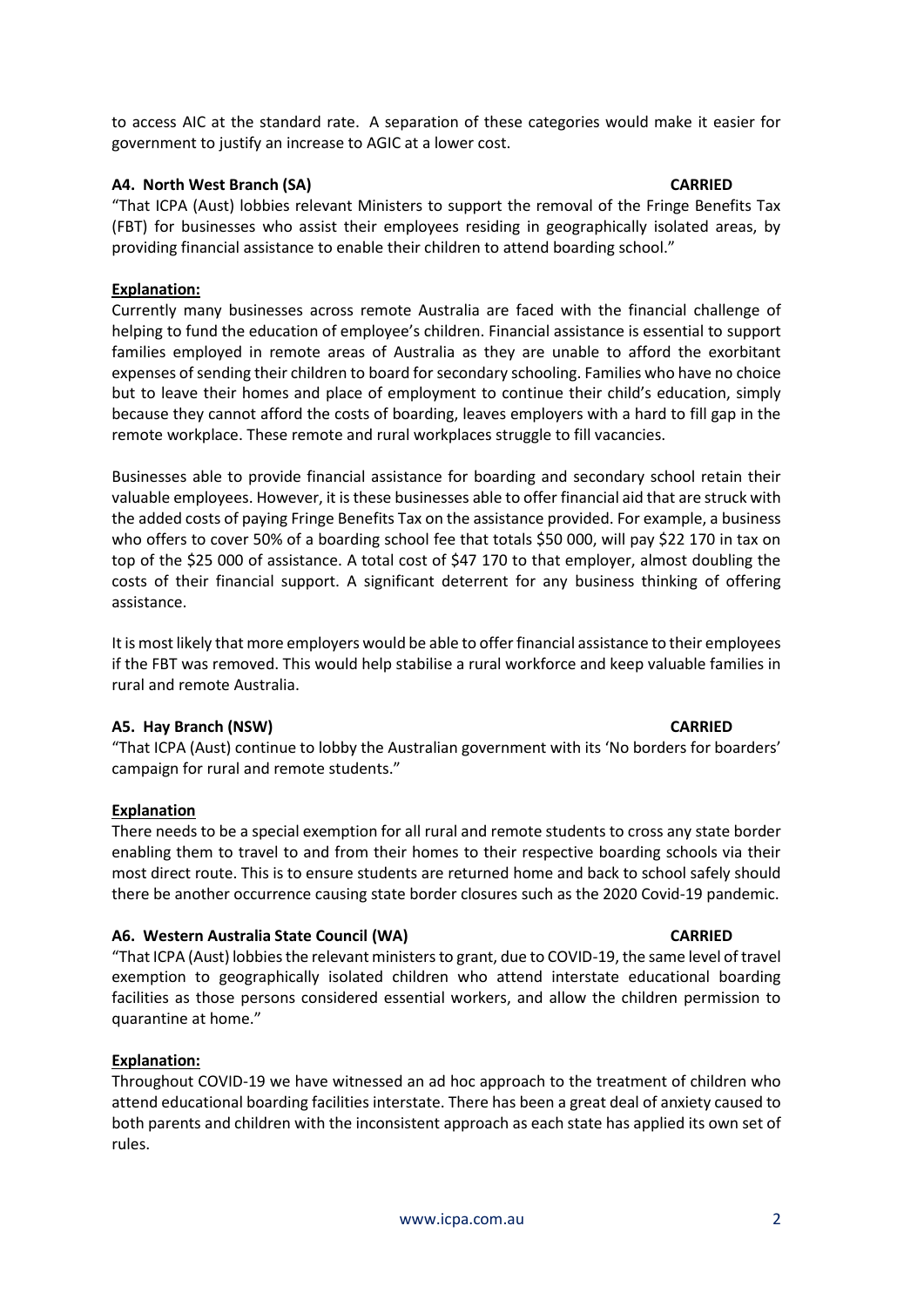to access AIC at the standard rate. A separation of these categories would make it easier for government to justify an increase to AGIC at a lower cost.

# **A4. North West Branch (SA) CARRIED**

"That ICPA (Aust) lobbies relevant Ministers to support the removal of the Fringe Benefits Tax (FBT) for businesses who assist their employees residing in geographically isolated areas, by providing financial assistance to enable their children to attend boarding school."

# **Explanation:**

Currently many businesses across remote Australia are faced with the financial challenge of helping to fund the education of employee's children. Financial assistance is essential to support families employed in remote areas of Australia as they are unable to afford the exorbitant expenses of sending their children to board for secondary schooling. Families who have no choice but to leave their homes and place of employment to continue their child's education, simply because they cannot afford the costs of boarding, leaves employers with a hard to fill gap in the remote workplace. These remote and rural workplaces struggle to fill vacancies.

Businesses able to provide financial assistance for boarding and secondary school retain their valuable employees. However, it is these businesses able to offer financial aid that are struck with the added costs of paying Fringe Benefits Tax on the assistance provided. For example, a business who offers to cover 50% of a boarding school fee that totals \$50 000, will pay \$22 170 in tax on top of the \$25 000 of assistance. A total cost of \$47 170 to that employer, almost doubling the costs of their financial support. A significant deterrent for any business thinking of offering assistance.

It is most likely that more employers would be able to offer financial assistance to their employees if the FBT was removed. This would help stabilise a rural workforce and keep valuable families in rural and remote Australia.

### **A5. Hay Branch (NSW) CARRIED**

"That ICPA (Aust) continue to lobby the Australian government with its 'No borders for boarders' campaign for rural and remote students."

### **Explanation**

There needs to be a special exemption for all rural and remote students to cross any state border enabling them to travel to and from their homes to their respective boarding schools via their most direct route. This is to ensure students are returned home and back to school safely should there be another occurrence causing state border closures such as the 2020 Covid-19 pandemic.

# **A6. Western Australia State Council (WA) CARRIED**

"That ICPA (Aust) lobbies the relevant ministers to grant, due to COVID-19, the same level of travel exemption to geographically isolated children who attend interstate educational boarding facilities as those persons considered essential workers, and allow the children permission to quarantine at home."

# **Explanation:**

Throughout COVID-19 we have witnessed an ad hoc approach to the treatment of children who attend educational boarding facilities interstate. There has been a great deal of anxiety caused to both parents and children with the inconsistent approach as each state has applied its own set of rules.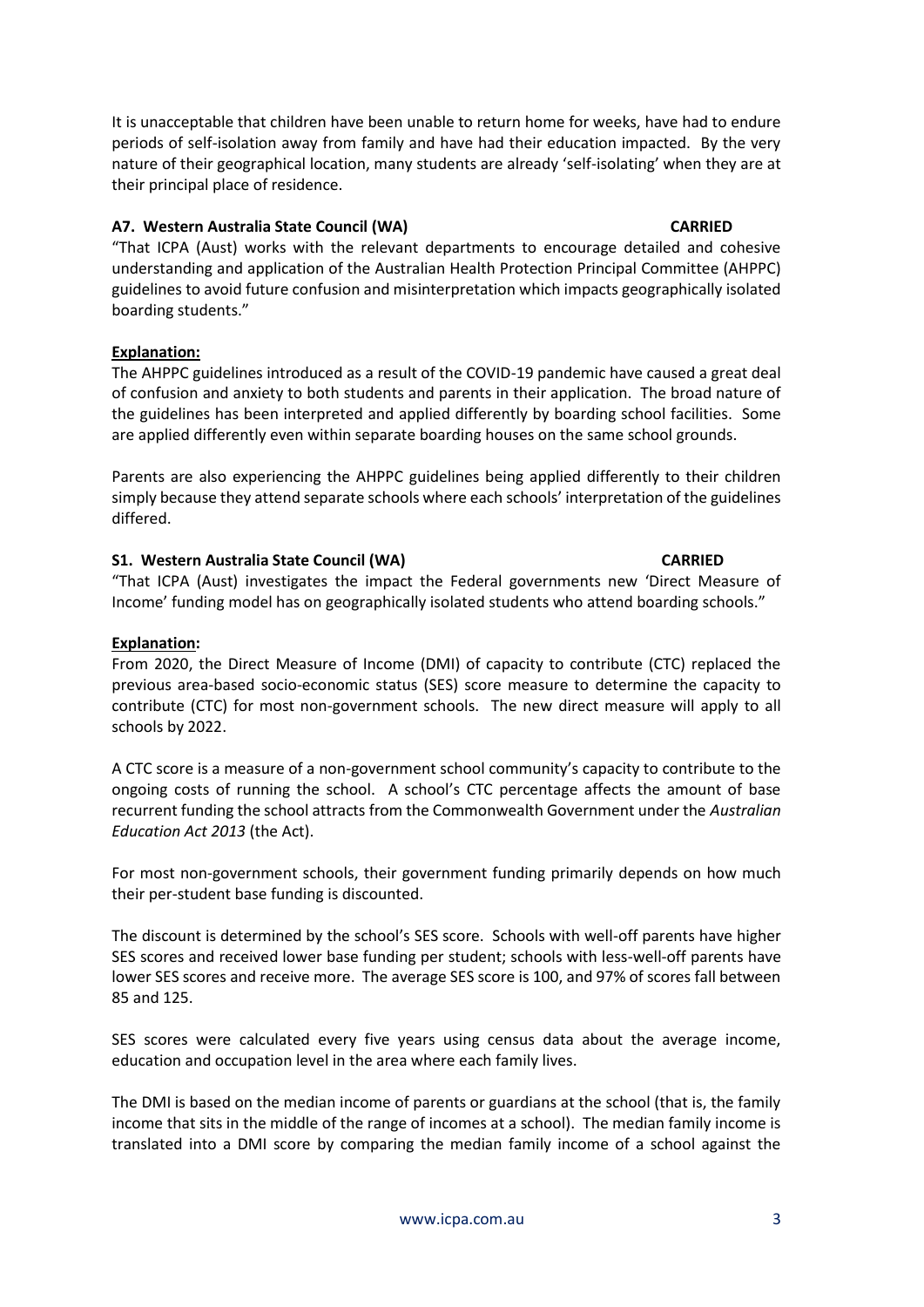It is unacceptable that children have been unable to return home for weeks, have had to endure periods of self-isolation away from family and have had their education impacted. By the very nature of their geographical location, many students are already 'self-isolating' when they are at their principal place of residence.

# **A7. Western Australia State Council (WA) CARRIED**

"That ICPA (Aust) works with the relevant departments to encourage detailed and cohesive understanding and application of the Australian Health Protection Principal Committee (AHPPC) guidelines to avoid future confusion and misinterpretation which impacts geographically isolated boarding students."

# **Explanation:**

The AHPPC guidelines introduced as a result of the COVID-19 pandemic have caused a great deal of confusion and anxiety to both students and parents in their application. The broad nature of the guidelines has been interpreted and applied differently by boarding school facilities. Some are applied differently even within separate boarding houses on the same school grounds.

Parents are also experiencing the AHPPC guidelines being applied differently to their children simply because they attend separate schools where each schools' interpretation of the guidelines differed.

# **S1. Western Australia State Council (WA) CARRIED**

"That ICPA (Aust) investigates the impact the Federal governments new 'Direct Measure of Income' funding model has on geographically isolated students who attend boarding schools."

## **Explanation:**

From 2020, the Direct Measure of Income (DMI) of capacity to contribute (CTC) replaced the previous area-based socio-economic status (SES) score measure to determine the capacity to contribute (CTC) for most non-government schools. The new direct measure will apply to all schools by 2022.

A CTC score is a measure of a non-government school community's capacity to contribute to the ongoing costs of running the school. A school's CTC percentage affects the amount of base recurrent funding the school attracts from the Commonwealth Government under the *Australian Education Act 2013* (the Act).

For most non-government schools, their government funding primarily depends on how much their per-student base funding is discounted.

The discount is determined by the school's SES score. Schools with well-off parents have higher SES scores and received lower base funding per student; schools with less-well-off parents have lower SES scores and receive more. The average SES score is 100, and 97% of scores fall between 85 and 125.

SES scores were calculated every five years using census data about the average income, education and occupation level in the area where each family lives.

The DMI is based on the median income of parents or guardians at the school (that is, the family income that sits in the middle of the range of incomes at a school). The median family income is translated into a DMI score by comparing the median family income of a school against the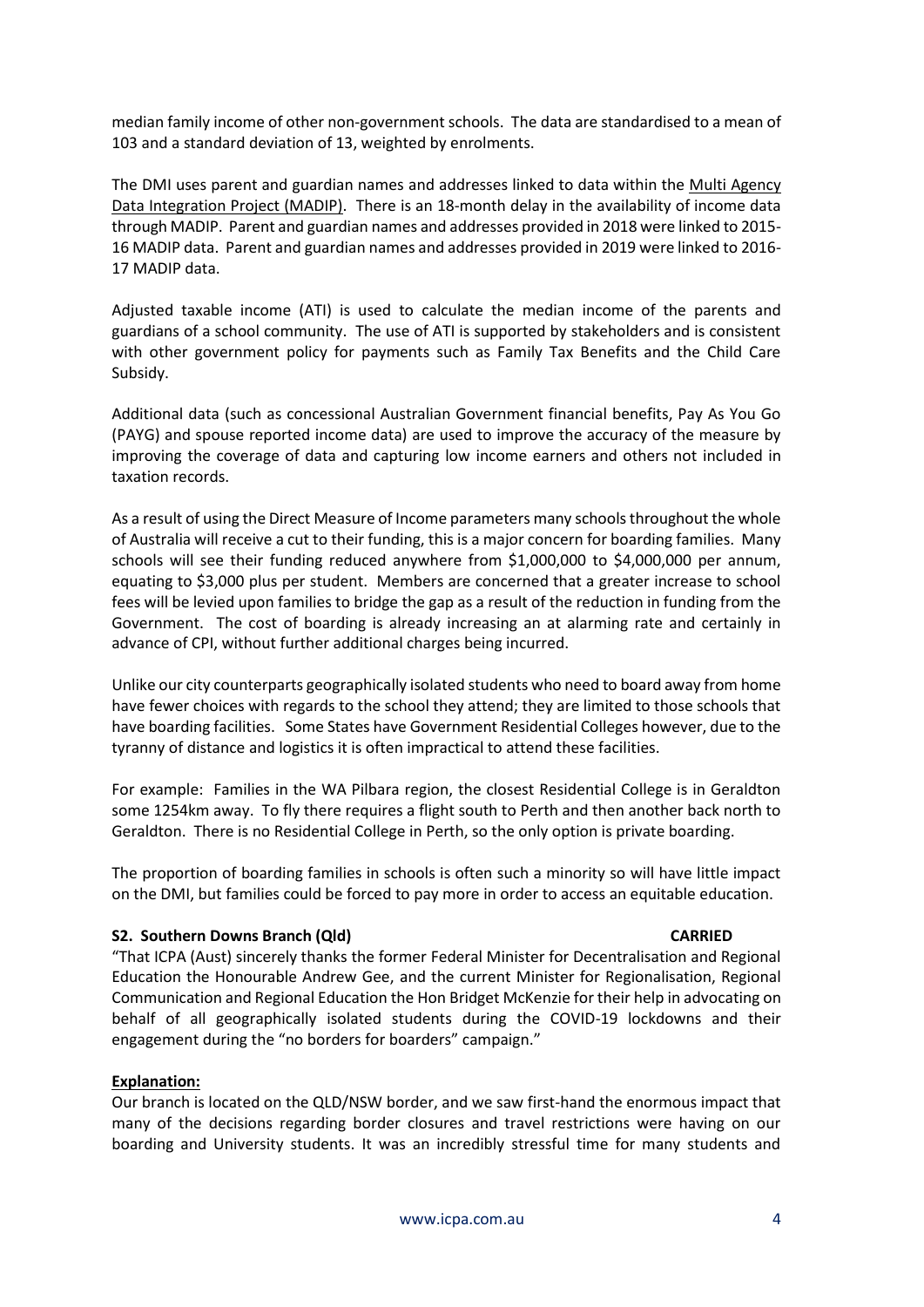median family income of other non-government schools. The data are standardised to a mean of 103 and a standard deviation of 13, weighted by enrolments.

The DMI uses parent and guardian names and addresses linked to data within the [Multi Agency](https://www.abs.gov.au/websitedbs/d3310114.nsf/home/statistical+data+integration+-+madip)  [Data Integration Project \(MADIP\).](https://www.abs.gov.au/websitedbs/d3310114.nsf/home/statistical+data+integration+-+madip) There is an 18-month delay in the availability of income data through MADIP. Parent and guardian names and addresses provided in 2018 were linked to 2015- 16 MADIP data. Parent and guardian names and addresses provided in 2019 were linked to 2016- 17 MADIP data.

Adjusted taxable income (ATI) is used to calculate the median income of the parents and guardians of a school community. The use of ATI is supported by stakeholders and is consistent with other government policy for payments such as Family Tax Benefits and the Child Care Subsidy.

Additional data (such as concessional Australian Government financial benefits, Pay As You Go (PAYG) and spouse reported income data) are used to improve the accuracy of the measure by improving the coverage of data and capturing low income earners and others not included in taxation records.

As a result of using the Direct Measure of Income parameters many schools throughout the whole of Australia will receive a cut to their funding, this is a major concern for boarding families. Many schools will see their funding reduced anywhere from \$1,000,000 to \$4,000,000 per annum, equating to \$3,000 plus per student. Members are concerned that a greater increase to school fees will be levied upon families to bridge the gap as a result of the reduction in funding from the Government. The cost of boarding is already increasing an at alarming rate and certainly in advance of CPI, without further additional charges being incurred.

Unlike our city counterparts geographically isolated students who need to board away from home have fewer choices with regards to the school they attend; they are limited to those schools that have boarding facilities. Some States have Government Residential Colleges however, due to the tyranny of distance and logistics it is often impractical to attend these facilities.

For example: Families in the WA Pilbara region, the closest Residential College is in Geraldton some 1254km away. To fly there requires a flight south to Perth and then another back north to Geraldton. There is no Residential College in Perth, so the only option is private boarding.

The proportion of boarding families in schools is often such a minority so will have little impact on the DMI, but families could be forced to pay more in order to access an equitable education.

### **S2. Southern Downs Branch (Qld) CARRIED**

"That ICPA (Aust) sincerely thanks the former Federal Minister for Decentralisation and Regional Education the Honourable Andrew Gee, and the current Minister for Regionalisation, Regional Communication and Regional Education the Hon Bridget McKenzie for their help in advocating on behalf of all geographically isolated students during the COVID-19 lockdowns and their engagement during the "no borders for boarders" campaign."

### **Explanation:**

Our branch is located on the QLD/NSW border, and we saw first-hand the enormous impact that many of the decisions regarding border closures and travel restrictions were having on our boarding and University students. It was an incredibly stressful time for many students and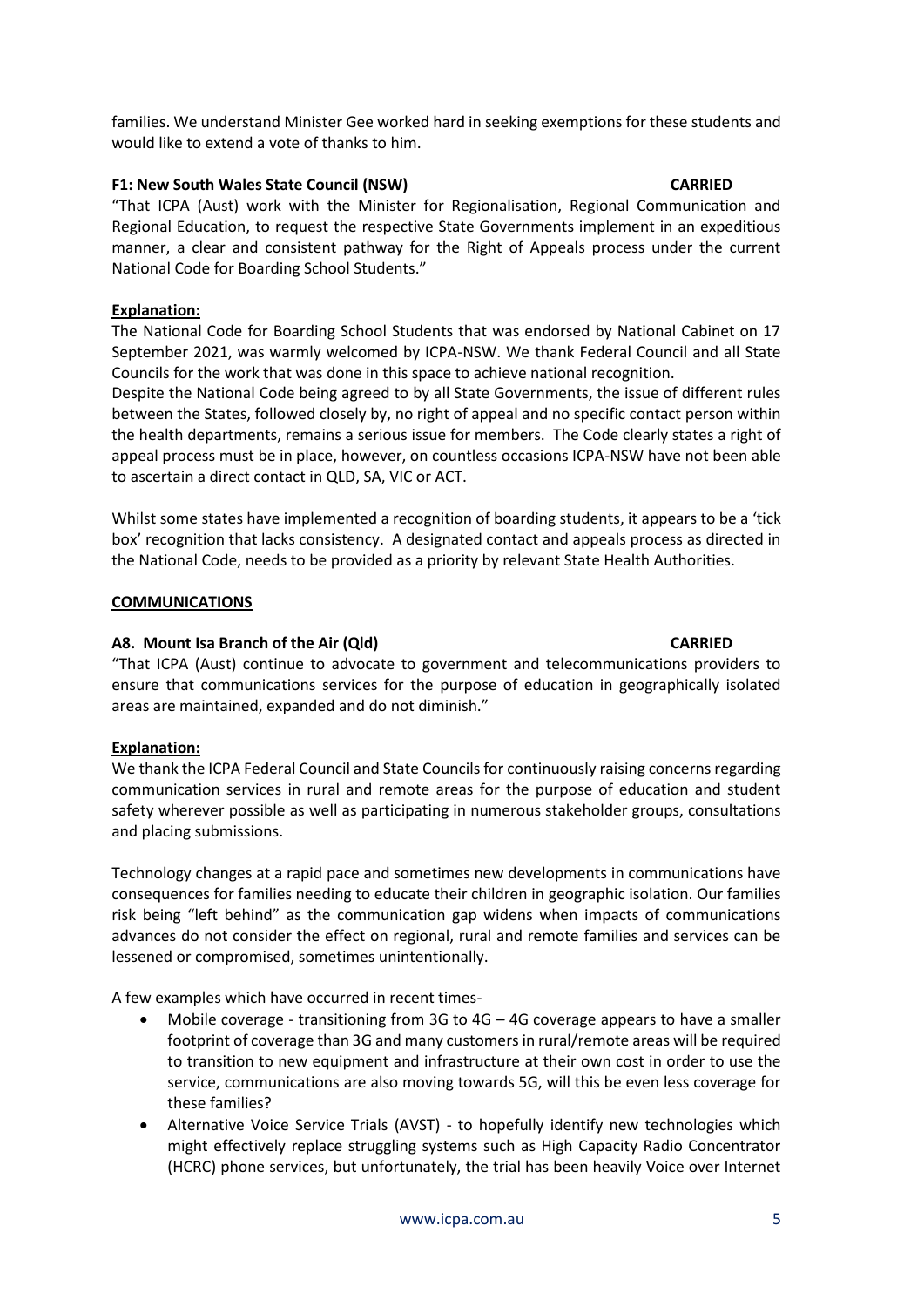families. We understand Minister Gee worked hard in seeking exemptions for these students and would like to extend a vote of thanks to him.

# **F1: New South Wales State Council (NSW) CARRIED**

"That ICPA (Aust) work with the Minister for Regionalisation, Regional Communication and Regional Education, to request the respective State Governments implement in an expeditious manner, a clear and consistent pathway for the Right of Appeals process under the current National Code for Boarding School Students."

# **Explanation:**

The National Code for Boarding School Students that was endorsed by National Cabinet on 17 September 2021, was warmly welcomed by ICPA-NSW. We thank Federal Council and all State Councils for the work that was done in this space to achieve national recognition.

Despite the National Code being agreed to by all State Governments, the issue of different rules between the States, followed closely by, no right of appeal and no specific contact person within the health departments, remains a serious issue for members. The Code clearly states a right of appeal process must be in place, however, on countless occasions ICPA-NSW have not been able to ascertain a direct contact in QLD, SA, VIC or ACT.

Whilst some states have implemented a recognition of boarding students, it appears to be a 'tick box' recognition that lacks consistency. A designated contact and appeals process as directed in the National Code, needs to be provided as a priority by relevant State Health Authorities.

### **COMMUNICATIONS**

## **A8. Mount Isa Branch of the Air (Qld) CARRIED**

"That ICPA (Aust) continue to advocate to government and telecommunications providers to ensure that communications services for the purpose of education in geographically isolated areas are maintained, expanded and do not diminish."

### **Explanation:**

We thank the ICPA Federal Council and State Councils for continuously raising concerns regarding communication services in rural and remote areas for the purpose of education and student safety wherever possible as well as participating in numerous stakeholder groups, consultations and placing submissions.

Technology changes at a rapid pace and sometimes new developments in communications have consequences for families needing to educate their children in geographic isolation. Our families risk being "left behind" as the communication gap widens when impacts of communications advances do not consider the effect on regional, rural and remote families and services can be lessened or compromised, sometimes unintentionally.

A few examples which have occurred in recent times-

- Mobile coverage transitioning from 3G to 4G 4G coverage appears to have a smaller footprint of coverage than 3G and many customers in rural/remote areas will be required to transition to new equipment and infrastructure at their own cost in order to use the service, communications are also moving towards 5G, will this be even less coverage for these families?
- Alternative Voice Service Trials (AVST) to hopefully identify new technologies which might effectively replace struggling systems such as High Capacity Radio Concentrator (HCRC) phone services, but unfortunately, the trial has been heavily Voice over Internet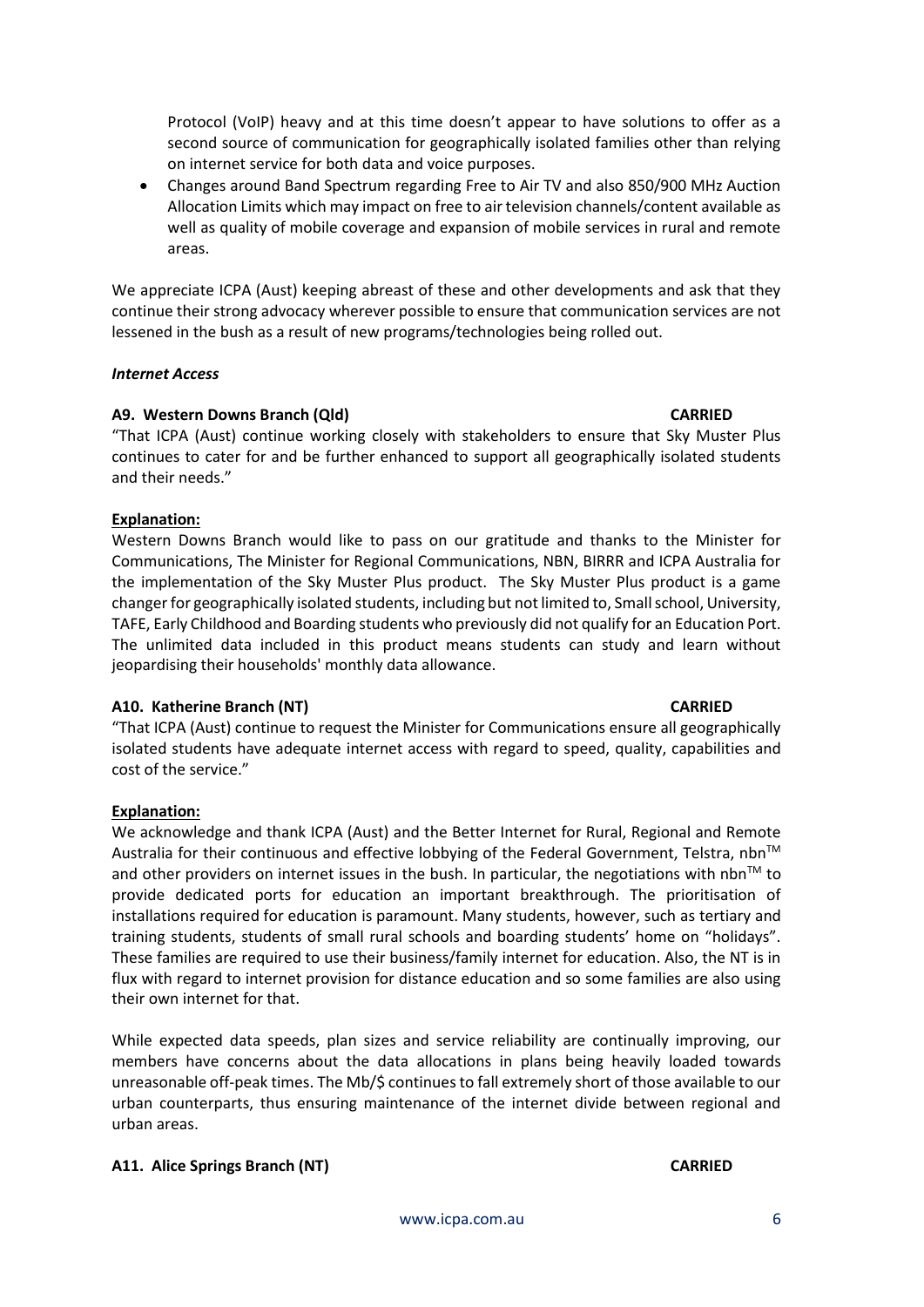Protocol (VoIP) heavy and at this time doesn't appear to have solutions to offer as a second source of communication for geographically isolated families other than relying on internet service for both data and voice purposes.

• Changes around Band Spectrum regarding Free to Air TV and also 850/900 MHz Auction Allocation Limits which may impact on free to air television channels/content available as well as quality of mobile coverage and expansion of mobile services in rural and remote areas.

We appreciate ICPA (Aust) keeping abreast of these and other developments and ask that they continue their strong advocacy wherever possible to ensure that communication services are not lessened in the bush as a result of new programs/technologies being rolled out.

### *Internet Access*

### **A9. Western Downs Branch (Qld) CARRIED**

"That ICPA (Aust) continue working closely with stakeholders to ensure that Sky Muster Plus continues to cater for and be further enhanced to support all geographically isolated students and their needs."

# **Explanation:**

Western Downs Branch would like to pass on our gratitude and thanks to the Minister for Communications, The Minister for Regional Communications, NBN, BIRRR and ICPA Australia for the implementation of the Sky Muster Plus product. The Sky Muster Plus product is a game changer for geographically isolated students, including but not limited to, Small school, University, TAFE, Early Childhood and Boarding students who previously did not qualify for an Education Port. The unlimited data included in this product means students can study and learn without jeopardising their households' monthly data allowance.

# **A10. Katherine Branch (NT) CARRIED**

"That ICPA (Aust) continue to request the Minister for Communications ensure all geographically isolated students have adequate internet access with regard to speed, quality, capabilities and cost of the service."

### **Explanation:**

We acknowledge and thank ICPA (Aust) and the Better Internet for Rural, Regional and Remote Australia for their continuous and effective lobbying of the Federal Government, Telstra,  $nbn^{TM}$ and other providers on internet issues in the bush. In particular, the negotiations with nbn<sup>TM</sup> to provide dedicated ports for education an important breakthrough. The prioritisation of installations required for education is paramount. Many students, however, such as tertiary and training students, students of small rural schools and boarding students' home on "holidays". These families are required to use their business/family internet for education. Also, the NT is in flux with regard to internet provision for distance education and so some families are also using their own internet for that.

While expected data speeds, plan sizes and service reliability are continually improving, our members have concerns about the data allocations in plans being heavily loaded towards unreasonable off-peak times. The Mb/\$ continues to fall extremely short of those available to our urban counterparts, thus ensuring maintenance of the internet divide between regional and urban areas.

### **A11. Alice Springs Branch (NT) CARRIED**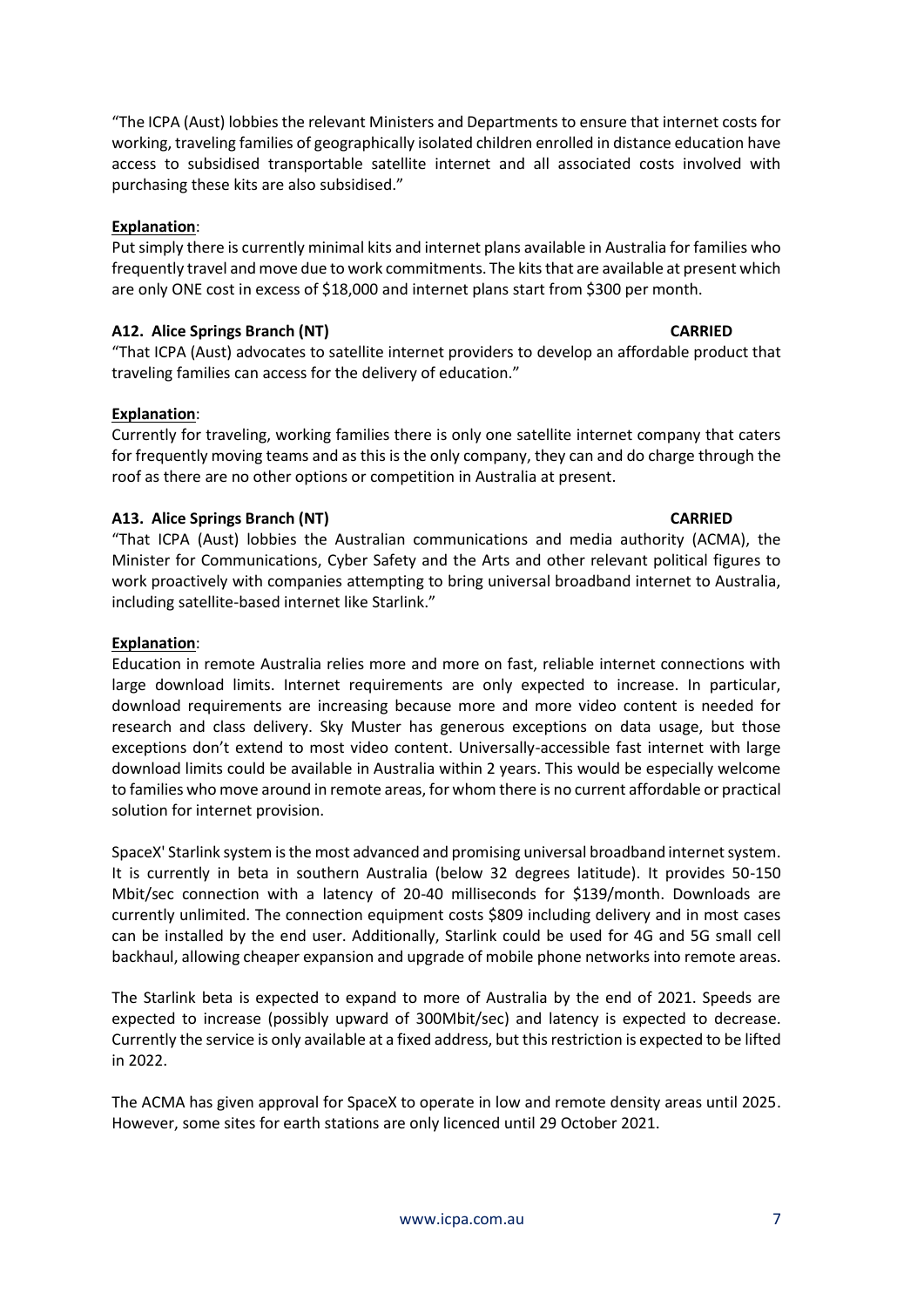"The ICPA (Aust) lobbies the relevant Ministers and Departments to ensure that internet costs for working, traveling families of geographically isolated children enrolled in distance education have access to subsidised transportable satellite internet and all associated costs involved with purchasing these kits are also subsidised."

# **Explanation**:

Put simply there is currently minimal kits and internet plans available in Australia for families who frequently travel and move due to work commitments. The kits that are available at present which are only ONE cost in excess of \$18,000 and internet plans start from \$300 per month.

# **A12. Alice Springs Branch (NT) CARRIED**

"That ICPA (Aust) advocates to satellite internet providers to develop an affordable product that traveling families can access for the delivery of education."

# **Explanation**:

Currently for traveling, working families there is only one satellite internet company that caters for frequently moving teams and as this is the only company, they can and do charge through the roof as there are no other options or competition in Australia at present.

# **A13. Alice Springs Branch (NT) CARRIED**

"That ICPA (Aust) lobbies the Australian communications and media authority (ACMA), the Minister for Communications, Cyber Safety and the Arts and other relevant political figures to work proactively with companies attempting to bring universal broadband internet to Australia, including satellite-based internet like Starlink."

# **Explanation**:

Education in remote Australia relies more and more on fast, reliable internet connections with large download limits. Internet requirements are only expected to increase. In particular, download requirements are increasing because more and more video content is needed for research and class delivery. Sky Muster has generous exceptions on data usage, but those exceptions don't extend to most video content. Universally-accessible fast internet with large download limits could be available in Australia within 2 years. This would be especially welcome to families who move around in remote areas, for whom there is no current affordable or practical solution for internet provision.

SpaceX' Starlink system is the most advanced and promising universal broadband internet system. It is currently in beta in southern Australia (below 32 degrees latitude). It provides 50-150 Mbit/sec connection with a latency of 20-40 milliseconds for \$139/month. Downloads are currently unlimited. The connection equipment costs \$809 including delivery and in most cases can be installed by the end user. Additionally, Starlink could be used for 4G and 5G small cell backhaul, allowing cheaper expansion and upgrade of mobile phone networks into remote areas.

The Starlink beta is expected to expand to more of Australia by the end of 2021. Speeds are expected to increase (possibly upward of 300Mbit/sec) and latency is expected to decrease. Currently the service is only available at a fixed address, but this restriction is expected to be lifted in 2022.

The ACMA has given approval for SpaceX to operate in low and remote density areas until 2025. However, some sites for earth stations are only licenced until 29 October 2021.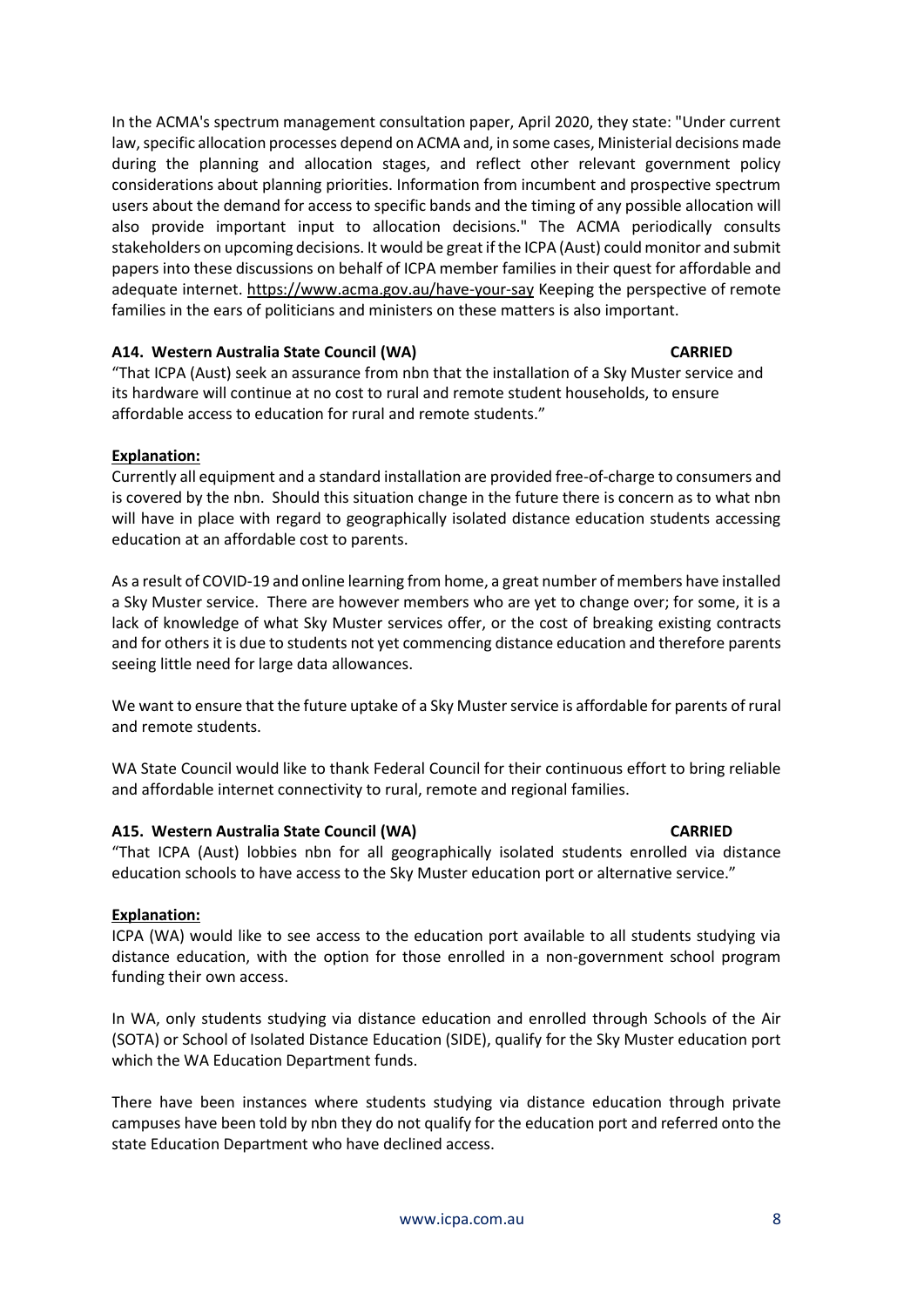In the ACMA's spectrum management consultation paper, April 2020, they state: "Under current law, specific allocation processes depend on ACMA and, in some cases, Ministerial decisions made during the planning and allocation stages, and reflect other relevant government policy considerations about planning priorities. Information from incumbent and prospective spectrum users about the demand for access to specific bands and the timing of any possible allocation will also provide important input to allocation decisions." The ACMA periodically consults stakeholders on upcoming decisions. It would be great if the ICPA (Aust) could monitor and submit papers into these discussions on behalf of ICPA member families in their quest for affordable and adequate internet[.](https://www.acma.gov.au/have-your-say) <https://www.acma.gov.au/have-your-say> Keeping the perspective of remote families in the ears of politicians and ministers on these matters is also important.

# **A14. Western Australia State Council (WA) CARRIED**

"That ICPA (Aust) seek an assurance from nbn that the installation of a Sky Muster service and its hardware will continue at no cost to rural and remote student households, to ensure affordable access to education for rural and remote students."

# **Explanation:**

Currently all equipment and a standard installation are provided free-of-charge to consumers and is covered by the nbn. Should this situation change in the future there is concern as to what nbn will have in place with regard to geographically isolated distance education students accessing education at an affordable cost to parents.

As a result of COVID-19 and online learning from home, a great number of members have installed a Sky Muster service. There are however members who are yet to change over; for some, it is a lack of knowledge of what Sky Muster services offer, or the cost of breaking existing contracts and for others it is due to students not yet commencing distance education and therefore parents seeing little need for large data allowances.

We want to ensure that the future uptake of a Sky Muster service is affordable for parents of rural and remote students.

WA State Council would like to thank Federal Council for their continuous effort to bring reliable and affordable internet connectivity to rural, remote and regional families.

### **A15. Western Australia State Council (WA) CARRIED**

"That ICPA (Aust) lobbies nbn for all geographically isolated students enrolled via distance education schools to have access to the Sky Muster education port or alternative service."

### **Explanation:**

ICPA (WA) would like to see access to the education port available to all students studying via distance education, with the option for those enrolled in a non-government school program funding their own access.

In WA, only students studying via distance education and enrolled through Schools of the Air (SOTA) or School of Isolated Distance Education (SIDE), qualify for the Sky Muster education port which the WA Education Department funds.

There have been instances where students studying via distance education through private campuses have been told by nbn they do not qualify for the education port and referred onto the state Education Department who have declined access.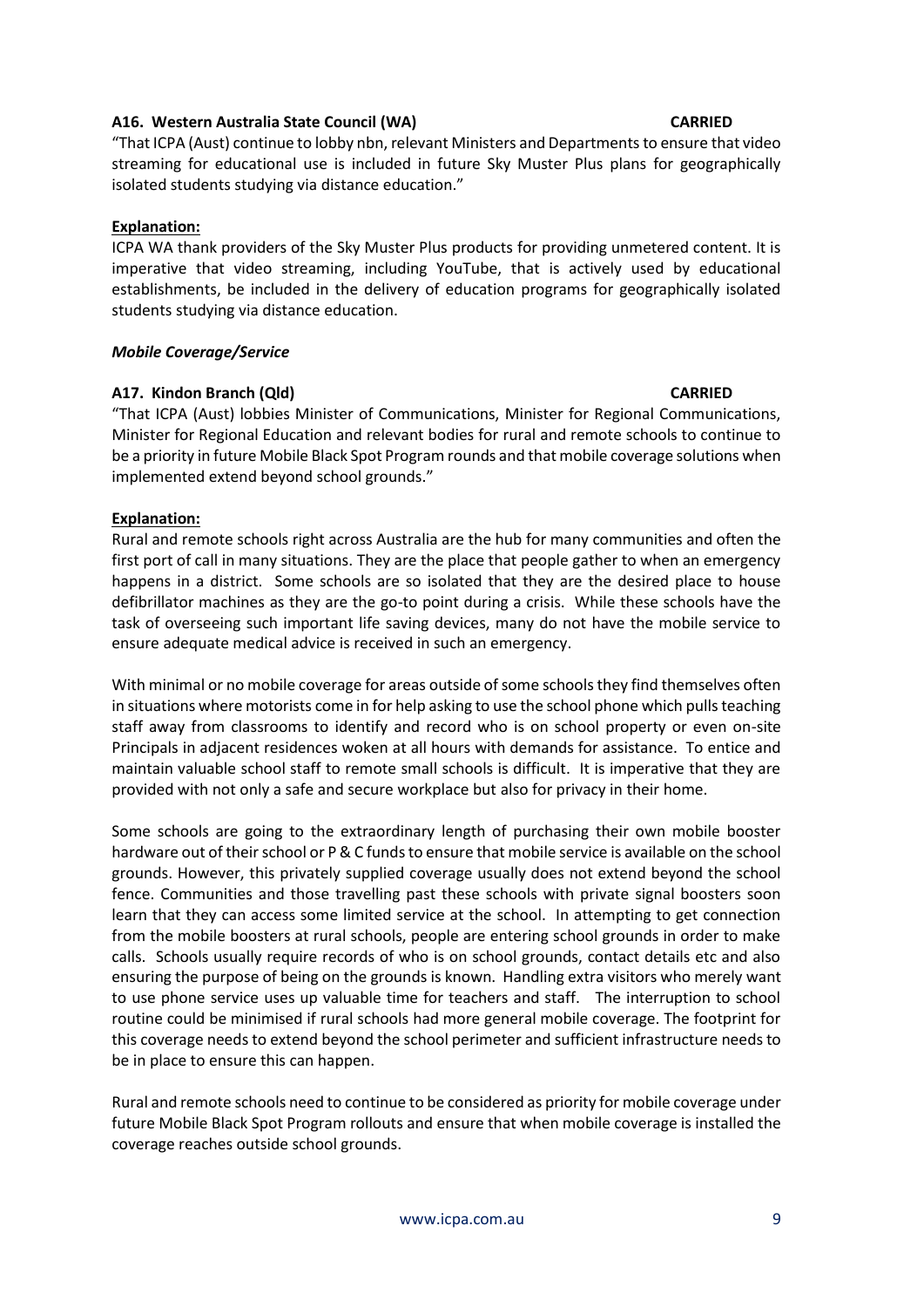# **A16. Western Australia State Council (WA) CARRIED**

"That ICPA (Aust) continue to lobby nbn, relevant Ministers and Departments to ensure that video streaming for educational use is included in future Sky Muster Plus plans for geographically isolated students studying via distance education."

## **Explanation:**

ICPA WA thank providers of the Sky Muster Plus products for providing unmetered content. It is imperative that video streaming, including YouTube, that is actively used by educational establishments, be included in the delivery of education programs for geographically isolated students studying via distance education.

### *Mobile Coverage/Service*

# **A17. Kindon Branch (Qld) CARRIED**

"That ICPA (Aust) lobbies Minister of Communications, Minister for Regional Communications, Minister for Regional Education and relevant bodies for rural and remote schools to continue to be a priority in future Mobile Black Spot Program rounds and that mobile coverage solutions when implemented extend beyond school grounds."

# **Explanation:**

Rural and remote schools right across Australia are the hub for many communities and often the first port of call in many situations. They are the place that people gather to when an emergency happens in a district. Some schools are so isolated that they are the desired place to house defibrillator machines as they are the go-to point during a crisis. While these schools have the task of overseeing such important life saving devices, many do not have the mobile service to ensure adequate medical advice is received in such an emergency.

With minimal or no mobile coverage for areas outside of some schools they find themselves often in situations where motorists come in for help asking to use the school phone which pulls teaching staff away from classrooms to identify and record who is on school property or even on-site Principals in adjacent residences woken at all hours with demands for assistance. To entice and maintain valuable school staff to remote small schools is difficult. It is imperative that they are provided with not only a safe and secure workplace but also for privacy in their home.

Some schools are going to the extraordinary length of purchasing their own mobile booster hardware out of their school or P & C funds to ensure that mobile service is available on the school grounds. However, this privately supplied coverage usually does not extend beyond the school fence. Communities and those travelling past these schools with private signal boosters soon learn that they can access some limited service at the school. In attempting to get connection from the mobile boosters at rural schools, people are entering school grounds in order to make calls. Schools usually require records of who is on school grounds, contact details etc and also ensuring the purpose of being on the grounds is known. Handling extra visitors who merely want to use phone service uses up valuable time for teachers and staff. The interruption to school routine could be minimised if rural schools had more general mobile coverage. The footprint for this coverage needs to extend beyond the school perimeter and sufficient infrastructure needs to be in place to ensure this can happen.

Rural and remote schools need to continue to be considered as priority for mobile coverage under future Mobile Black Spot Program rollouts and ensure that when mobile coverage is installed the coverage reaches outside school grounds.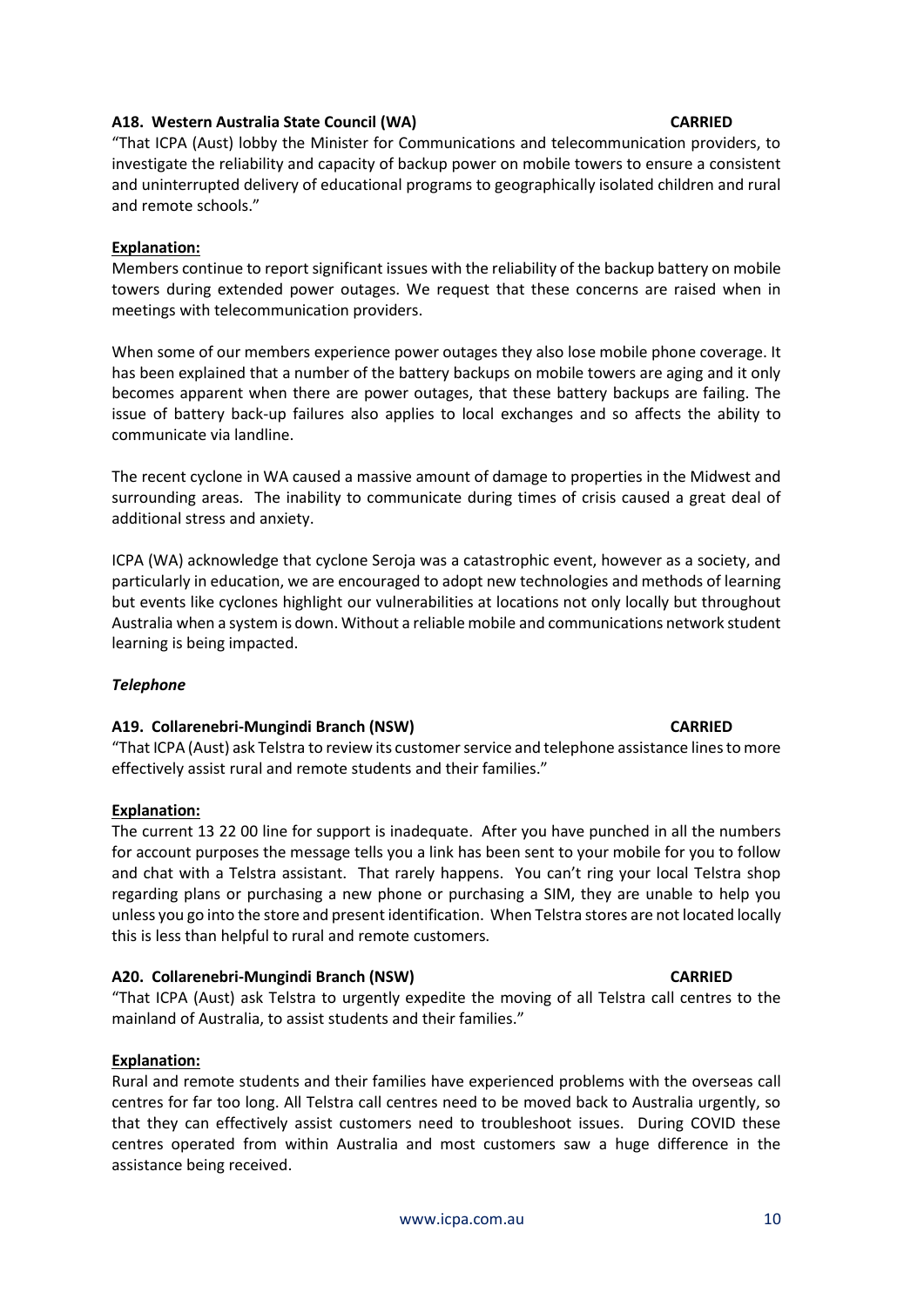### **A18. Western Australia State Council (WA) CARRIED**

"That ICPA (Aust) lobby the Minister for Communications and telecommunication providers, to investigate the reliability and capacity of backup power on mobile towers to ensure a consistent and uninterrupted delivery of educational programs to geographically isolated children and rural and remote schools."

# **Explanation:**

Members continue to report significant issues with the reliability of the backup battery on mobile towers during extended power outages. We request that these concerns are raised when in meetings with telecommunication providers.

When some of our members experience power outages they also lose mobile phone coverage. It has been explained that a number of the battery backups on mobile towers are aging and it only becomes apparent when there are power outages, that these battery backups are failing. The issue of battery back-up failures also applies to local exchanges and so affects the ability to communicate via landline.

The recent cyclone in WA caused a massive amount of damage to properties in the Midwest and surrounding areas. The inability to communicate during times of crisis caused a great deal of additional stress and anxiety.

ICPA (WA) acknowledge that cyclone Seroja was a catastrophic event, however as a society, and particularly in education, we are encouraged to adopt new technologies and methods of learning but events like cyclones highlight our vulnerabilities at locations not only locally but throughout Australia when a system is down. Without a reliable mobile and communications network student learning is being impacted.

### *Telephone*

### **A19. Collarenebri-Mungindi Branch (NSW) CARRIED**

"That ICPA (Aust) ask Telstra to review its customer service and telephone assistance lines to more effectively assist rural and remote students and their families."

### **Explanation:**

The current 13 22 00 line for support is inadequate. After you have punched in all the numbers for account purposes the message tells you a link has been sent to your mobile for you to follow and chat with a Telstra assistant. That rarely happens. You can't ring your local Telstra shop regarding plans or purchasing a new phone or purchasing a SIM, they are unable to help you unless you go into the store and present identification. When Telstra stores are not located locally this is less than helpful to rural and remote customers.

# **A20. Collarenebri-Mungindi Branch (NSW) CARRIED**

"That ICPA (Aust) ask Telstra to urgently expedite the moving of all Telstra call centres to the mainland of Australia, to assist students and their families."

# **Explanation:**

Rural and remote students and their families have experienced problems with the overseas call centres for far too long. All Telstra call centres need to be moved back to Australia urgently, so that they can effectively assist customers need to troubleshoot issues. During COVID these centres operated from within Australia and most customers saw a huge difference in the assistance being received.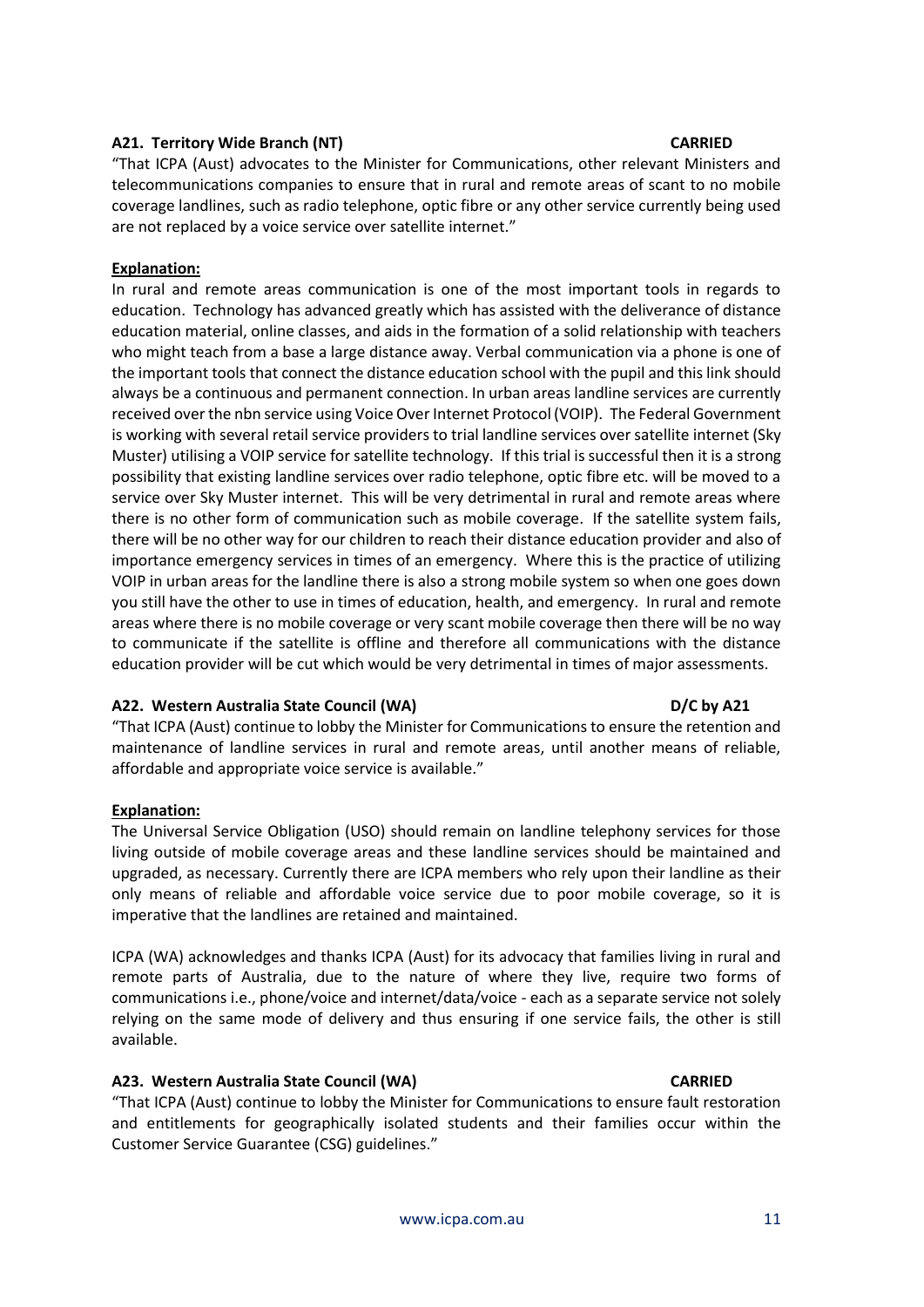# **A21. Territory Wide Branch (NT) CARRIED**

"That ICPA (Aust) advocates to the Minister for Communications, other relevant Ministers and telecommunications companies to ensure that in rural and remote areas of scant to no mobile coverage landlines, such as radio telephone, optic fibre or any other service currently being used are not replaced by a voice service over satellite internet."

## **Explanation:**

In rural and remote areas communication is one of the most important tools in regards to education. Technology has advanced greatly which has assisted with the deliverance of distance education material, online classes, and aids in the formation of a solid relationship with teachers who might teach from a base a large distance away. Verbal communication via a phone is one of the important tools that connect the distance education school with the pupil and this link should always be a continuous and permanent connection. In urban areas landline services are currently received over the nbn service using Voice Over Internet Protocol (VOIP). The Federal Government is working with several retail service providers to trial landline services over satellite internet (Sky Muster) utilising a VOIP service for satellite technology. If this trial is successful then it is a strong possibility that existing landline services over radio telephone, optic fibre etc. will be moved to a service over Sky Muster internet. This will be very detrimental in rural and remote areas where there is no other form of communication such as mobile coverage. If the satellite system fails, there will be no other way for our children to reach their distance education provider and also of importance emergency services in times of an emergency. Where this is the practice of utilizing VOIP in urban areas for the landline there is also a strong mobile system so when one goes down you still have the other to use in times of education, health, and emergency. In rural and remote areas where there is no mobile coverage or very scant mobile coverage then there will be no way to communicate if the satellite is offline and therefore all communications with the distance education provider will be cut which would be very detrimental in times of major assessments.

### **A22. Western Australia State Council (WA) D/C by A21**

"That ICPA (Aust) continue to lobby the Minister for Communications to ensure the retention and maintenance of landline services in rural and remote areas, until another means of reliable, affordable and appropriate voice service is available."

### **Explanation:**

The Universal Service Obligation (USO) should remain on landline telephony services for those living outside of mobile coverage areas and these landline services should be maintained and upgraded, as necessary. Currently there are ICPA members who rely upon their landline as their only means of reliable and affordable voice service due to poor mobile coverage, so it is imperative that the landlines are retained and maintained.

ICPA (WA) acknowledges and thanks ICPA (Aust) for its advocacy that families living in rural and remote parts of Australia, due to the nature of where they live, require two forms of communications i.e., phone/voice and internet/data/voice - each as a separate service not solely relying on the same mode of delivery and thus ensuring if one service fails, the other is still available.

### **A23. Western Australia State Council (WA) CARRIED**

"That ICPA (Aust) continue to lobby the Minister for Communications to ensure fault restoration and entitlements for geographically isolated students and their families occur within the Customer Service Guarantee (CSG) guidelines."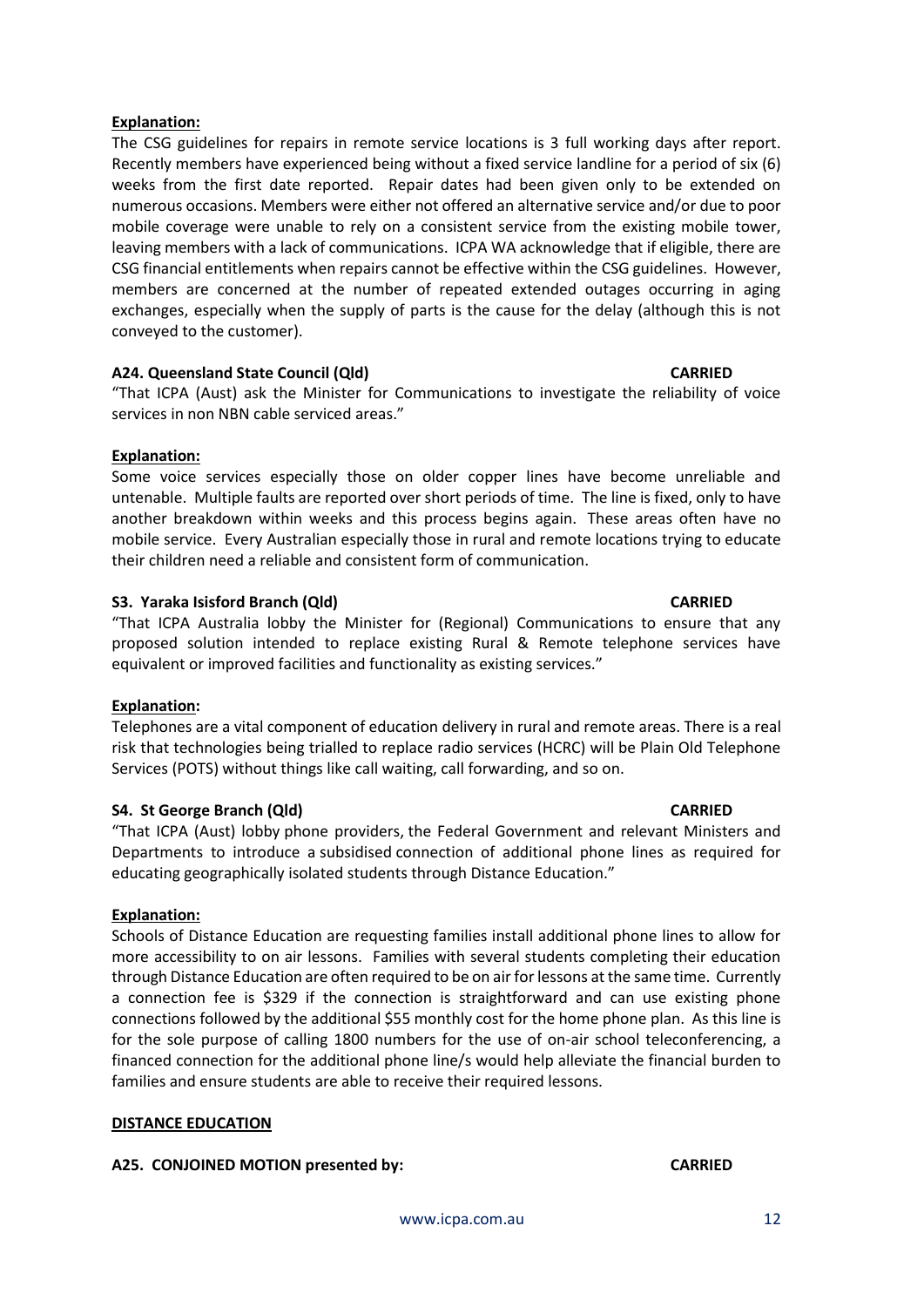## **Explanation:**

The CSG guidelines for repairs in remote service locations is 3 full working days after report. Recently members have experienced being without a fixed service landline for a period of six (6) weeks from the first date reported. Repair dates had been given only to be extended on numerous occasions. Members were either not offered an alternative service and/or due to poor mobile coverage were unable to rely on a consistent service from the existing mobile tower, leaving members with a lack of communications. ICPA WA acknowledge that if eligible, there are CSG financial entitlements when repairs cannot be effective within the CSG guidelines. However, members are concerned at the number of repeated extended outages occurring in aging exchanges, especially when the supply of parts is the cause for the delay (although this is not conveyed to the customer).

# **A24. Queensland State Council (Qld) CARRIED**

"That ICPA (Aust) ask the Minister for Communications to investigate the reliability of voice services in non NBN cable serviced areas."

### **Explanation:**

Some voice services especially those on older copper lines have become unreliable and untenable. Multiple faults are reported over short periods of time. The line is fixed, only to have another breakdown within weeks and this process begins again. These areas often have no mobile service. Every Australian especially those in rural and remote locations trying to educate their children need a reliable and consistent form of communication.

# **S3. Yaraka Isisford Branch (Qld) CARRIED**

"That ICPA Australia lobby the Minister for (Regional) Communications to ensure that any proposed solution intended to replace existing Rural & Remote telephone services have equivalent or improved facilities and functionality as existing services."

### **Explanation:**

Telephones are a vital component of education delivery in rural and remote areas. There is a real risk that technologies being trialled to replace radio services (HCRC) will be Plain Old Telephone Services (POTS) without things like call waiting, call forwarding, and so on.

### **S4. St George Branch (Qld)** CARRIED **CARRIED**

"That ICPA (Aust) lobby phone providers, the Federal Government and relevant Ministers and Departments to introduce a subsidised connection of additional phone lines as required for educating geographically isolated students through Distance Education."

### **Explanation:**

Schools of Distance Education are requesting families install additional phone lines to allow for more accessibility to on air lessons. Families with several students completing their education through Distance Education are often required to be on air for lessons at the same time. Currently a connection fee is \$329 if the connection is straightforward and can use existing phone connections followed by the additional \$55 monthly cost for the home phone plan. As this line is for the sole purpose of calling 1800 numbers for the use of on-air school teleconferencing, a financed connection for the additional phone line/s would help alleviate the financial burden to families and ensure students are able to receive their required lessons.

### **DISTANCE EDUCATION**

### **A25. CONJOINED MOTION presented by: CARRIED**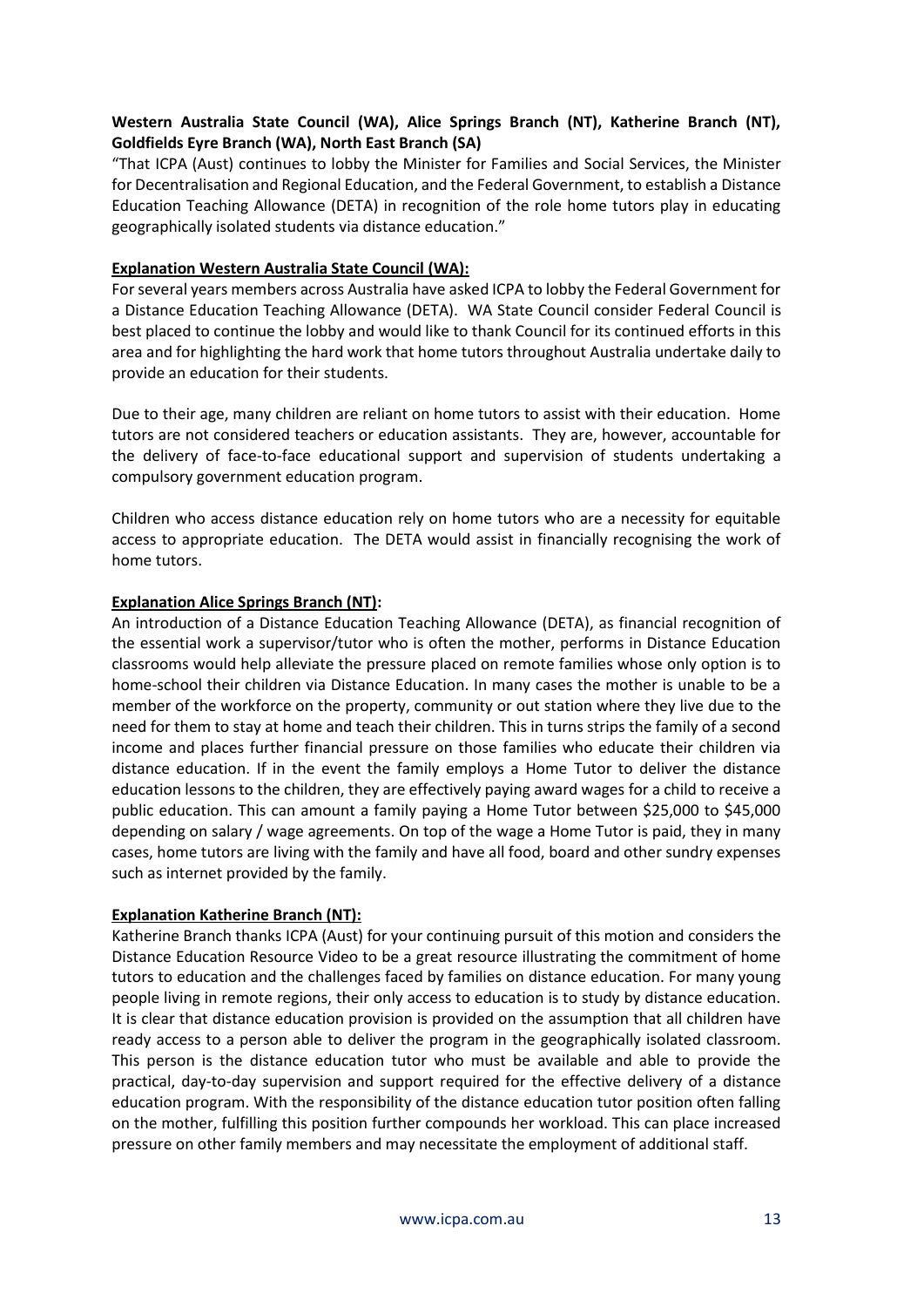# **Western Australia State Council (WA), Alice Springs Branch (NT), Katherine Branch (NT), Goldfields Eyre Branch (WA), North East Branch (SA)**

"That ICPA (Aust) continues to lobby the Minister for Families and Social Services, the Minister for Decentralisation and Regional Education, and the Federal Government, to establish a Distance Education Teaching Allowance (DETA) in recognition of the role home tutors play in educating geographically isolated students via distance education."

## **Explanation Western Australia State Council (WA):**

For several years members across Australia have asked ICPA to lobby the Federal Government for a Distance Education Teaching Allowance (DETA). WA State Council consider Federal Council is best placed to continue the lobby and would like to thank Council for its continued efforts in this area and for highlighting the hard work that home tutors throughout Australia undertake daily to provide an education for their students.

Due to their age, many children are reliant on home tutors to assist with their education. Home tutors are not considered teachers or education assistants. They are, however, accountable for the delivery of face-to-face educational support and supervision of students undertaking a compulsory government education program.

Children who access distance education rely on home tutors who are a necessity for equitable access to appropriate education. The DETA would assist in financially recognising the work of home tutors.

# **Explanation Alice Springs Branch (NT):**

An introduction of a Distance Education Teaching Allowance (DETA), as financial recognition of the essential work a supervisor/tutor who is often the mother, performs in Distance Education classrooms would help alleviate the pressure placed on remote families whose only option is to home-school their children via Distance Education. In many cases the mother is unable to be a member of the workforce on the property, community or out station where they live due to the need for them to stay at home and teach their children. This in turns strips the family of a second income and places further financial pressure on those families who educate their children via distance education. If in the event the family employs a Home Tutor to deliver the distance education lessons to the children, they are effectively paying award wages for a child to receive a public education. This can amount a family paying a Home Tutor between \$25,000 to \$45,000 depending on salary / wage agreements. On top of the wage a Home Tutor is paid, they in many cases, home tutors are living with the family and have all food, board and other sundry expenses such as internet provided by the family.

### **Explanation Katherine Branch (NT):**

Katherine Branch thanks ICPA (Aust) for your continuing pursuit of this motion and considers the Distance Education Resource Video to be a great resource illustrating the commitment of home tutors to education and the challenges faced by families on distance education. For many young people living in remote regions, their only access to education is to study by distance education. It is clear that distance education provision is provided on the assumption that all children have ready access to a person able to deliver the program in the geographically isolated classroom. This person is the distance education tutor who must be available and able to provide the practical, day-to-day supervision and support required for the effective delivery of a distance education program. With the responsibility of the distance education tutor position often falling on the mother, fulfilling this position further compounds her workload. This can place increased pressure on other family members and may necessitate the employment of additional staff.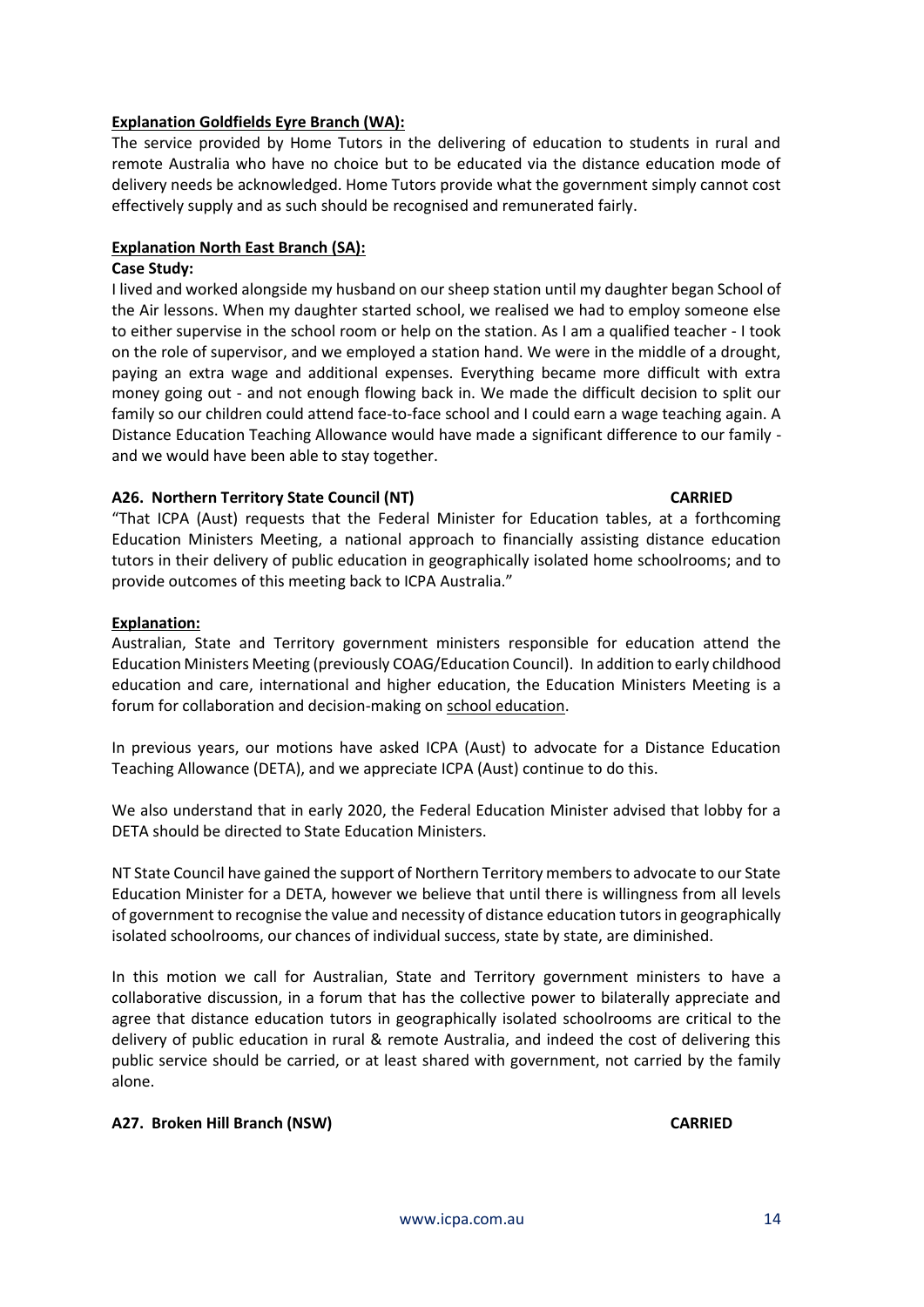# **Explanation Goldfields Eyre Branch (WA):**

The service provided by Home Tutors in the delivering of education to students in rural and remote Australia who have no choice but to be educated via the distance education mode of delivery needs be acknowledged. Home Tutors provide what the government simply cannot cost effectively supply and as such should be recognised and remunerated fairly.

# **Explanation North East Branch (SA):**

## **Case Study:**

I lived and worked alongside my husband on our sheep station until my daughter began School of the Air lessons. When my daughter started school, we realised we had to employ someone else to either supervise in the school room or help on the station. As I am a qualified teacher - I took on the role of supervisor, and we employed a station hand. We were in the middle of a drought, paying an extra wage and additional expenses. Everything became more difficult with extra money going out - and not enough flowing back in. We made the difficult decision to split our family so our children could attend face-to-face school and I could earn a wage teaching again. A Distance Education Teaching Allowance would have made a significant difference to our family and we would have been able to stay together.

# **A26. Northern Territory State Council (NT) CARRIED**

"That ICPA (Aust) requests that the Federal Minister for Education tables, at a forthcoming Education Ministers Meeting, a national approach to financially assisting distance education tutors in their delivery of public education in geographically isolated home schoolrooms; and to provide outcomes of this meeting back to ICPA Australia."

# **Explanation:**

Australian, State and Territory government ministers responsible for education attend the Education Ministers Meeting (previously COAG/Education Council). In addition to early childhood education and care, international and higher education, the Education Ministers Meeting is a forum for collaboration and decision-making on school education.

In previous years, our motions have asked ICPA (Aust) to advocate for a Distance Education Teaching Allowance (DETA), and we appreciate ICPA (Aust) continue to do this.

We also understand that in early 2020, the Federal Education Minister advised that lobby for a DETA should be directed to State Education Ministers.

NT State Council have gained the support of Northern Territory members to advocate to our State Education Minister for a DETA, however we believe that until there is willingness from all levels of government to recognise the value and necessity of distance education tutors in geographically isolated schoolrooms, our chances of individual success, state by state, are diminished.

In this motion we call for Australian, State and Territory government ministers to have a collaborative discussion, in a forum that has the collective power to bilaterally appreciate and agree that distance education tutors in geographically isolated schoolrooms are critical to the delivery of public education in rural & remote Australia, and indeed the cost of delivering this public service should be carried, or at least shared with government, not carried by the family alone.

# **A27. Broken Hill Branch (NSW) CARRIED**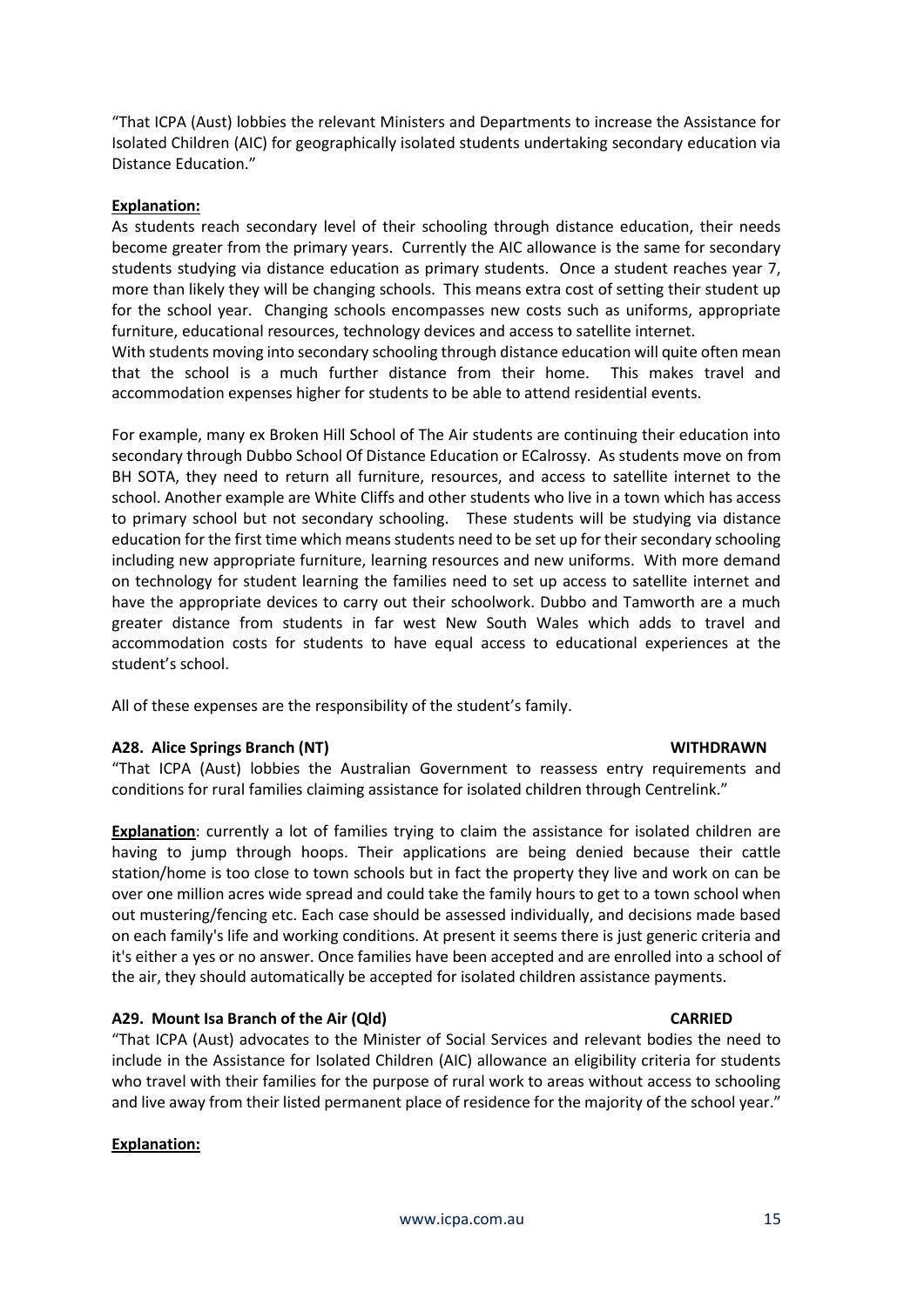"That ICPA (Aust) lobbies the relevant Ministers and Departments to increase the Assistance for Isolated Children (AIC) for geographically isolated students undertaking secondary education via Distance Education."

### **Explanation:**

As students reach secondary level of their schooling through distance education, their needs become greater from the primary years. Currently the AIC allowance is the same for secondary students studying via distance education as primary students. Once a student reaches year 7, more than likely they will be changing schools. This means extra cost of setting their student up for the school year. Changing schools encompasses new costs such as uniforms, appropriate furniture, educational resources, technology devices and access to satellite internet. With students moving into secondary schooling through distance education will quite often mean

that the school is a much further distance from their home. This makes travel and accommodation expenses higher for students to be able to attend residential events.

For example, many ex Broken Hill School of The Air students are continuing their education into secondary through Dubbo School Of Distance Education or ECalrossy. As students move on from BH SOTA, they need to return all furniture, resources, and access to satellite internet to the school. Another example are White Cliffs and other students who live in a town which has access to primary school but not secondary schooling. These students will be studying via distance education for the first time which means students need to be set up for their secondary schooling including new appropriate furniture, learning resources and new uniforms. With more demand on technology for student learning the families need to set up access to satellite internet and have the appropriate devices to carry out their schoolwork. Dubbo and Tamworth are a much greater distance from students in far west New South Wales which adds to travel and accommodation costs for students to have equal access to educational experiences at the student's school.

All of these expenses are the responsibility of the student's family.

### **A28. Alice Springs Branch (NT) WITHDRAWN**

"That ICPA (Aust) lobbies the Australian Government to reassess entry requirements and conditions for rural families claiming assistance for isolated children through Centrelink."

**Explanation**: currently a lot of families trying to claim the assistance for isolated children are having to jump through hoops. Their applications are being denied because their cattle station/home is too close to town schools but in fact the property they live and work on can be over one million acres wide spread and could take the family hours to get to a town school when out mustering/fencing etc. Each case should be assessed individually, and decisions made based on each family's life and working conditions. At present it seems there is just generic criteria and it's either a yes or no answer. Once families have been accepted and are enrolled into a school of the air, they should automatically be accepted for isolated children assistance payments.

# **A29. Mount Isa Branch of the Air (Qld) CARRIED**

"That ICPA (Aust) advocates to the Minister of Social Services and relevant bodies the need to include in the Assistance for Isolated Children (AIC) allowance an eligibility criteria for students who travel with their families for the purpose of rural work to areas without access to schooling and live away from their listed permanent place of residence for the majority of the school year."

# **Explanation:**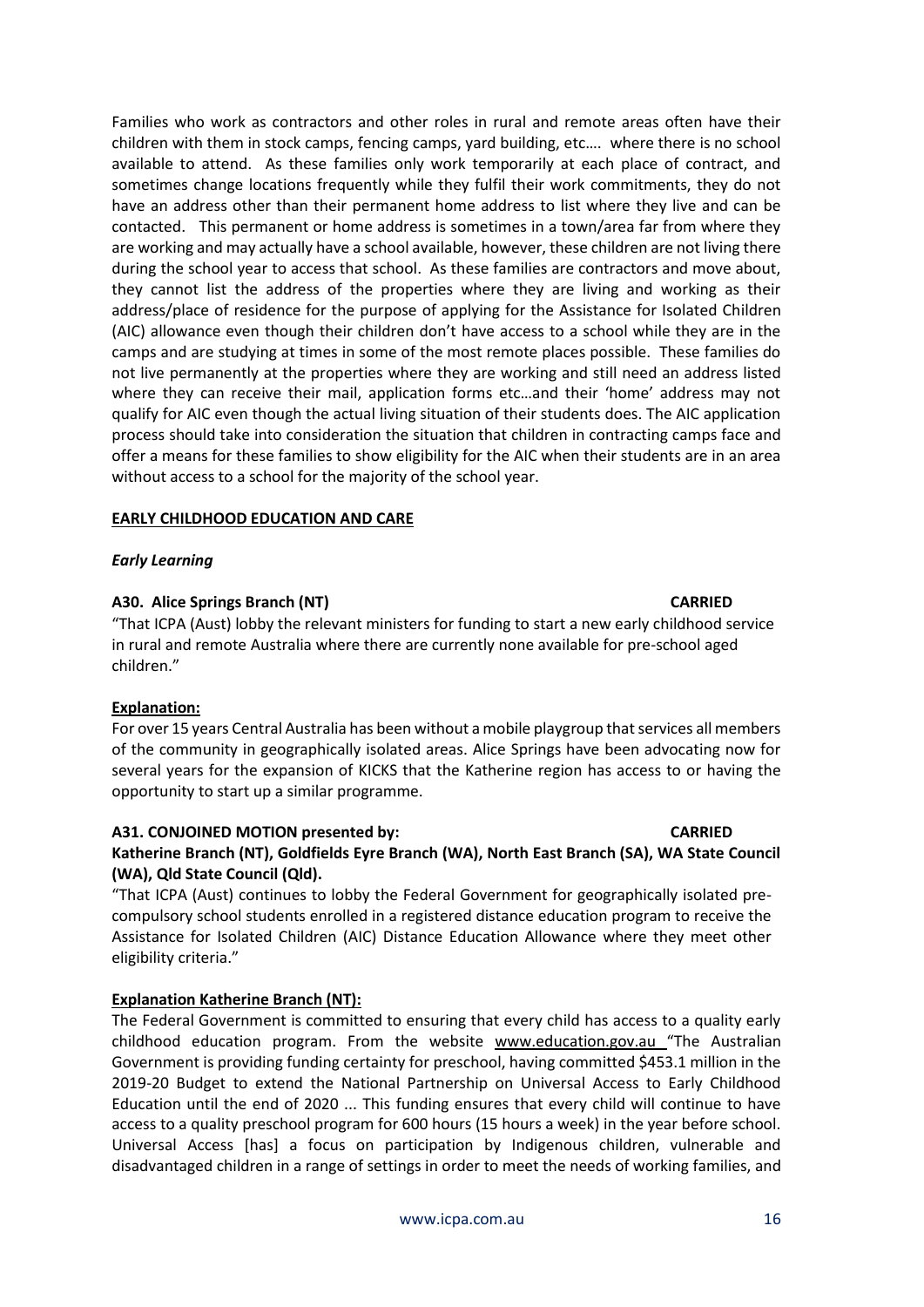Families who work as contractors and other roles in rural and remote areas often have their children with them in stock camps, fencing camps, yard building, etc…. where there is no school available to attend. As these families only work temporarily at each place of contract, and sometimes change locations frequently while they fulfil their work commitments, they do not have an address other than their permanent home address to list where they live and can be contacted. This permanent or home address is sometimes in a town/area far from where they are working and may actually have a school available, however, these children are not living there during the school year to access that school. As these families are contractors and move about, they cannot list the address of the properties where they are living and working as their address/place of residence for the purpose of applying for the Assistance for Isolated Children (AIC) allowance even though their children don't have access to a school while they are in the camps and are studying at times in some of the most remote places possible. These families do not live permanently at the properties where they are working and still need an address listed where they can receive their mail, application forms etc…and their 'home' address may not qualify for AIC even though the actual living situation of their students does. The AIC application process should take into consideration the situation that children in contracting camps face and offer a means for these families to show eligibility for the AIC when their students are in an area without access to a school for the majority of the school year.

### **EARLY CHILDHOOD EDUCATION AND CARE**

#### *Early Learning*

#### **A30. Alice Springs Branch (NT) CARRIED**

"That ICPA (Aust) lobby the relevant ministers for funding to start a new early childhood service in rural and remote Australia where there are currently none available for pre-school aged children."

### **Explanation:**

For over 15 years Central Australia has been without a mobile playgroup that services all members of the community in geographically isolated areas. Alice Springs have been advocating now for several years for the expansion of KICKS that the Katherine region has access to or having the opportunity to start up a similar programme.

#### **A31. CONJOINED MOTION presented by: CARRIED**

# **Katherine Branch (NT), Goldfields Eyre Branch (WA), North East Branch (SA), WA State Council (WA), Qld State Council (Qld).**

"That ICPA (Aust) continues to lobby the Federal Government for geographically isolated precompulsory school students enrolled in a registered distance education program to receive the Assistance for Isolated Children (AIC) Distance Education Allowance where they meet other eligibility criteria."

### **Explanation Katherine Branch (NT):**

The Federal Government is committed to ensuring that every child has access to a quality early childhood education program. From the website [www.education.gov.au](http://www.education.gov.au/) "The Australian Government is providing funding certainty for preschool, having committed \$453.1 million in the 2019-20 Budget to extend the National Partnership on Universal Access to Early Childhood Education until the end of 2020 ... This funding ensures that every child will continue to have access to a quality preschool program for 600 hours (15 hours a week) in the year before school. Universal Access [has] a focus on participation by Indigenous children, vulnerable and disadvantaged children in a range of settings in order to meet the needs of working families, and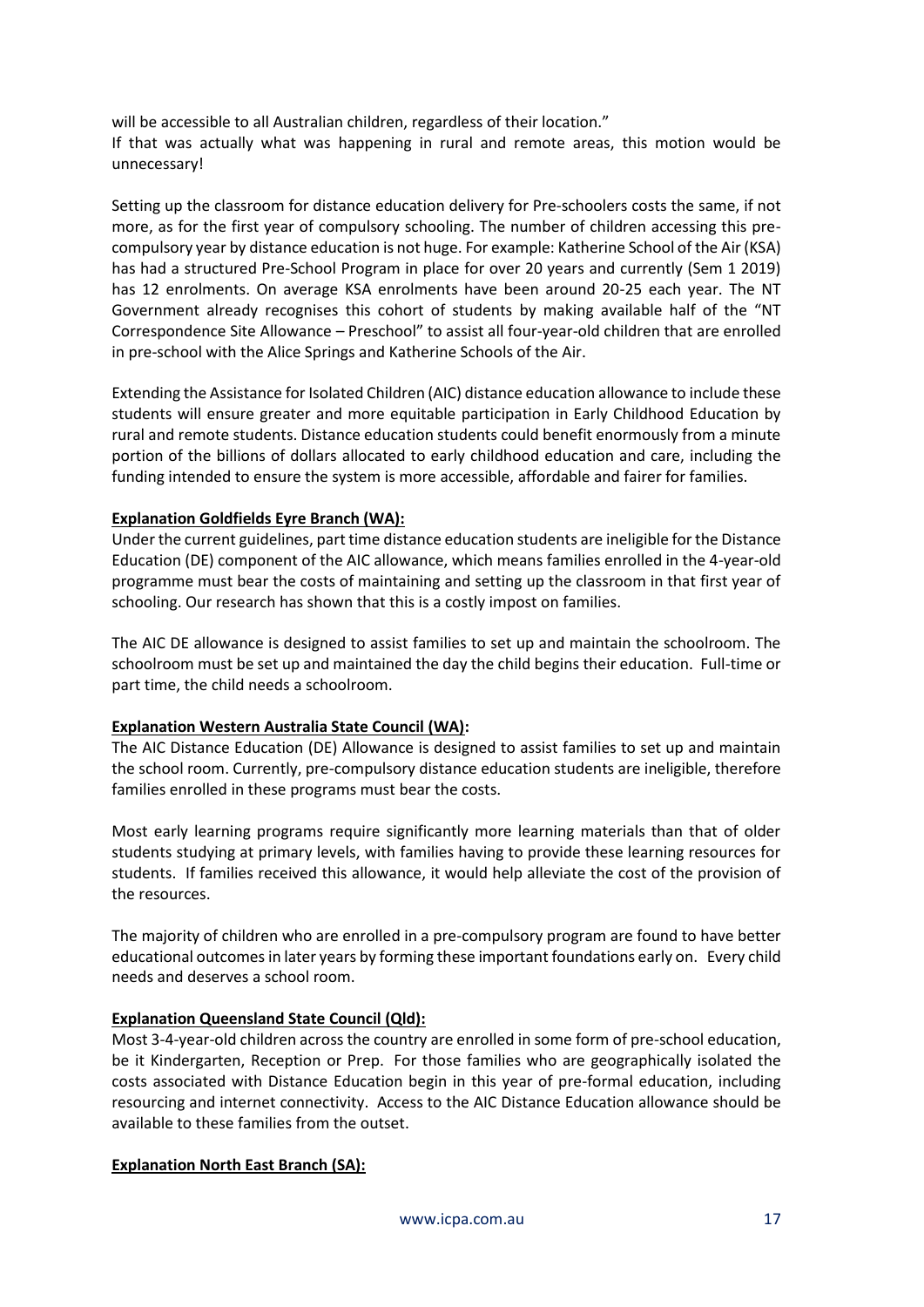will be accessible to all Australian children, regardless of their location." If that was actually what was happening in rural and remote areas, this motion would be unnecessary!

Setting up the classroom for distance education delivery for Pre-schoolers costs the same, if not more, as for the first year of compulsory schooling. The number of children accessing this precompulsory year by distance education is not huge. For example: Katherine School of the Air (KSA) has had a structured Pre-School Program in place for over 20 years and currently (Sem 1 2019) has 12 enrolments. On average KSA enrolments have been around 20-25 each year. The NT Government already recognises this cohort of students by making available half of the "NT Correspondence Site Allowance – Preschool" to assist all four-year-old children that are enrolled in pre-school with the Alice Springs and Katherine Schools of the Air.

Extending the Assistance for Isolated Children (AIC) distance education allowance to include these students will ensure greater and more equitable participation in Early Childhood Education by rural and remote students. Distance education students could benefit enormously from a minute portion of the billions of dollars allocated to early childhood education and care, including the funding intended to ensure the system is more accessible, affordable and fairer for families.

# **Explanation Goldfields Eyre Branch (WA):**

Under the current guidelines, part time distance education students are ineligible for the Distance Education (DE) component of the AIC allowance, which means families enrolled in the 4-year-old programme must bear the costs of maintaining and setting up the classroom in that first year of schooling. Our research has shown that this is a costly impost on families.

The AIC DE allowance is designed to assist families to set up and maintain the schoolroom. The schoolroom must be set up and maintained the day the child begins their education. Full-time or part time, the child needs a schoolroom.

# **Explanation Western Australia State Council (WA):**

The AIC Distance Education (DE) Allowance is designed to assist families to set up and maintain the school room. Currently, pre-compulsory distance education students are ineligible, therefore families enrolled in these programs must bear the costs.

Most early learning programs require significantly more learning materials than that of older students studying at primary levels, with families having to provide these learning resources for students. If families received this allowance, it would help alleviate the cost of the provision of the resources.

The majority of children who are enrolled in a pre-compulsory program are found to have better educational outcomes in later years by forming these important foundations early on. Every child needs and deserves a school room.

# **Explanation Queensland State Council (Qld):**

Most 3-4-year-old children across the country are enrolled in some form of pre-school education, be it Kindergarten, Reception or Prep. For those families who are geographically isolated the costs associated with Distance Education begin in this year of pre-formal education, including resourcing and internet connectivity. Access to the AIC Distance Education allowance should be available to these families from the outset.

# **Explanation North East Branch (SA):**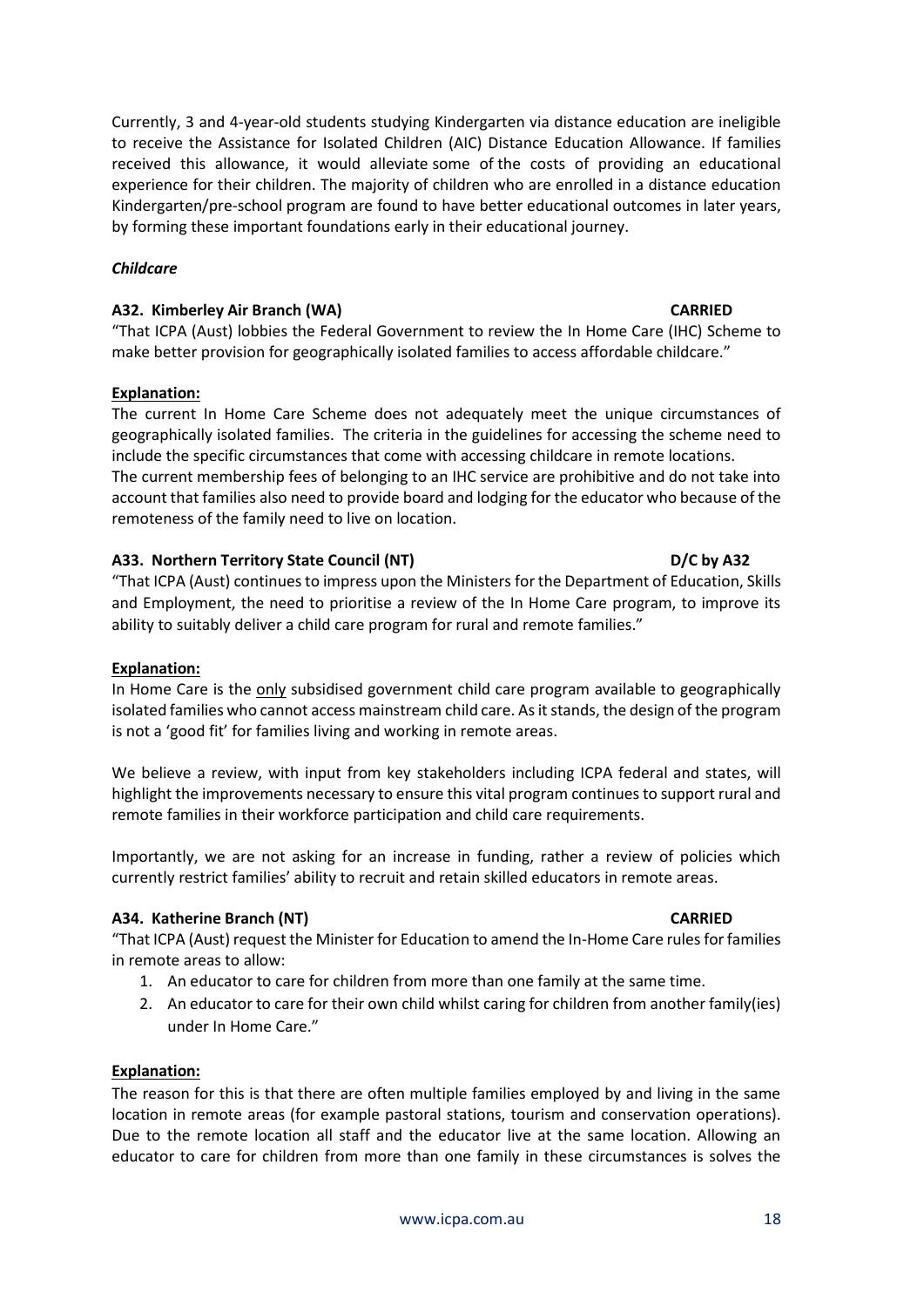Currently, 3 and 4-year-old students studying Kindergarten via distance education are ineligible to receive the Assistance for Isolated Children (AIC) Distance Education Allowance. If families received this allowance, it would alleviate some of the costs of providing an educational experience for their children. The majority of children who are enrolled in a distance education Kindergarten/pre-school program are found to have better educational outcomes in later years, by forming these important foundations early in their educational journey.

## *Childcare*

## **A32. Kimberley Air Branch (WA) CARRIED**

"That ICPA (Aust) lobbies the Federal Government to review the In Home Care (IHC) Scheme to make better provision for geographically isolated families to access affordable childcare."

# **Explanation:**

The current In Home Care Scheme does not adequately meet the unique circumstances of geographically isolated families. The criteria in the guidelines for accessing the scheme need to include the specific circumstances that come with accessing childcare in remote locations. The current membership fees of belonging to an IHC service are prohibitive and do not take into account that families also need to provide board and lodging for the educator who because of the remoteness of the family need to live on location.

# **A33. Northern Territory State Council (NT) D/C by A32**

# "That ICPA (Aust) continues to impress upon the Ministers for the Department of Education, Skills and Employment, the need to prioritise a review of the In Home Care program, to improve its ability to suitably deliver a child care program for rural and remote families."

### **Explanation:**

In Home Care is the only subsidised government child care program available to geographically isolated families who cannot access mainstream child care. As it stands, the design of the program is not a 'good fit' for families living and working in remote areas.

We believe a review, with input from key stakeholders including ICPA federal and states, will highlight the improvements necessary to ensure this vital program continues to support rural and remote families in their workforce participation and child care requirements.

Importantly, we are not asking for an increase in funding, rather a review of policies which currently restrict families' ability to recruit and retain skilled educators in remote areas.

### **A34. Katherine Branch (NT) CARRIED**

"That ICPA (Aust) request the Minister for Education to amend the In-Home Care rules for families in remote areas to allow:

- 1. An educator to care for children from more than one family at the same time.
- 2. An educator to care for their own child whilst caring for children from another family(ies) under In Home Care."

### **Explanation:**

The reason for this is that there are often multiple families employed by and living in the same location in remote areas (for example pastoral stations, tourism and conservation operations). Due to the remote location all staff and the educator live at the same location. Allowing an educator to care for children from more than one family in these circumstances is solves the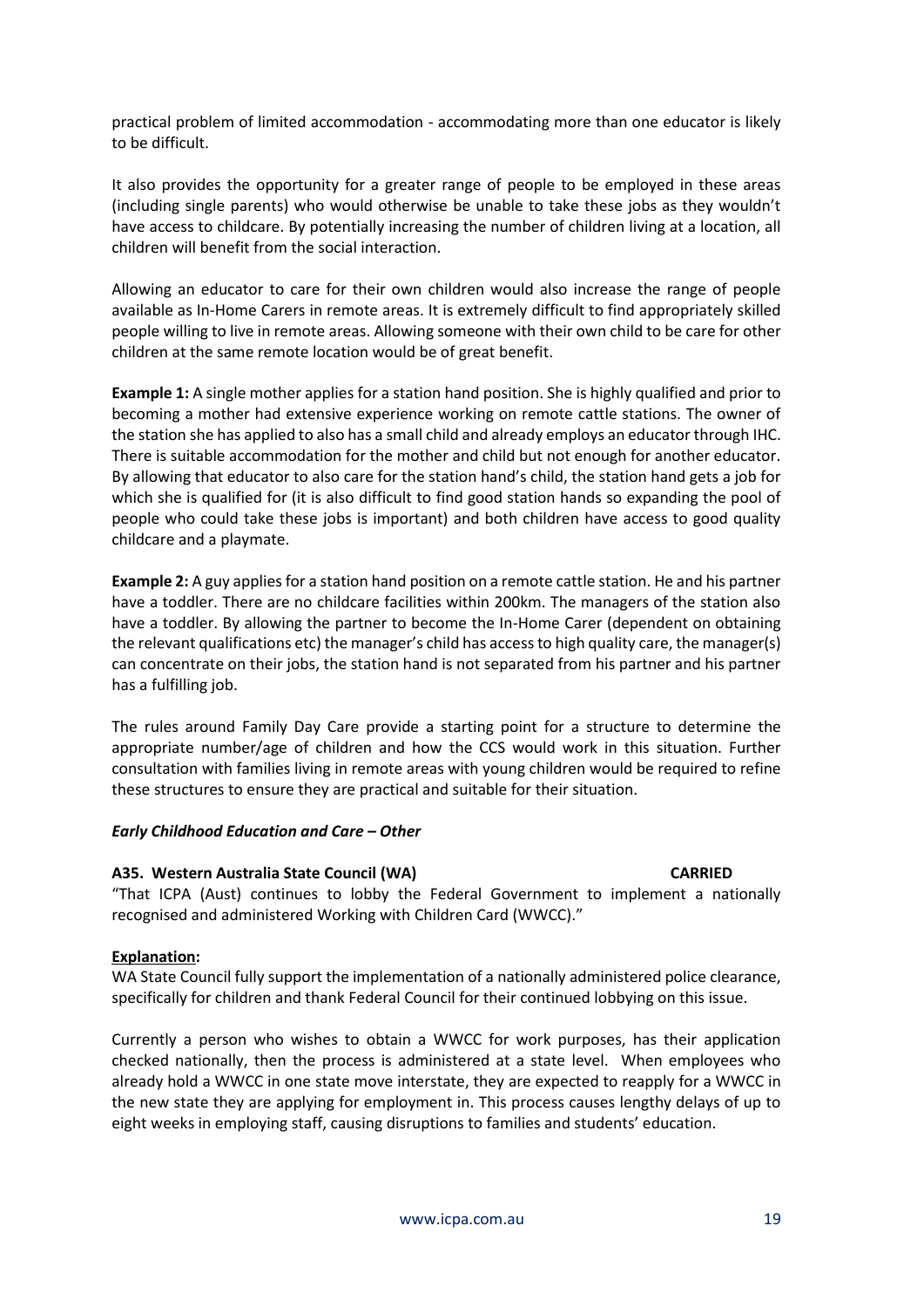practical problem of limited accommodation - accommodating more than one educator is likely to be difficult.

It also provides the opportunity for a greater range of people to be employed in these areas (including single parents) who would otherwise be unable to take these jobs as they wouldn't have access to childcare. By potentially increasing the number of children living at a location, all children will benefit from the social interaction.

Allowing an educator to care for their own children would also increase the range of people available as In-Home Carers in remote areas. It is extremely difficult to find appropriately skilled people willing to live in remote areas. Allowing someone with their own child to be care for other children at the same remote location would be of great benefit.

**Example 1:** A single mother applies for a station hand position. She is highly qualified and prior to becoming a mother had extensive experience working on remote cattle stations. The owner of the station she has applied to also has a small child and already employs an educator through IHC. There is suitable accommodation for the mother and child but not enough for another educator. By allowing that educator to also care for the station hand's child, the station hand gets a job for which she is qualified for (it is also difficult to find good station hands so expanding the pool of people who could take these jobs is important) and both children have access to good quality childcare and a playmate.

**Example 2:** A guy applies for a station hand position on a remote cattle station. He and his partner have a toddler. There are no childcare facilities within 200km. The managers of the station also have a toddler. By allowing the partner to become the In-Home Carer (dependent on obtaining the relevant qualifications etc) the manager's child has access to high quality care, the manager(s) can concentrate on their jobs, the station hand is not separated from his partner and his partner has a fulfilling job.

The rules around Family Day Care provide a starting point for a structure to determine the appropriate number/age of children and how the CCS would work in this situation. Further consultation with families living in remote areas with young children would be required to refine these structures to ensure they are practical and suitable for their situation.

### *Early Childhood Education and Care – Other*

#### **A35. Western Australia State Council (WA) CARRIED**

"That ICPA (Aust) continues to lobby the Federal Government to implement a nationally recognised and administered Working with Children Card (WWCC)."

### **Explanation:**

WA State Council fully support the implementation of a nationally administered police clearance, specifically for children and thank Federal Council for their continued lobbying on this issue.

Currently a person who wishes to obtain a WWCC for work purposes, has their application checked nationally, then the process is administered at a state level. When employees who already hold a WWCC in one state move interstate, they are expected to reapply for a WWCC in the new state they are applying for employment in. This process causes lengthy delays of up to eight weeks in employing staff, causing disruptions to families and students' education.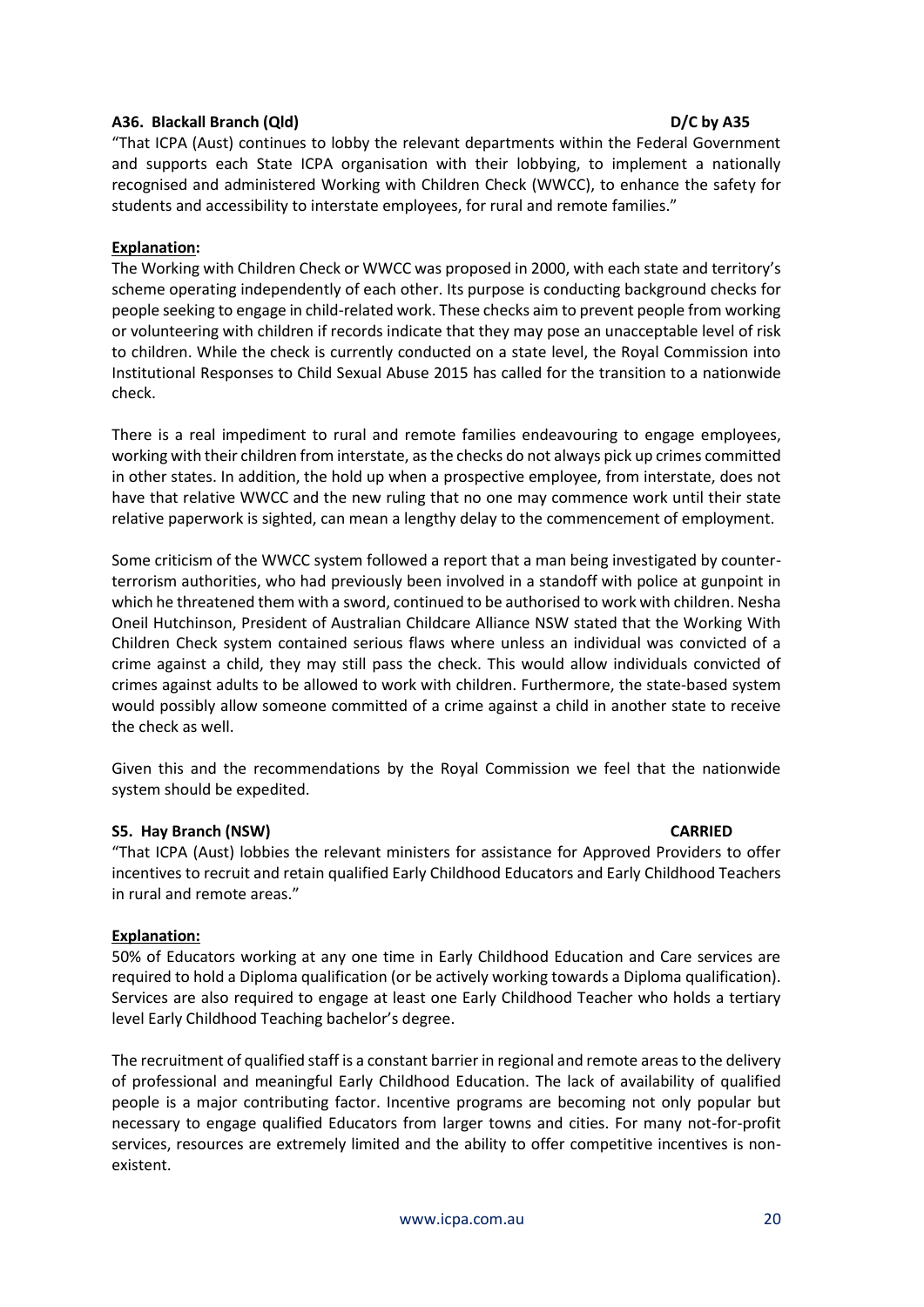## **A36. Blackall Branch (Qld) D/C by A35**

"That ICPA (Aust) continues to lobby the relevant departments within the Federal Government and supports each State ICPA organisation with their lobbying, to implement a nationally recognised and administered Working with Children Check (WWCC), to enhance the safety for students and accessibility to interstate employees, for rural and remote families."

## **Explanation:**

The Working with Children Check or WWCC was proposed in 2000, with each state and territory's scheme operating independently of each other. Its purpose is conducting background checks for people seeking to engage in child-related work. These checks aim to prevent people from working or volunteering with children if records indicate that they may pose an unacceptable level of risk to children. While the check is currently conducted on a state level, the Royal Commission into Institutional Responses to Child Sexual Abuse 2015 has called for the transition to a nationwide check.

There is a real impediment to rural and remote families endeavouring to engage employees, working with their children from interstate, as the checks do not always pick up crimes committed in other states. In addition, the hold up when a prospective employee, from interstate, does not have that relative WWCC and the new ruling that no one may commence work until their state relative paperwork is sighted, can mean a lengthy delay to the commencement of employment.

Some criticism of the WWCC system followed a report that a man being investigated by counterterrorism authorities, who had previously been involved in a standoff with police at gunpoint in which he threatened them with a sword, continued to be authorised to work with children. Nesha Oneil Hutchinson, President of Australian Childcare Alliance NSW stated that the Working With Children Check system contained serious flaws where unless an individual was convicted of a crime against a child, they may still pass the check. This would allow individuals convicted of crimes against adults to be allowed to work with children. Furthermore, the state-based system would possibly allow someone committed of a crime against a child in another state to receive the check as well.

Given this and the recommendations by the Royal Commission we feel that the nationwide system should be expedited.

### **S5. Hay Branch (NSW) CARRIED**

# "That ICPA (Aust) lobbies the relevant ministers for assistance for Approved Providers to offer incentives to recruit and retain qualified Early Childhood Educators and Early Childhood Teachers in rural and remote areas."

### **Explanation:**

50% of Educators working at any one time in Early Childhood Education and Care services are required to hold a Diploma qualification (or be actively working towards a Diploma qualification). Services are also required to engage at least one Early Childhood Teacher who holds a tertiary level Early Childhood Teaching bachelor's degree.

The recruitment of qualified staff is a constant barrier in regional and remote areas to the delivery of professional and meaningful Early Childhood Education. The lack of availability of qualified people is a major contributing factor. Incentive programs are becoming not only popular but necessary to engage qualified Educators from larger towns and cities. For many not-for-profit services, resources are extremely limited and the ability to offer competitive incentives is nonexistent.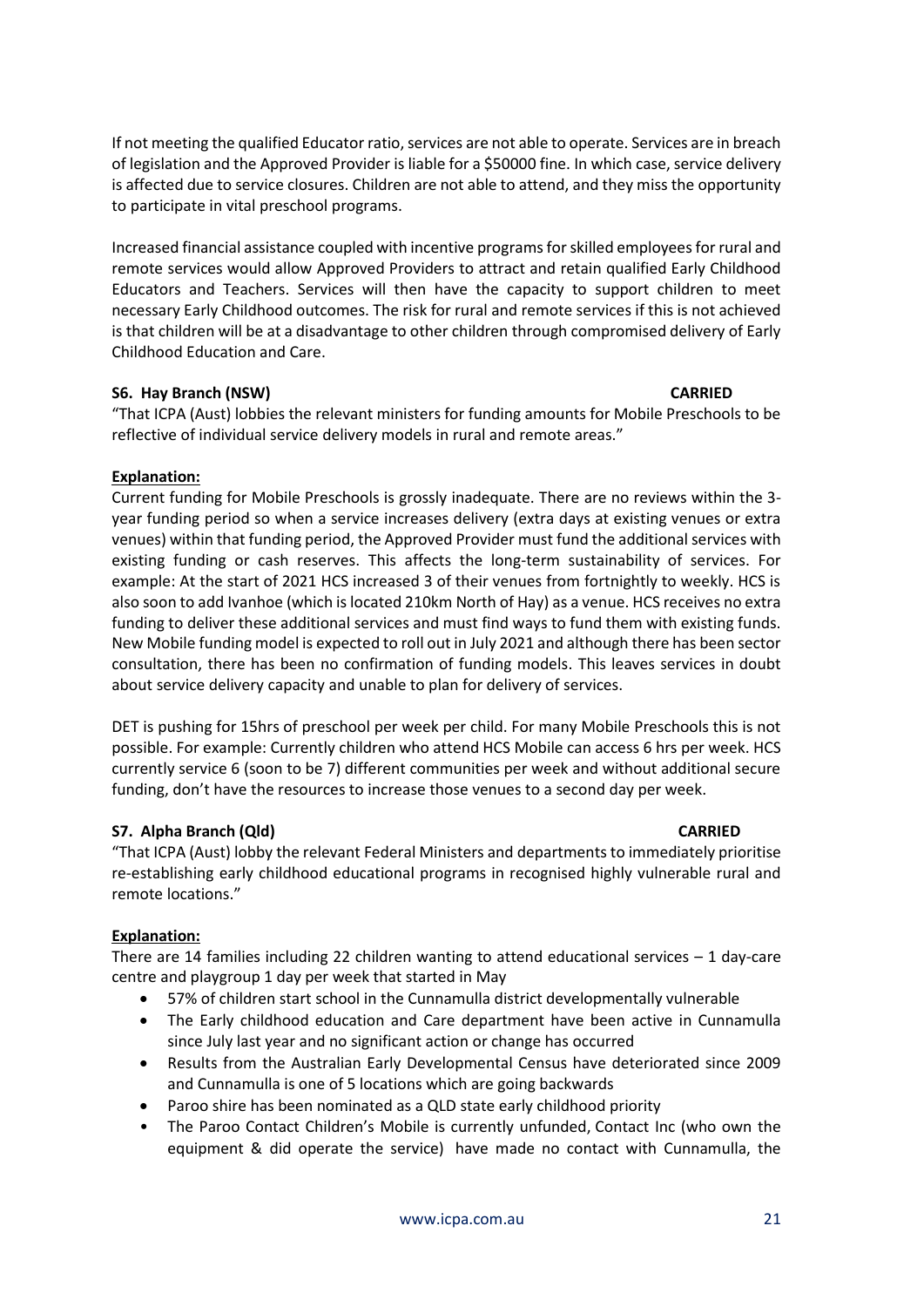If not meeting the qualified Educator ratio, services are not able to operate. Services are in breach of legislation and the Approved Provider is liable for a \$50000 fine. In which case, service delivery is affected due to service closures. Children are not able to attend, and they miss the opportunity to participate in vital preschool programs.

Increased financial assistance coupled with incentive programs for skilled employees for rural and remote services would allow Approved Providers to attract and retain qualified Early Childhood Educators and Teachers. Services will then have the capacity to support children to meet necessary Early Childhood outcomes. The risk for rural and remote services if this is not achieved is that children will be at a disadvantage to other children through compromised delivery of Early Childhood Education and Care.

# **S6. Hay Branch (NSW) CARRIED**

"That ICPA (Aust) lobbies the relevant ministers for funding amounts for Mobile Preschools to be reflective of individual service delivery models in rural and remote areas."

# **Explanation:**

Current funding for Mobile Preschools is grossly inadequate. There are no reviews within the 3 year funding period so when a service increases delivery (extra days at existing venues or extra venues) within that funding period, the Approved Provider must fund the additional services with existing funding or cash reserves. This affects the long-term sustainability of services. For example: At the start of 2021 HCS increased 3 of their venues from fortnightly to weekly. HCS is also soon to add Ivanhoe (which is located 210km North of Hay) as a venue. HCS receives no extra funding to deliver these additional services and must find ways to fund them with existing funds. New Mobile funding model is expected to roll out in July 2021 and although there has been sector consultation, there has been no confirmation of funding models. This leaves services in doubt about service delivery capacity and unable to plan for delivery of services.

DET is pushing for 15hrs of preschool per week per child. For many Mobile Preschools this is not possible. For example: Currently children who attend HCS Mobile can access 6 hrs per week. HCS currently service 6 (soon to be 7) different communities per week and without additional secure funding, don't have the resources to increase those venues to a second day per week.

# **S7. Alpha Branch (Qld)** CARRIED **CARRIED**

"That ICPA (Aust) lobby the relevant Federal Ministers and departments to immediately prioritise re-establishing early childhood educational programs in recognised highly vulnerable rural and remote locations."

# **Explanation:**

There are 14 families including 22 children wanting to attend educational services  $-1$  day-care centre and playgroup 1 day per week that started in May

- 57% of children start school in the Cunnamulla district developmentally vulnerable
- The Early childhood education and Care department have been active in Cunnamulla since July last year and no significant action or change has occurred
- Results from the Australian Early Developmental Census have deteriorated since 2009 and Cunnamulla is one of 5 locations which are going backwards
- Paroo shire has been nominated as a QLD state early childhood priority
- The Paroo Contact Children's Mobile is currently unfunded, Contact Inc (who own the equipment & did operate the service) have made no contact with Cunnamulla, the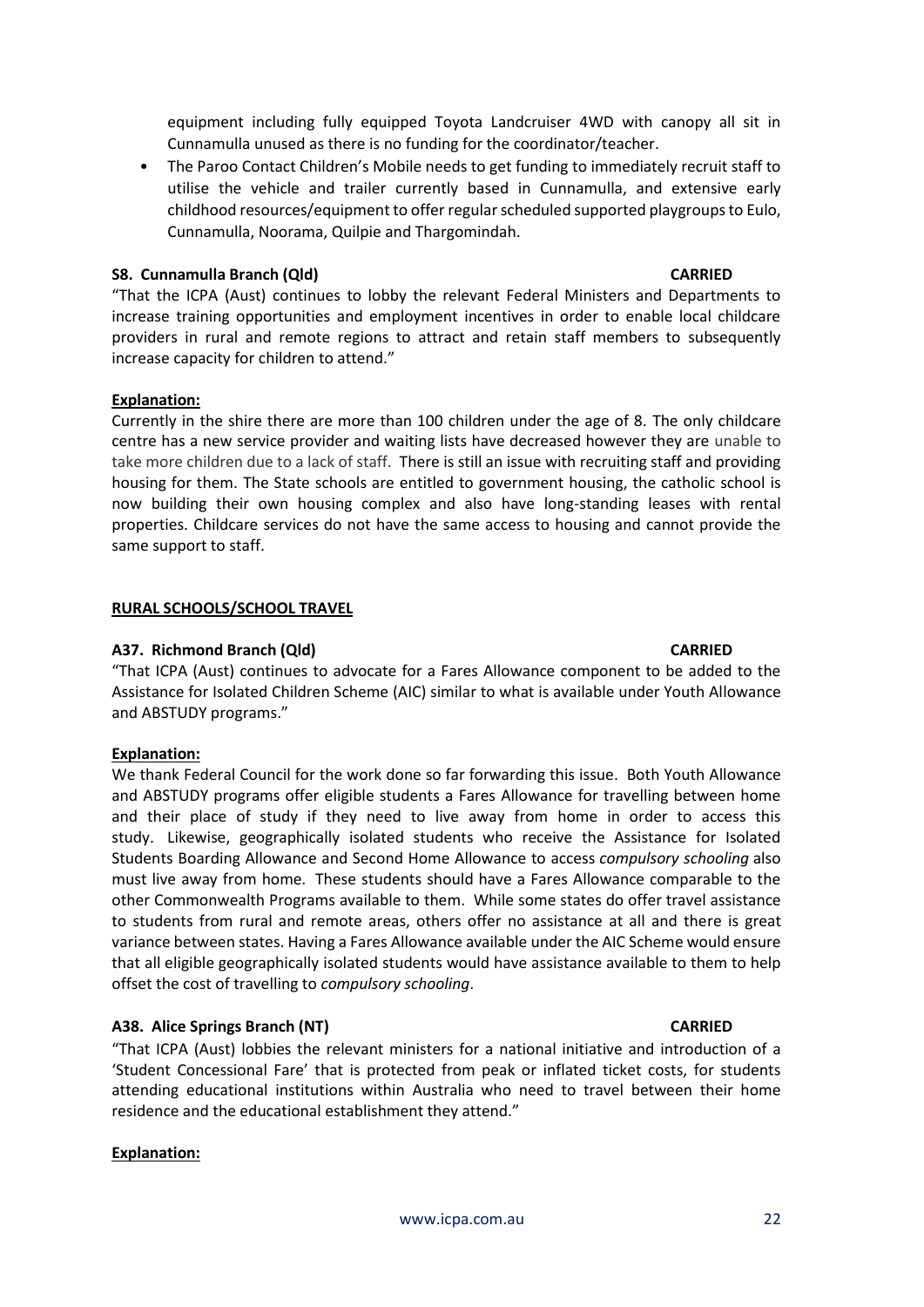**A37. Richmond Branch (Qld) CARRIED** "That ICPA (Aust) continues to advocate for a Fares Allowance component to be added to the Assistance for Isolated Children Scheme (AIC) similar to what is available under Youth Allowance and ABSTUDY programs."

### **Explanation:**

**Explanation:**

same support to staff.

**RURAL SCHOOLS/SCHOOL TRAVEL**

We thank Federal Council for the work done so far forwarding this issue. Both Youth Allowance and ABSTUDY programs offer eligible students a Fares Allowance for travelling between home and their place of study if they need to live away from home in order to access this study. Likewise, geographically isolated students who receive the Assistance for Isolated Students Boarding Allowance and Second Home Allowance to access *compulsory schooling* also must live away from home. These students should have a Fares Allowance comparable to the other Commonwealth Programs available to them. While some states do offer travel assistance to students from rural and remote areas, others offer no assistance at all and there is great variance between states. Having a Fares Allowance available under the AIC Scheme would ensure that all eligible geographically isolated students would have assistance available to them to help offset the cost of travelling to *compulsory schooling*.

#### **A38. Alice Springs Branch (NT) CARRIED**

"That ICPA (Aust) lobbies the relevant ministers for a national initiative and introduction of a 'Student Concessional Fare' that is protected from peak or inflated ticket costs, for students attending educational institutions within Australia who need to travel between their home residence and the educational establishment they attend."

#### **Explanation:**

[www.icpa.com.au](http://www.icpa.com.au/) 22

equipment including fully equipped Toyota Landcruiser 4WD with canopy all sit in Cunnamulla unused as there is no funding for the coordinator/teacher.

• The Paroo Contact Children's Mobile needs to get funding to immediately recruit staff to utilise the vehicle and trailer currently based in Cunnamulla, and extensive early childhood resources/equipment to offer regular scheduled supported playgroups to Eulo, Cunnamulla, Noorama, Quilpie and Thargomindah.

"That the ICPA (Aust) continues to lobby the relevant Federal Ministers and Departments to increase training opportunities and employment incentives in order to enable local childcare providers in rural and remote regions to attract and retain staff members to subsequently

Currently in the shire there are more than 100 children under the age of 8. The only childcare centre has a new service provider and waiting lists have decreased however they are unable to take more children due to a lack of staff. There is still an issue with recruiting staff and providing housing for them. The State schools are entitled to government housing, the catholic school is now building their own housing complex and also have long-standing leases with rental properties. Childcare services do not have the same access to housing and cannot provide the

## **S8. Cunnamulla Branch (Qld) CARRIED**

increase capacity for children to attend."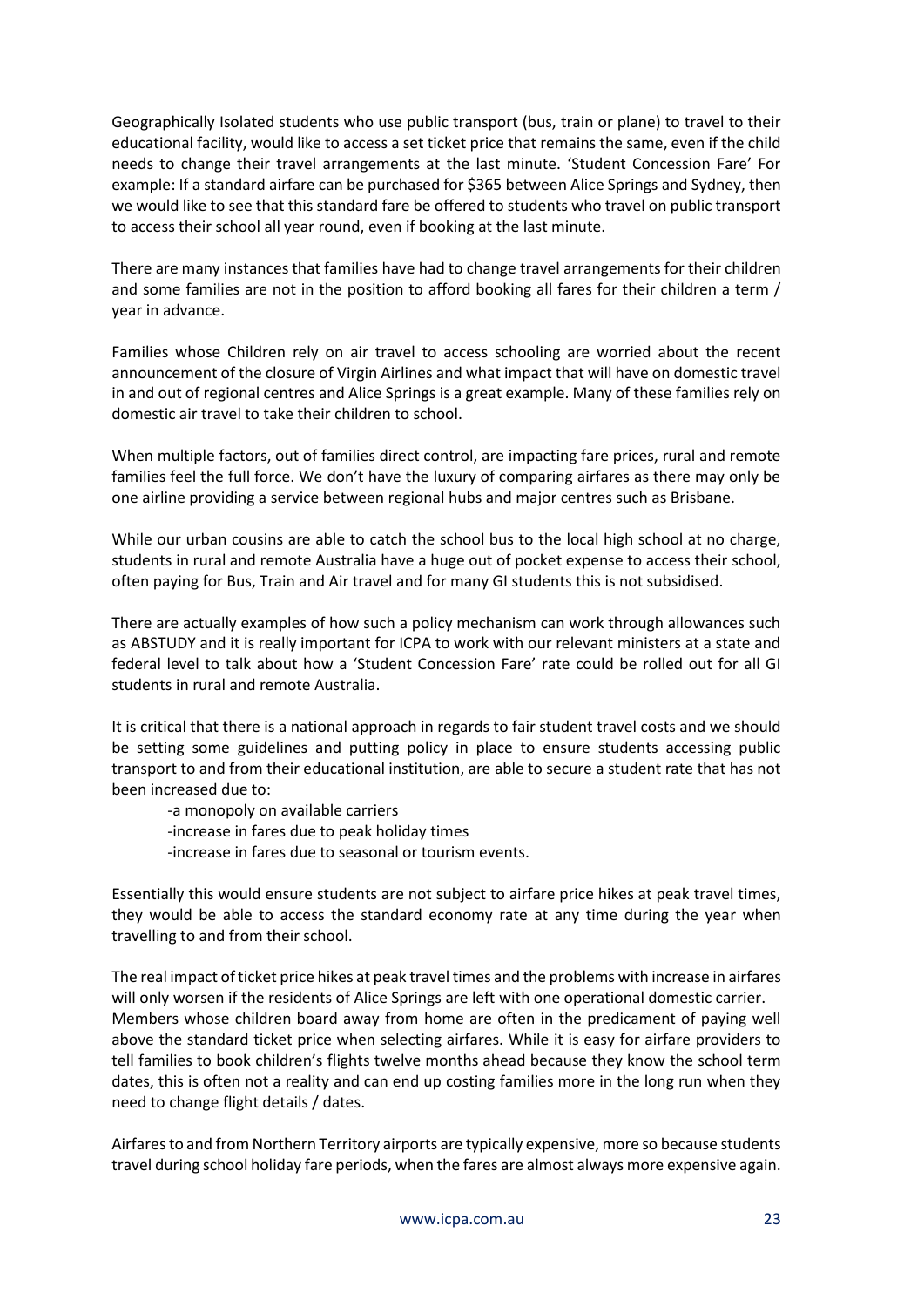Geographically Isolated students who use public transport (bus, train or plane) to travel to their educational facility, would like to access a set ticket price that remains the same, even if the child needs to change their travel arrangements at the last minute. 'Student Concession Fare' For example: If a standard airfare can be purchased for \$365 between Alice Springs and Sydney, then we would like to see that this standard fare be offered to students who travel on public transport to access their school all year round, even if booking at the last minute.

There are many instances that families have had to change travel arrangements for their children and some families are not in the position to afford booking all fares for their children a term / year in advance.

Families whose Children rely on air travel to access schooling are worried about the recent announcement of the closure of Virgin Airlines and what impact that will have on domestic travel in and out of regional centres and Alice Springs is a great example. Many of these families rely on domestic air travel to take their children to school.

When multiple factors, out of families direct control, are impacting fare prices, rural and remote families feel the full force. We don't have the luxury of comparing airfares as there may only be one airline providing a service between regional hubs and major centres such as Brisbane.

While our urban cousins are able to catch the school bus to the local high school at no charge, students in rural and remote Australia have a huge out of pocket expense to access their school, often paying for Bus, Train and Air travel and for many GI students this is not subsidised.

There are actually examples of how such a policy mechanism can work through allowances such as ABSTUDY and it is really important for ICPA to work with our relevant ministers at a state and federal level to talk about how a 'Student Concession Fare' rate could be rolled out for all GI students in rural and remote Australia.

It is critical that there is a national approach in regards to fair student travel costs and we should be setting some guidelines and putting policy in place to ensure students accessing public transport to and from their educational institution, are able to secure a student rate that has not been increased due to:

-a monopoly on available carriers

-increase in fares due to peak holiday times

-increase in fares due to seasonal or tourism events.

Essentially this would ensure students are not subject to airfare price hikes at peak travel times, they would be able to access the standard economy rate at any time during the year when travelling to and from their school.

The real impact of ticket price hikes at peak travel times and the problems with increase in airfares will only worsen if the residents of Alice Springs are left with one operational domestic carrier. Members whose children board away from home are often in the predicament of paying well above the standard ticket price when selecting airfares. While it is easy for airfare providers to tell families to book children's flights twelve months ahead because they know the school term dates, this is often not a reality and can end up costing families more in the long run when they need to change flight details / dates.

Airfares to and from Northern Territory airports are typically expensive, more so because students travel during school holiday fare periods, when the fares are almost always more expensive again.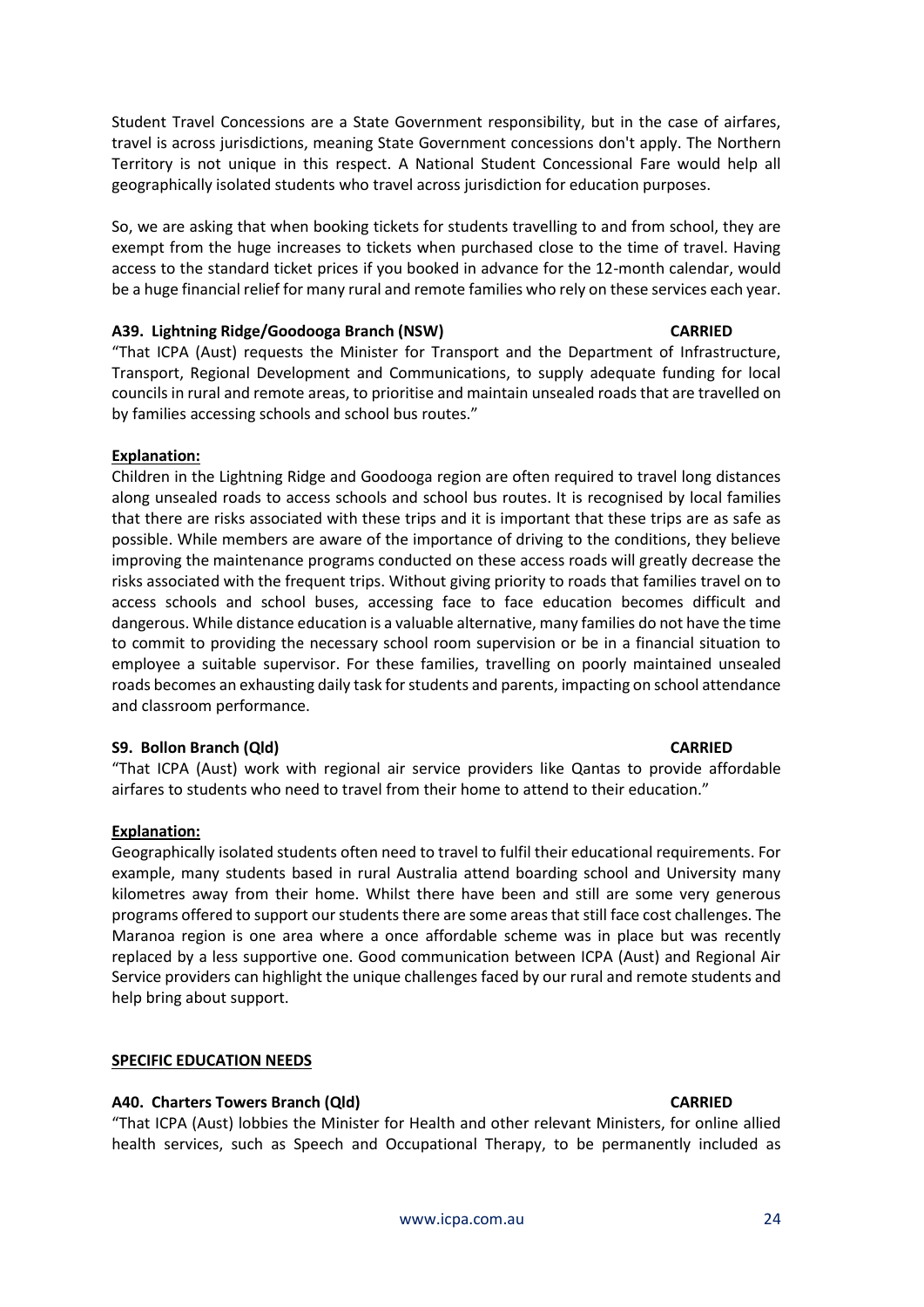Student Travel Concessions are a State Government responsibility, but in the case of airfares, travel is across jurisdictions, meaning State Government concessions don't apply. The Northern Territory is not unique in this respect. A National Student Concessional Fare would help all geographically isolated students who travel across jurisdiction for education purposes.

So, we are asking that when booking tickets for students travelling to and from school, they are exempt from the huge increases to tickets when purchased close to the time of travel. Having access to the standard ticket prices if you booked in advance for the 12-month calendar, would be a huge financial relief for many rural and remote families who rely on these services each year.

#### **A39. Lightning Ridge/Goodooga Branch (NSW) CARRIED**

"That ICPA (Aust) requests the Minister for Transport and the Department of Infrastructure, Transport, Regional Development and Communications, to supply adequate funding for local councils in rural and remote areas, to prioritise and maintain unsealed roads that are travelled on by families accessing schools and school bus routes."

# **Explanation:**

Children in the Lightning Ridge and Goodooga region are often required to travel long distances along unsealed roads to access schools and school bus routes. It is recognised by local families that there are risks associated with these trips and it is important that these trips are as safe as possible. While members are aware of the importance of driving to the conditions, they believe improving the maintenance programs conducted on these access roads will greatly decrease the risks associated with the frequent trips. Without giving priority to roads that families travel on to access schools and school buses, accessing face to face education becomes difficult and dangerous. While distance education is a valuable alternative, many families do not have the time to commit to providing the necessary school room supervision or be in a financial situation to employee a suitable supervisor. For these families, travelling on poorly maintained unsealed roads becomes an exhausting daily task for students and parents, impacting on school attendance and classroom performance.

### **S9. Bollon Branch (Qld) CARRIED**

"That ICPA (Aust) work with regional air service providers like Qantas to provide affordable airfares to students who need to travel from their home to attend to their education."

### **Explanation:**

Geographically isolated students often need to travel to fulfil their educational requirements. For example, many students based in rural Australia attend boarding school and University many kilometres away from their home. Whilst there have been and still are some very generous programs offered to support our students there are some areas that still face cost challenges. The Maranoa region is one area where a once affordable scheme was in place but was recently replaced by a less supportive one. Good communication between ICPA (Aust) and Regional Air Service providers can highlight the unique challenges faced by our rural and remote students and help bring about support.

### **SPECIFIC EDUCATION NEEDS**

### **A40. Charters Towers Branch (Qld) CARRIED**

"That ICPA (Aust) lobbies the Minister for Health and other relevant Ministers, for online allied health services, such as Speech and Occupational Therapy, to be permanently included as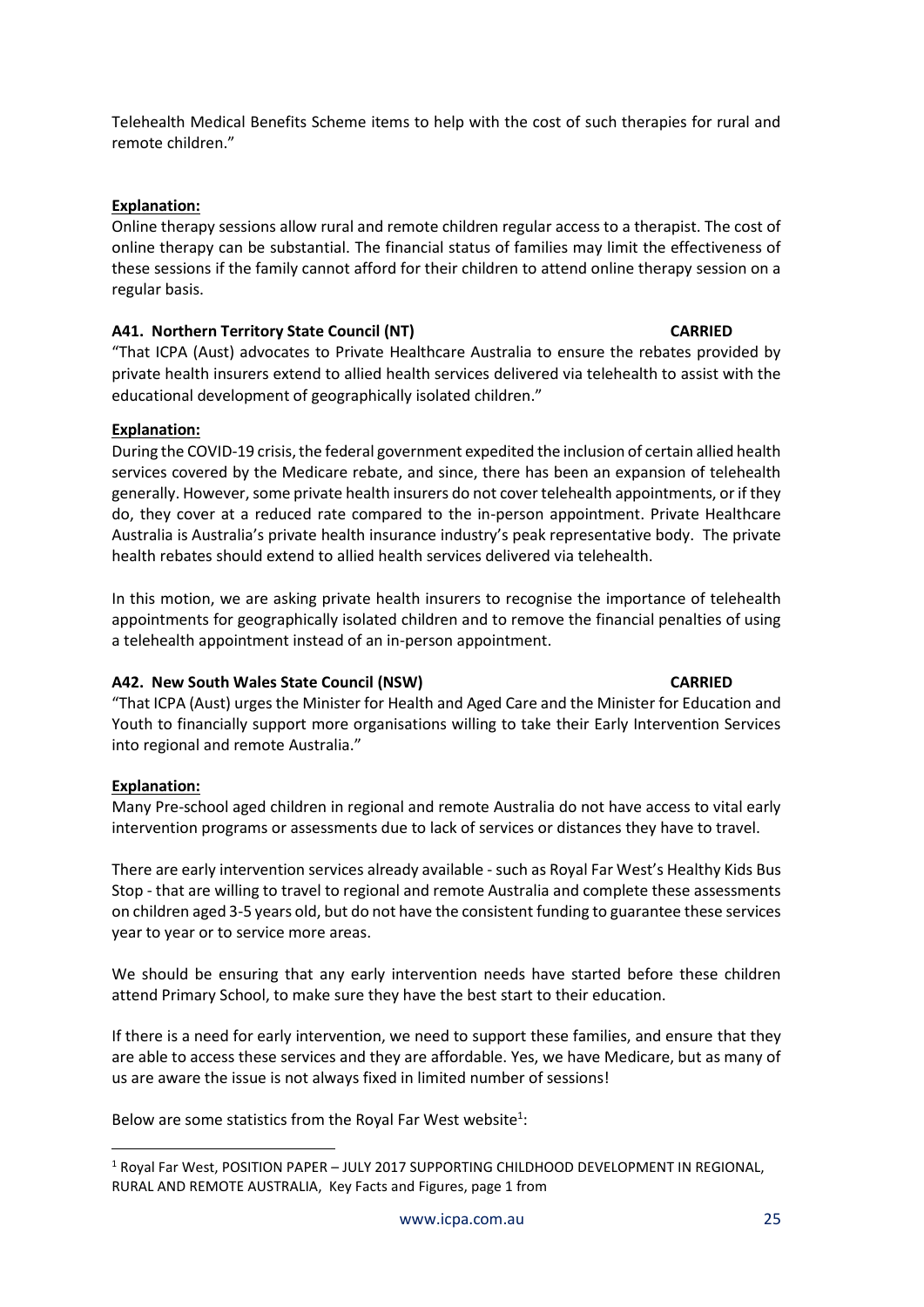Telehealth Medical Benefits Scheme items to help with the cost of such therapies for rural and remote children."

# **Explanation:**

Online therapy sessions allow rural and remote children regular access to a therapist. The cost of online therapy can be substantial. The financial status of families may limit the effectiveness of these sessions if the family cannot afford for their children to attend online therapy session on a regular basis.

# **A41. Northern Territory State Council (NT) CARRIED**

"That ICPA (Aust) advocates to Private Healthcare Australia to ensure the rebates provided by private health insurers extend to allied health services delivered via telehealth to assist with the educational development of geographically isolated children."

# **Explanation:**

During the COVID-19 crisis, the federal government expedited the inclusion of certain allied health services covered by the Medicare rebate, and since, there has been an expansion of telehealth generally. However, some private health insurers do not cover telehealth appointments, or if they do, they cover at a reduced rate compared to the in-person appointment. Private Healthcare Australia is Australia's private health insurance industry's peak representative body. The private health rebates should extend to allied health services delivered via telehealth.

In this motion, we are asking private health insurers to recognise the importance of telehealth appointments for geographically isolated children and to remove the financial penalties of using a telehealth appointment instead of an in-person appointment.

# **A42. New South Wales State Council (NSW) CARRIED**

"That ICPA (Aust) urges the Minister for Health and Aged Care and the Minister for Education and Youth to financially support more organisations willing to take their Early Intervention Services into regional and remote Australia."

# **Explanation:**

Many Pre-school aged children in regional and remote Australia do not have access to vital early intervention programs or assessments due to lack of services or distances they have to travel.

There are early intervention services already available - such as Royal Far West's Healthy Kids Bus Stop - that are willing to travel to regional and remote Australia and complete these assessments on children aged 3-5 years old, but do not have the consistent funding to guarantee these services year to year or to service more areas.

We should be ensuring that any early intervention needs have started before these children attend Primary School, to make sure they have the best start to their education.

If there is a need for early intervention, we need to support these families, and ensure that they are able to access these services and they are affordable. Yes, we have Medicare, but as many of us are aware the issue is not always fixed in limited number of sessions!

Below are some statistics from the Royal Far West website<sup>1</sup>:

<sup>&</sup>lt;sup>1</sup> Royal Far West, POSITION PAPER - JULY 2017 SUPPORTING CHILDHOOD DEVELOPMENT IN REGIONAL, RURAL AND REMOTE AUSTRALIA, Key Facts and Figures, page 1 from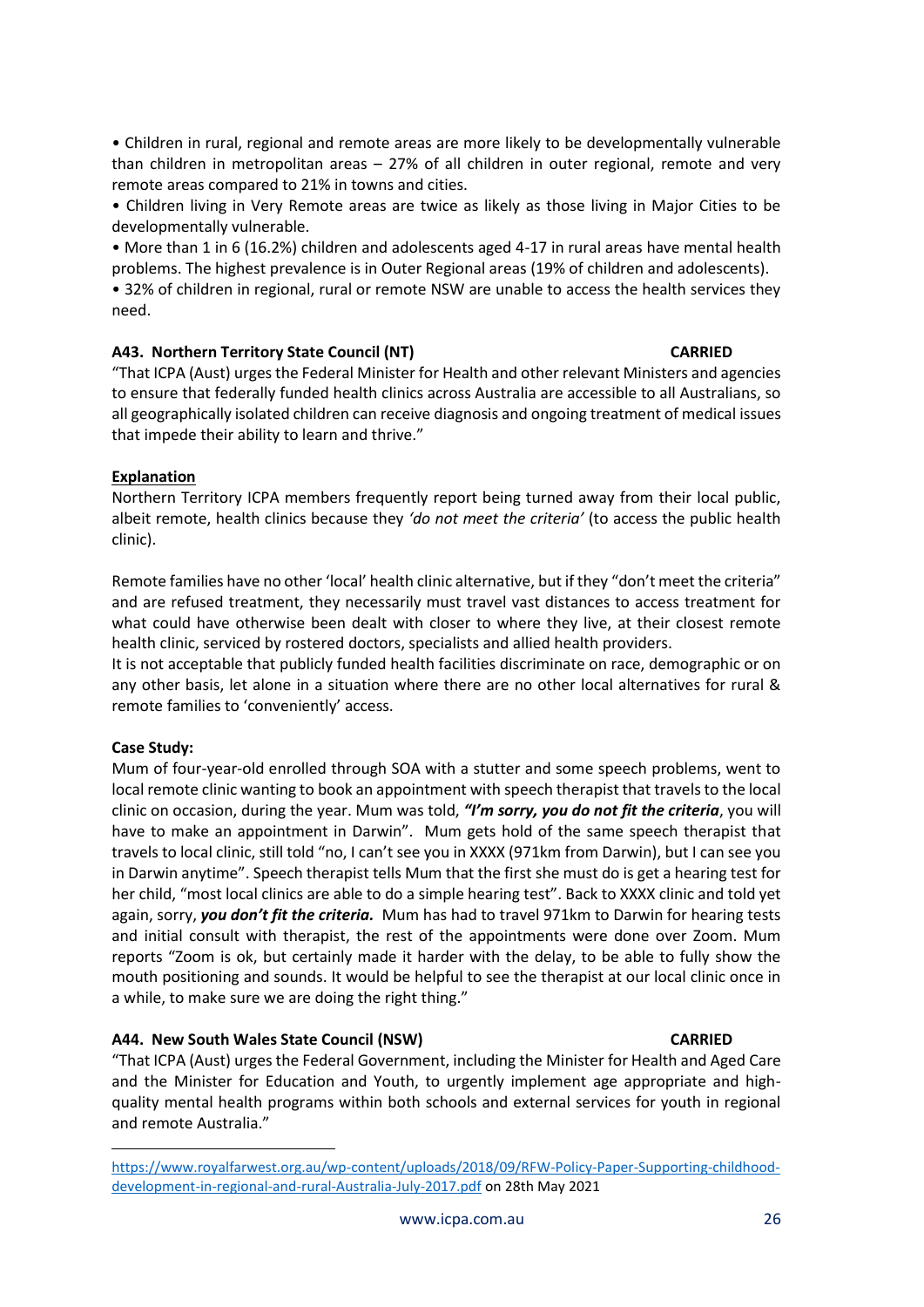• Children in rural, regional and remote areas are more likely to be developmentally vulnerable than children in metropolitan areas – 27% of all children in outer regional, remote and very remote areas compared to 21% in towns and cities.

• Children living in Very Remote areas are twice as likely as those living in Major Cities to be developmentally vulnerable.

• More than 1 in 6 (16.2%) children and adolescents aged 4-17 in rural areas have mental health problems. The highest prevalence is in Outer Regional areas (19% of children and adolescents).

• 32% of children in regional, rural or remote NSW are unable to access the health services they need.

# **A43. Northern Territory State Council (NT) CARRIED**

"That ICPA (Aust) urges the Federal Minister for Health and other relevant Ministers and agencies to ensure that federally funded health clinics across Australia are accessible to all Australians, so all geographically isolated children can receive diagnosis and ongoing treatment of medical issues that impede their ability to learn and thrive."

# **Explanation**

Northern Territory ICPA members frequently report being turned away from their local public, albeit remote, health clinics because they *'do not meet the criteria'* (to access the public health clinic).

Remote families have no other 'local' health clinic alternative, but if they "don't meet the criteria" and are refused treatment, they necessarily must travel vast distances to access treatment for what could have otherwise been dealt with closer to where they live, at their closest remote health clinic, serviced by rostered doctors, specialists and allied health providers.

It is not acceptable that publicly funded health facilities discriminate on race, demographic or on any other basis, let alone in a situation where there are no other local alternatives for rural & remote families to 'conveniently' access.

# **Case Study:**

Mum of four-year-old enrolled through SOA with a stutter and some speech problems, went to local remote clinic wanting to book an appointment with speech therapist that travels to the local clinic on occasion, during the year. Mum was told, *"I'm sorry, you do not fit the criteria*, you will have to make an appointment in Darwin". Mum gets hold of the same speech therapist that travels to local clinic, still told "no, I can't see you in XXXX (971km from Darwin), but I can see you in Darwin anytime". Speech therapist tells Mum that the first she must do is get a hearing test for her child, "most local clinics are able to do a simple hearing test". Back to XXXX clinic and told yet again, sorry, *you don't fit the criteria.* Mum has had to travel 971km to Darwin for hearing tests and initial consult with therapist, the rest of the appointments were done over Zoom. Mum reports "Zoom is ok, but certainly made it harder with the delay, to be able to fully show the mouth positioning and sounds. It would be helpful to see the therapist at our local clinic once in a while, to make sure we are doing the right thing."

# **A44. New South Wales State Council (NSW) CARRIED**

"That ICPA (Aust) urges the Federal Government, including the Minister for Health and Aged Care and the Minister for Education and Youth, to urgently implement age appropriate and highquality mental health programs within both schools and external services for youth in regional and remote Australia."

[https://www.royalfarwest.org.au/wp-content/uploads/2018/09/RFW-Policy-Paper-Supporting-childhood](https://www.royalfarwest.org.au/wp-content/uploads/2018/09/RFW-Policy-Paper-Supporting-childhood-development-in-regional-and-rural-Australia-July-2017.pdf)[development-in-regional-and-rural-Australia-July-2017.pdf](https://www.royalfarwest.org.au/wp-content/uploads/2018/09/RFW-Policy-Paper-Supporting-childhood-development-in-regional-and-rural-Australia-July-2017.pdf) on 28th May 2021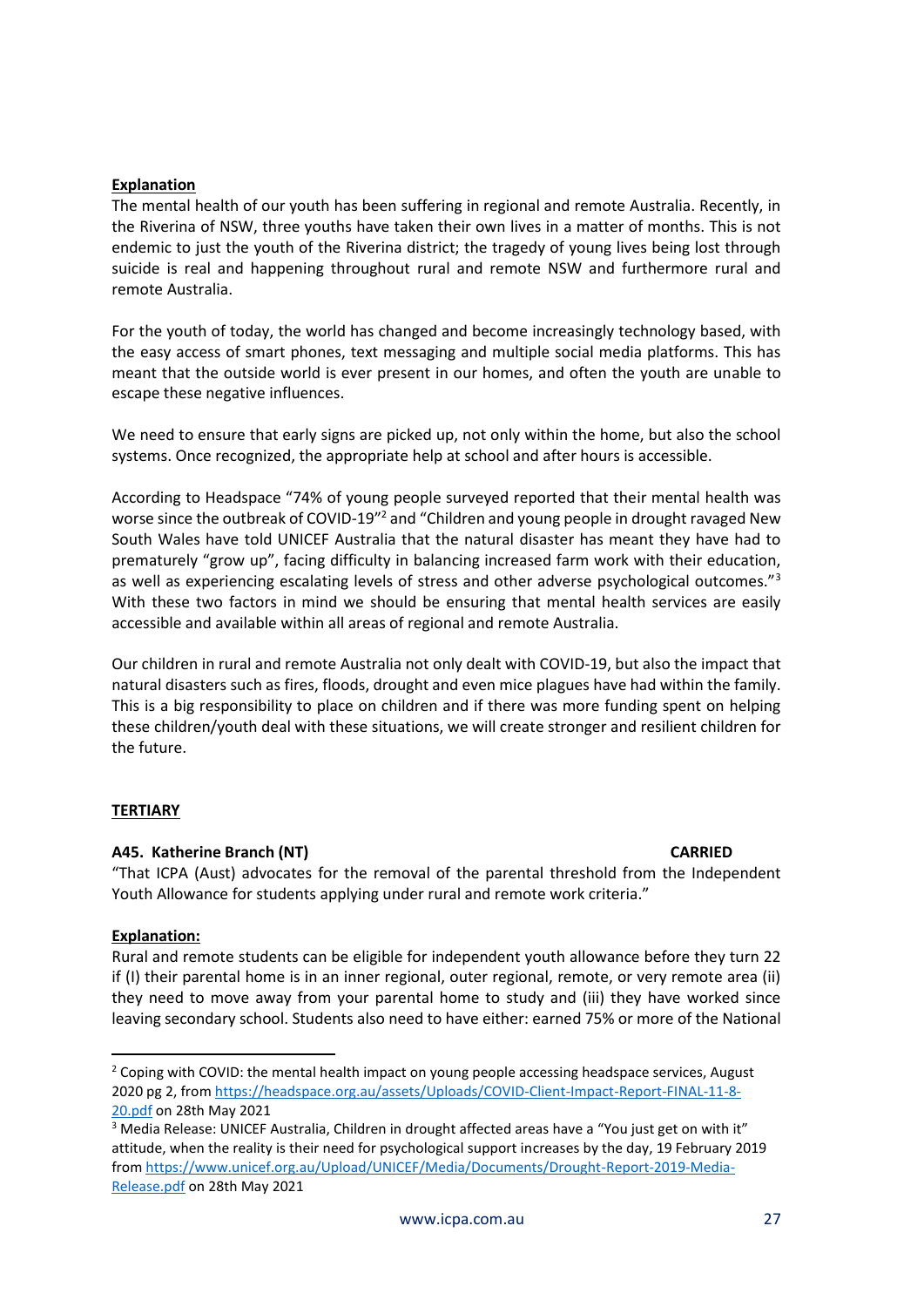### **Explanation**

The mental health of our youth has been suffering in regional and remote Australia. Recently, in the Riverina of NSW, three youths have taken their own lives in a matter of months. This is not endemic to just the youth of the Riverina district; the tragedy of young lives being lost through suicide is real and happening throughout rural and remote NSW and furthermore rural and remote Australia.

For the youth of today, the world has changed and become increasingly technology based, with the easy access of smart phones, text messaging and multiple social media platforms. This has meant that the outside world is ever present in our homes, and often the youth are unable to escape these negative influences.

We need to ensure that early signs are picked up, not only within the home, but also the school systems. Once recognized, the appropriate help at school and after hours is accessible.

According to Headspace "74% of young people surveyed reported that their mental health was worse since the outbreak of COVID-19<sup>"2</sup> and "Children and young people in drought ravaged New South Wales have told UNICEF Australia that the natural disaster has meant they have had to prematurely "grow up", facing difficulty in balancing increased farm work with their education, as well as experiencing escalating levels of stress and other adverse psychological outcomes."<sup>3</sup> With these two factors in mind we should be ensuring that mental health services are easily accessible and available within all areas of regional and remote Australia.

Our children in rural and remote Australia not only dealt with COVID-19, but also the impact that natural disasters such as fires, floods, drought and even mice plagues have had within the family. This is a big responsibility to place on children and if there was more funding spent on helping these children/youth deal with these situations, we will create stronger and resilient children for the future.

# **TERTIARY**

### **A45. Katherine Branch (NT) CARRIED**

"That ICPA (Aust) advocates for the removal of the parental threshold from the Independent Youth Allowance for students applying under rural and remote work criteria."

### **Explanation:**

Rural and remote students can be eligible for independent youth allowance before they turn 22 if (I) their parental home is in an inner regional, outer regional, remote, or very remote area (ii) they need to move away from your parental home to study and (iii) they have worked since leaving secondary school. Students also need to have either: earned 75% or more of the National

<sup>&</sup>lt;sup>2</sup> Coping with COVID: the mental health impact on young people accessing headspace services, August 2020 pg 2, fro[m https://headspace.org.au/assets/Uploads/COVID-Client-Impact-Report-FINAL-11-8-](https://headspace.org.au/assets/Uploads/COVID-Client-Impact-Report-FINAL-11-8-20.pdf) [20.pdf](https://headspace.org.au/assets/Uploads/COVID-Client-Impact-Report-FINAL-11-8-20.pdf) on 28th May 2021

<sup>&</sup>lt;sup>3</sup> Media Release: UNICEF Australia, Children in drought affected areas have a "You just get on with it" attitude, when the reality is their need for psychological support increases by the day, 19 February 2019 from [https://www.unicef.org.au/Upload/UNICEF/Media/Documents/Drought-Report-2019-Media-](https://www.unicef.org.au/Upload/UNICEF/Media/Documents/Drought-Report-2019-Media-Release.pdf)[Release.pdf](https://www.unicef.org.au/Upload/UNICEF/Media/Documents/Drought-Report-2019-Media-Release.pdf) on 28th May 2021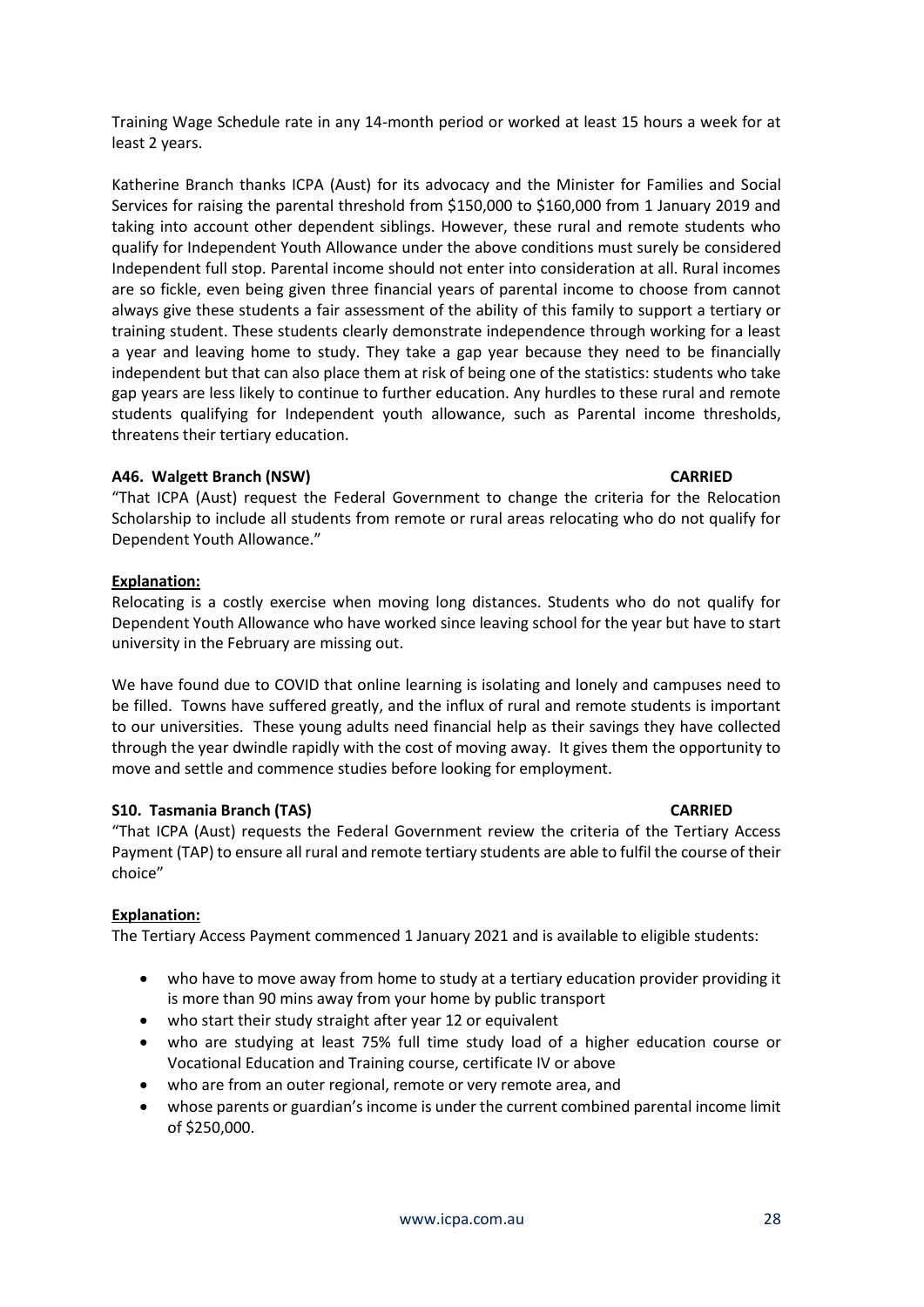Training Wage Schedule rate in any 14-month period or worked at least 15 hours a week for at least 2 years.

Katherine Branch thanks ICPA (Aust) for its advocacy and the Minister for Families and Social Services for raising the parental threshold from \$150,000 to \$160,000 from 1 January 2019 and taking into account other dependent siblings. However, these rural and remote students who qualify for Independent Youth Allowance under the above conditions must surely be considered Independent full stop. Parental income should not enter into consideration at all. Rural incomes are so fickle, even being given three financial years of parental income to choose from cannot always give these students a fair assessment of the ability of this family to support a tertiary or training student. These students clearly demonstrate independence through working for a least a year and leaving home to study. They take a gap year because they need to be financially independent but that can also place them at risk of being one of the statistics: students who take gap years are less likely to continue to further education. Any hurdles to these rural and remote students qualifying for Independent youth allowance, such as Parental income thresholds, threatens their tertiary education.

#### **A46. Walgett Branch (NSW) CARRIED**

"That ICPA (Aust) request the Federal Government to change the criteria for the Relocation Scholarship to include all students from remote or rural areas relocating who do not qualify for Dependent Youth Allowance."

#### **Explanation:**

Relocating is a costly exercise when moving long distances. Students who do not qualify for Dependent Youth Allowance who have worked since leaving school for the year but have to start university in the February are missing out.

We have found due to COVID that online learning is isolating and lonely and campuses need to be filled. Towns have suffered greatly, and the influx of rural and remote students is important to our universities. These young adults need financial help as their savings they have collected through the year dwindle rapidly with the cost of moving away. It gives them the opportunity to move and settle and commence studies before looking for employment.

### **S10. Tasmania Branch (TAS) CARRIED**

"That ICPA (Aust) requests the Federal Government review the criteria of the Tertiary Access Payment (TAP) to ensure all rural and remote tertiary students are able to fulfil the course of their choice"

### **Explanation:**

The Tertiary Access Payment commenced 1 January 2021 and is available to eligible students:

- who have to move away from home to study at a tertiary education provider providing it is more than 90 mins away from your home by public transport
- who start their study straight after year 12 or equivalent
- who are studying at least 75% full time study load of a higher education course or Vocational Education and Training course, certificate IV or above
- who are from an outer regional, remote or very remote area, and
- whose parents or guardian's income is under the current combined parental income limit of \$250,000.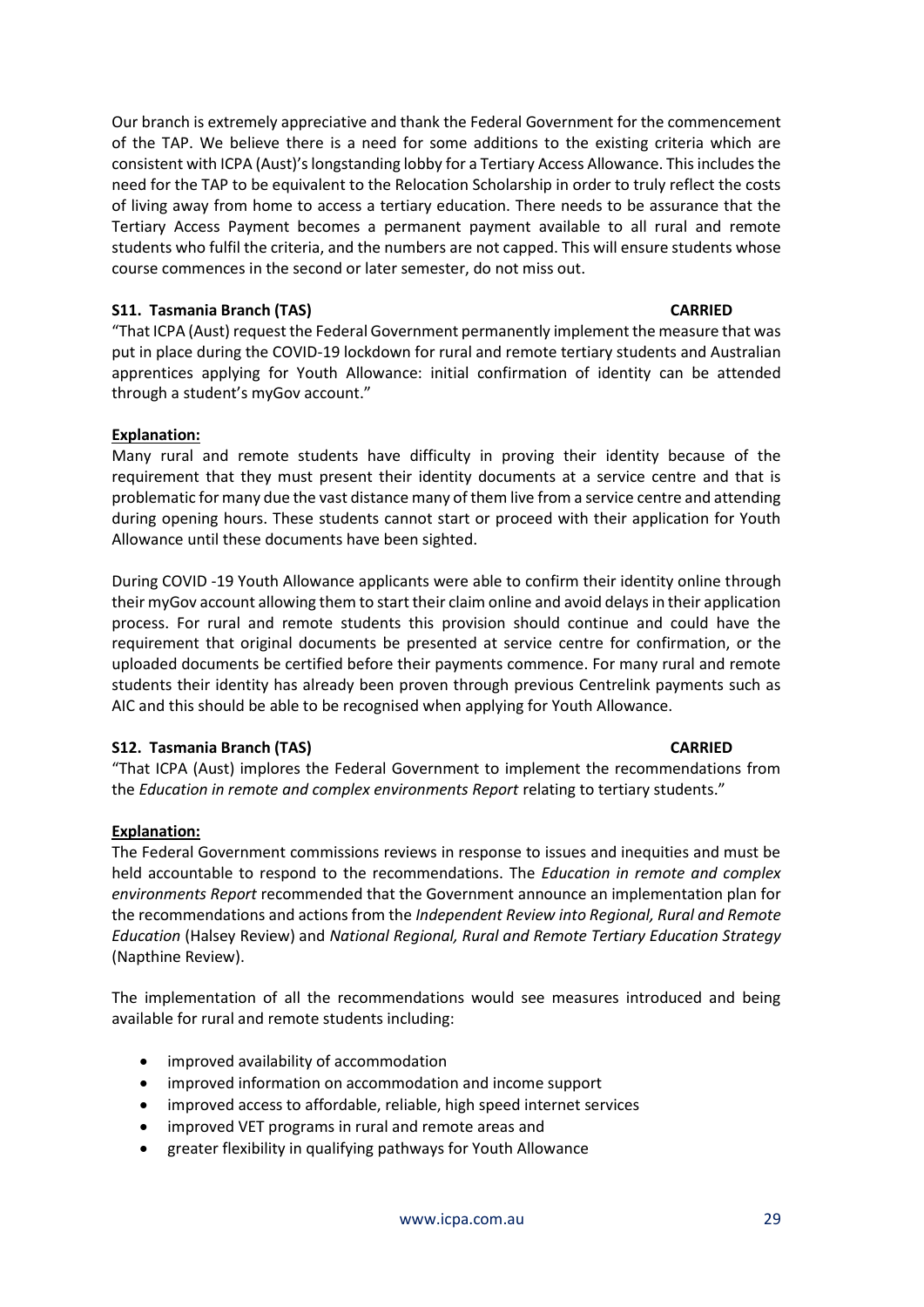Our branch is extremely appreciative and thank the Federal Government for the commencement of the TAP. We believe there is a need for some additions to the existing criteria which are consistent with ICPA (Aust)'s longstanding lobby for a Tertiary Access Allowance. This includes the need for the TAP to be equivalent to the Relocation Scholarship in order to truly reflect the costs of living away from home to access a tertiary education. There needs to be assurance that the Tertiary Access Payment becomes a permanent payment available to all rural and remote students who fulfil the criteria, and the numbers are not capped. This will ensure students whose course commences in the second or later semester, do not miss out.

### **S11. Tasmania Branch (TAS) CARRIED**

"That ICPA (Aust) request the Federal Government permanently implement the measure that was put in place during the COVID-19 lockdown for rural and remote tertiary students and Australian apprentices applying for Youth Allowance: initial confirmation of identity can be attended through a student's myGov account."

# **Explanation:**

Many rural and remote students have difficulty in proving their identity because of the requirement that they must present their identity documents at a service centre and that is problematic for many due the vast distance many of them live from a service centre and attending during opening hours. These students cannot start or proceed with their application for Youth Allowance until these documents have been sighted.

During COVID -19 Youth Allowance applicants were able to confirm their identity online through their myGov account allowing them to start their claim online and avoid delays in their application process. For rural and remote students this provision should continue and could have the requirement that original documents be presented at service centre for confirmation, or the uploaded documents be certified before their payments commence. For many rural and remote students their identity has already been proven through previous Centrelink payments such as AIC and this should be able to be recognised when applying for Youth Allowance.

### **S12. Tasmania Branch (TAS) CARRIED**

"That ICPA (Aust) implores the Federal Government to implement the recommendations from the *Education in remote and complex environments Report* relating to tertiary students."

# **Explanation:**

The Federal Government commissions reviews in response to issues and inequities and must be held accountable to respond to the recommendations. The *Education in remote and complex environments Report* recommended that the Government announce an implementation plan for the recommendations and actions from the *Independent Review into Regional, Rural and Remote Education* (Halsey Review) and *National Regional, Rural and Remote Tertiary Education Strategy* (Napthine Review).

The implementation of all the recommendations would see measures introduced and being available for rural and remote students including:

- improved availability of accommodation
- improved information on accommodation and income support
- improved access to affordable, reliable, high speed internet services
- improved VET programs in rural and remote areas and
- greater flexibility in qualifying pathways for Youth Allowance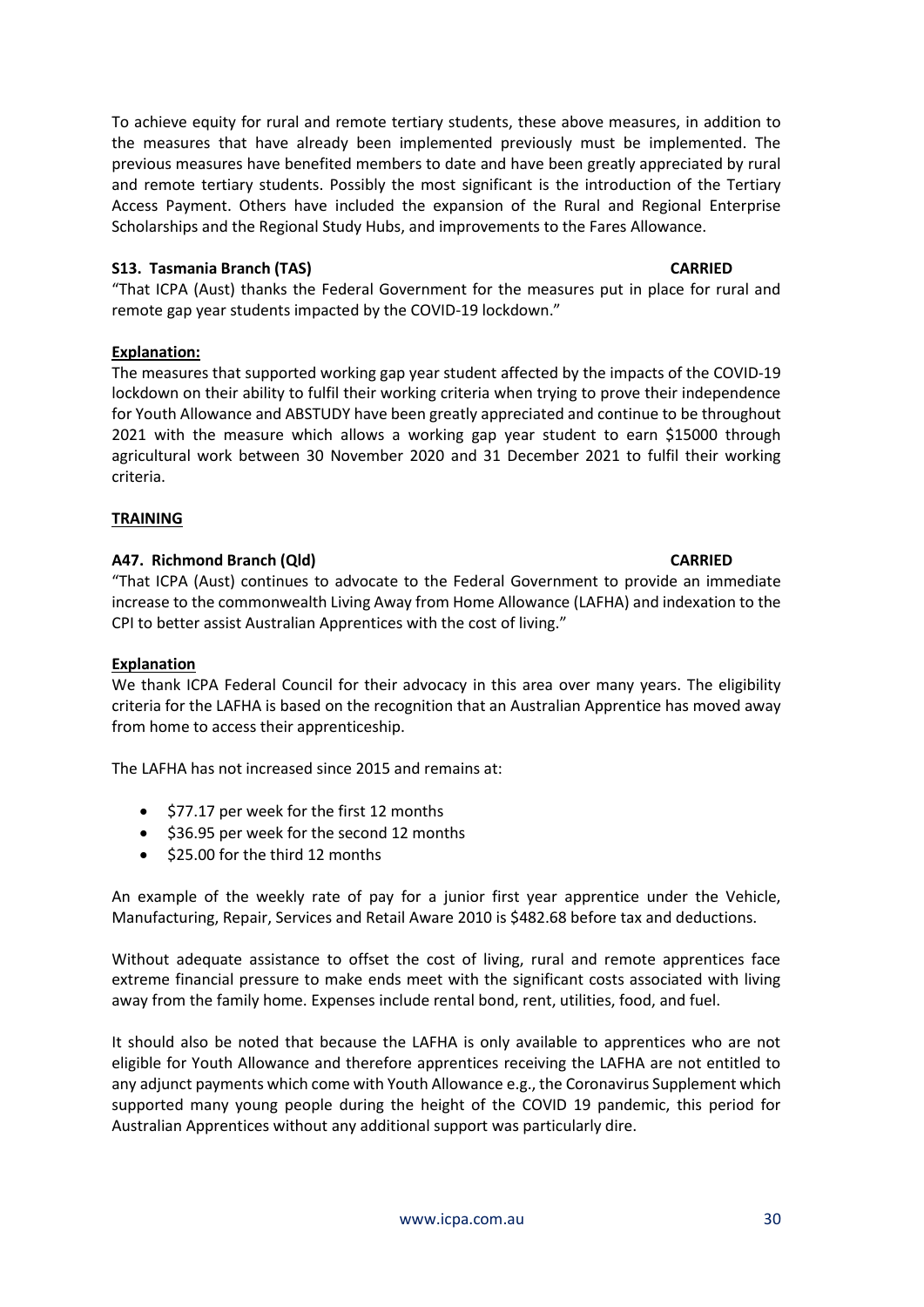To achieve equity for rural and remote tertiary students, these above measures, in addition to the measures that have already been implemented previously must be implemented. The previous measures have benefited members to date and have been greatly appreciated by rural and remote tertiary students. Possibly the most significant is the introduction of the Tertiary Access Payment. Others have included the expansion of the Rural and Regional Enterprise Scholarships and the Regional Study Hubs, and improvements to the Fares Allowance.

# **S13. Tasmania Branch (TAS) CARRIED**

"That ICPA (Aust) thanks the Federal Government for the measures put in place for rural and remote gap year students impacted by the COVID-19 lockdown."

# **Explanation:**

The measures that supported working gap year student affected by the impacts of the COVID-19 lockdown on their ability to fulfil their working criteria when trying to prove their independence for Youth Allowance and ABSTUDY have been greatly appreciated and continue to be throughout 2021 with the measure which allows a working gap year student to earn \$15000 through agricultural work between 30 November 2020 and 31 December 2021 to fulfil their working criteria.

# **TRAINING**

# **A47. Richmond Branch (Qld) CARRIED**

"That ICPA (Aust) continues to advocate to the Federal Government to provide an immediate increase to the commonwealth Living Away from Home Allowance (LAFHA) and indexation to the CPI to better assist Australian Apprentices with the cost of living."

### **Explanation**

We thank ICPA Federal Council for their advocacy in this area over many years. The eligibility criteria for the LAFHA is based on the recognition that an Australian Apprentice has moved away from home to access their apprenticeship.

The LAFHA has not increased since 2015 and remains at:

- \$77.17 per week for the first 12 months
- \$36.95 per week for the second 12 months
- \$25.00 for the third 12 months

An example of the weekly rate of pay for a junior first year apprentice under the Vehicle, Manufacturing, Repair, Services and Retail Aware 2010 is \$482.68 before tax and deductions.

Without adequate assistance to offset the cost of living, rural and remote apprentices face extreme financial pressure to make ends meet with the significant costs associated with living away from the family home. Expenses include rental bond, rent, utilities, food, and fuel.

It should also be noted that because the LAFHA is only available to apprentices who are not eligible for Youth Allowance and therefore apprentices receiving the LAFHA are not entitled to any adjunct payments which come with Youth Allowance e.g., the Coronavirus Supplement which supported many young people during the height of the COVID 19 pandemic, this period for Australian Apprentices without any additional support was particularly dire.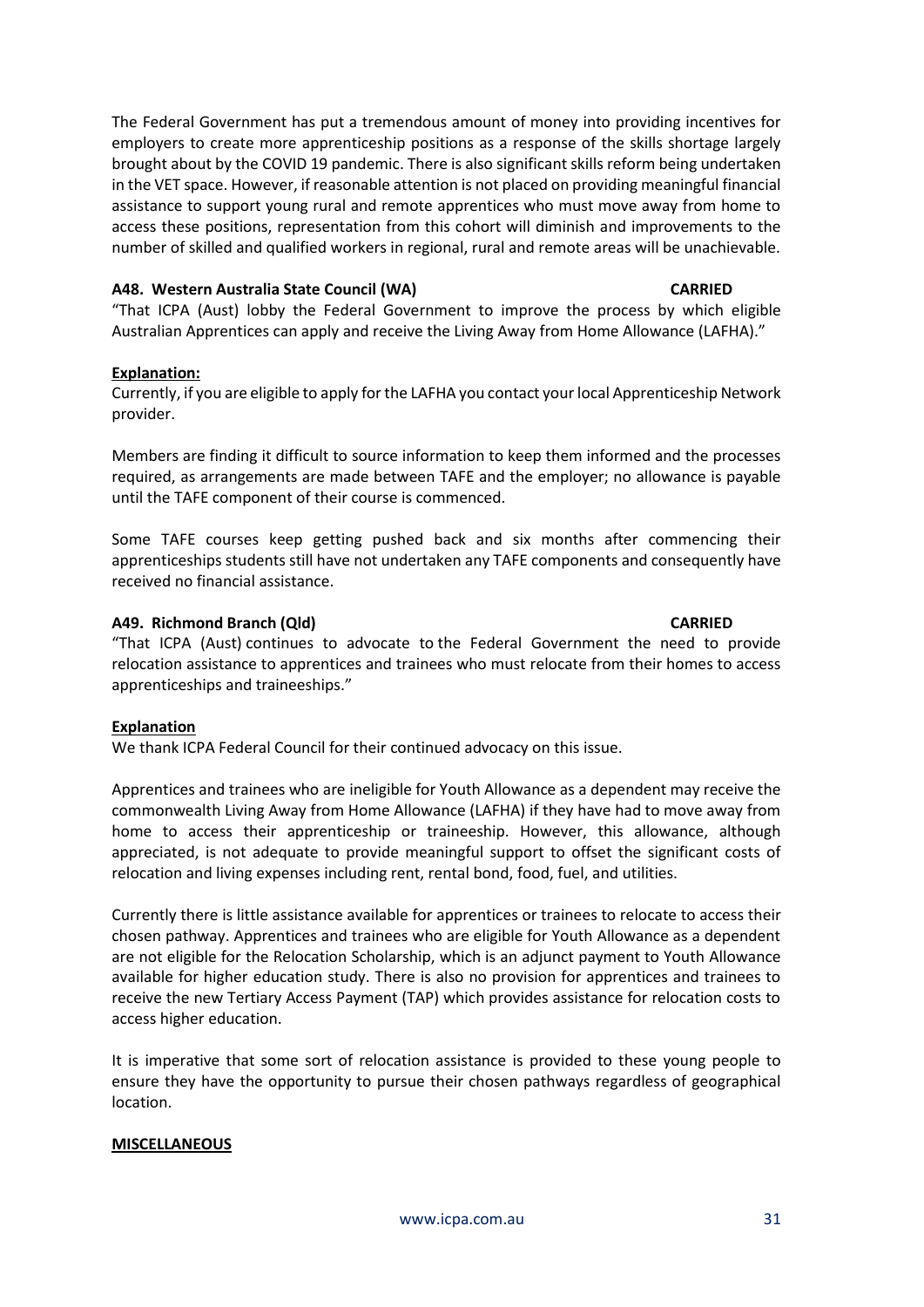The Federal Government has put a tremendous amount of money into providing incentives for employers to create more apprenticeship positions as a response of the skills shortage largely brought about by the COVID 19 pandemic. There is also significant skills reform being undertaken in the VET space. However, if reasonable attention is not placed on providing meaningful financial assistance to support young rural and remote apprentices who must move away from home to access these positions, representation from this cohort will diminish and improvements to the number of skilled and qualified workers in regional, rural and remote areas will be unachievable.

### **A48. Western Australia State Council (WA) CARRIED**

"That ICPA (Aust) lobby the Federal Government to improve the process by which eligible Australian Apprentices can apply and receive the Living Away from Home Allowance (LAFHA)."

#### **Explanation:**

Currently, if you are eligible to apply for the LAFHA you contact your local Apprenticeship Network provider.

Members are finding it difficult to source information to keep them informed and the processes required, as arrangements are made between TAFE and the employer; no allowance is payable until the TAFE component of their course is commenced.

Some TAFE courses keep getting pushed back and six months after commencing their apprenticeships students still have not undertaken any TAFE components and consequently have received no financial assistance.

#### **A49. Richmond Branch (Qld) CARRIED**

"That ICPA (Aust) continues to advocate to the Federal Government the need to provide relocation assistance to apprentices and trainees who must relocate from their homes to access apprenticeships and traineeships."

### **Explanation**

We thank ICPA Federal Council for their continued advocacy on this issue.

Apprentices and trainees who are ineligible for Youth Allowance as a dependent may receive the commonwealth Living Away from Home Allowance (LAFHA) if they have had to move away from home to access their apprenticeship or traineeship. However, this allowance, although appreciated, is not adequate to provide meaningful support to offset the significant costs of relocation and living expenses including rent, rental bond, food, fuel, and utilities.

Currently there is little assistance available for apprentices or trainees to relocate to access their chosen pathway. Apprentices and trainees who are eligible for Youth Allowance as a dependent are not eligible for the Relocation Scholarship, which is an adjunct payment to Youth Allowance available for higher education study. There is also no provision for apprentices and trainees to receive the new Tertiary Access Payment (TAP) which provides assistance for relocation costs to access higher education.

It is imperative that some sort of relocation assistance is provided to these young people to ensure they have the opportunity to pursue their chosen pathways regardless of geographical location.

#### **MISCELLANEOUS**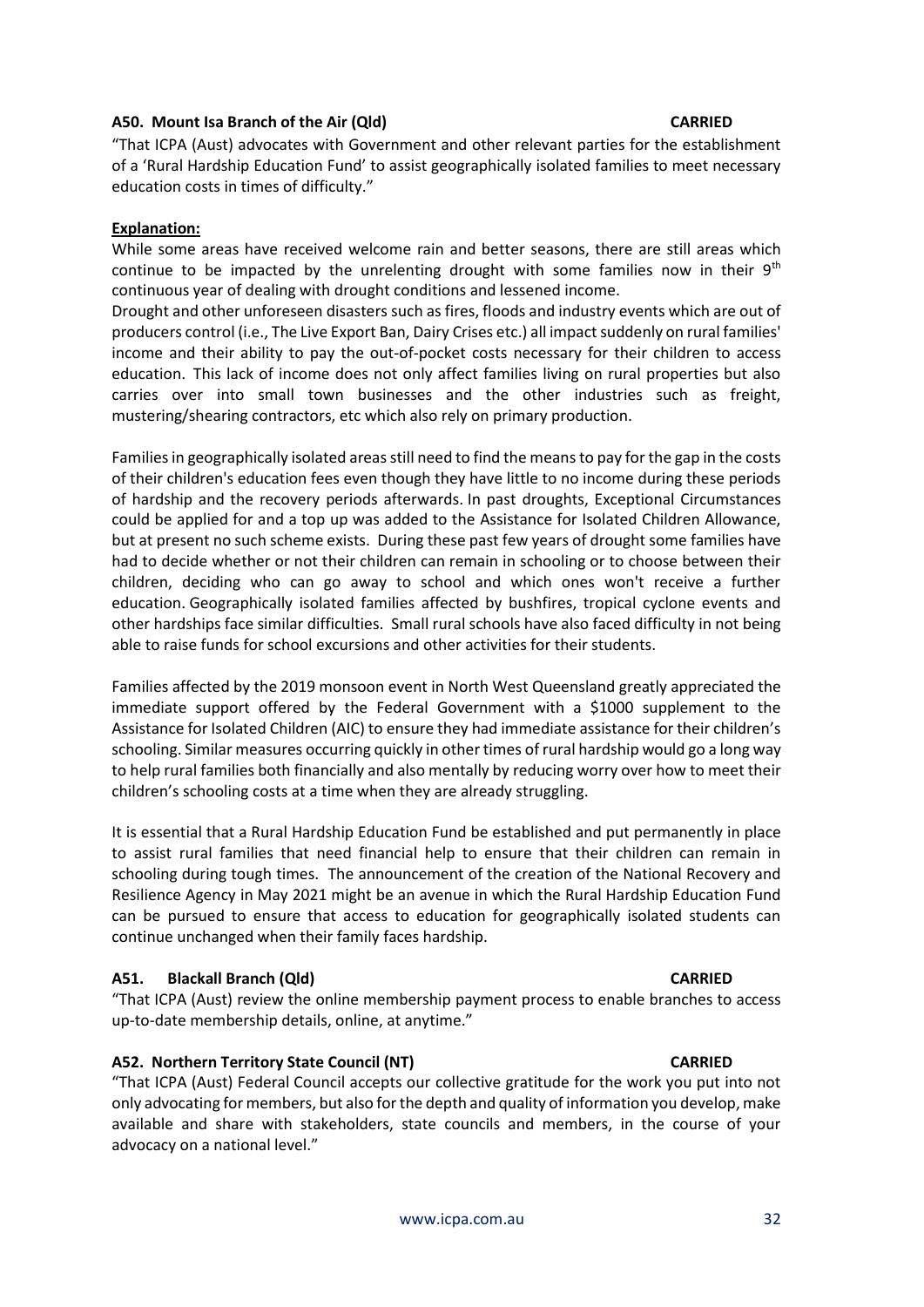## **A50. Mount Isa Branch of the Air (Qld) CARRIED**

"That ICPA (Aust) advocates with Government and other relevant parties for the establishment of a 'Rural Hardship Education Fund' to assist geographically isolated families to meet necessary education costs in times of difficulty."

# **Explanation:**

While some areas have received welcome rain and better seasons, there are still areas which continue to be impacted by the unrelenting drought with some families now in their  $9<sup>th</sup>$ continuous year of dealing with drought conditions and lessened income.

Drought and other unforeseen disasters such as fires, floods and industry events which are out of producers control (i.e., The Live Export Ban, Dairy Crises etc.) all impact suddenly on rural families' income and their ability to pay the out-of-pocket costs necessary for their children to access education. This lack of income does not only affect families living on rural properties but also carries over into small town businesses and the other industries such as freight, mustering/shearing contractors, etc which also rely on primary production.

Families in geographically isolated areas still need to find the means to pay for the gap in the costs of their children's education fees even though they have little to no income during these periods of hardship and the recovery periods afterwards. In past droughts, Exceptional Circumstances could be applied for and a top up was added to the Assistance for Isolated Children Allowance, but at present no such scheme exists. During these past few years of drought some families have had to decide whether or not their children can remain in schooling or to choose between their children, deciding who can go away to school and which ones won't receive a further education. Geographically isolated families affected by bushfires, tropical cyclone events and other hardships face similar difficulties. Small rural schools have also faced difficulty in not being able to raise funds for school excursions and other activities for their students.

Families affected by the 2019 monsoon event in North West Queensland greatly appreciated the immediate support offered by the Federal Government with a \$1000 supplement to the Assistance for Isolated Children (AIC) to ensure they had immediate assistance for their children's schooling. Similar measures occurring quickly in other times of rural hardship would go a long way to help rural families both financially and also mentally by reducing worry over how to meet their children's schooling costs at a time when they are already struggling.

It is essential that a Rural Hardship Education Fund be established and put permanently in place to assist rural families that need financial help to ensure that their children can remain in schooling during tough times. The announcement of the creation of the National Recovery and Resilience Agency in May 2021 might be an avenue in which the Rural Hardship Education Fund can be pursued to ensure that access to education for geographically isolated students can continue unchanged when their family faces hardship.

# **A51. Blackall Branch (Qld) CARRIED**

"That ICPA (Aust) review the online membership payment process to enable branches to access up-to-date membership details, online, at anytime."

# **A52. Northern Territory State Council (NT) CARRIED**

"That ICPA (Aust) Federal Council accepts our collective gratitude for the work you put into not only advocating for members, but also for the depth and quality of information you develop, make available and share with stakeholders, state councils and members, in the course of your advocacy on a national level."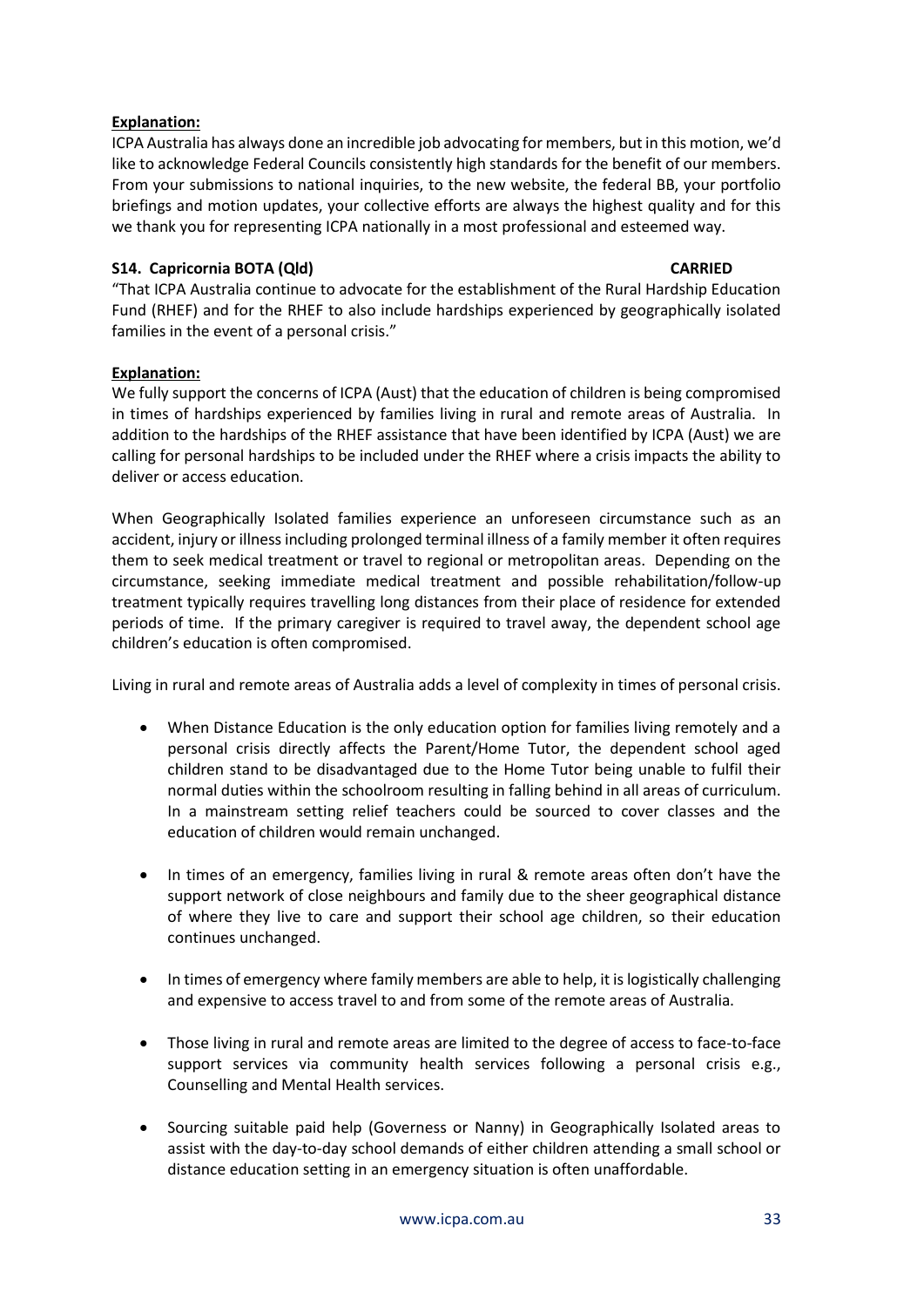# **Explanation:**

ICPA Australia has always done an incredible job advocating for members, but in this motion, we'd like to acknowledge Federal Councils consistently high standards for the benefit of our members. From your submissions to national inquiries, to the new website, the federal BB, your portfolio briefings and motion updates, your collective efforts are always the highest quality and for this we thank you for representing ICPA nationally in a most professional and esteemed way.

# **S14. Capricornia BOTA (Qld) CARRIED**

"That ICPA Australia continue to advocate for the establishment of the Rural Hardship Education Fund (RHEF) and for the RHEF to also include hardships experienced by geographically isolated families in the event of a personal crisis."

# **Explanation:**

We fully support the concerns of ICPA (Aust) that the education of children is being compromised in times of hardships experienced by families living in rural and remote areas of Australia. In addition to the hardships of the RHEF assistance that have been identified by ICPA (Aust) we are calling for personal hardships to be included under the RHEF where a crisis impacts the ability to deliver or access education.

When Geographically Isolated families experience an unforeseen circumstance such as an accident, injury or illness including prolonged terminal illness of a family member it often requires them to seek medical treatment or travel to regional or metropolitan areas. Depending on the circumstance, seeking immediate medical treatment and possible rehabilitation/follow-up treatment typically requires travelling long distances from their place of residence for extended periods of time. If the primary caregiver is required to travel away, the dependent school age children's education is often compromised.

Living in rural and remote areas of Australia adds a level of complexity in times of personal crisis.

- When Distance Education is the only education option for families living remotely and a personal crisis directly affects the Parent/Home Tutor, the dependent school aged children stand to be disadvantaged due to the Home Tutor being unable to fulfil their normal duties within the schoolroom resulting in falling behind in all areas of curriculum. In a mainstream setting relief teachers could be sourced to cover classes and the education of children would remain unchanged.
- In times of an emergency, families living in rural & remote areas often don't have the support network of close neighbours and family due to the sheer geographical distance of where they live to care and support their school age children, so their education continues unchanged.
- In times of emergency where family members are able to help, it is logistically challenging and expensive to access travel to and from some of the remote areas of Australia.
- Those living in rural and remote areas are limited to the degree of access to face-to-face support services via community health services following a personal crisis e.g., Counselling and Mental Health services.
- Sourcing suitable paid help (Governess or Nanny) in Geographically Isolated areas to assist with the day-to-day school demands of either children attending a small school or distance education setting in an emergency situation is often unaffordable.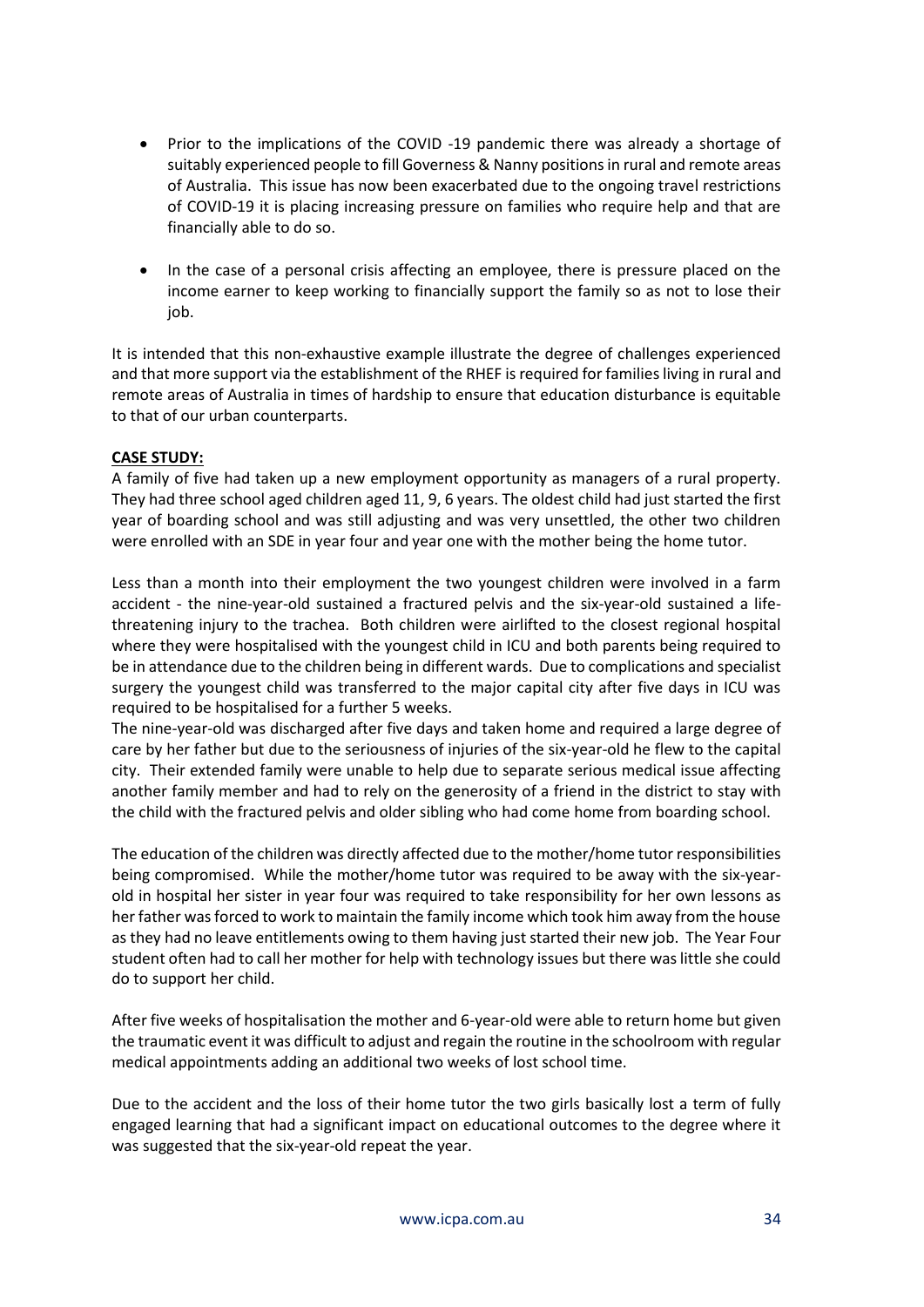- Prior to the implications of the COVID -19 pandemic there was already a shortage of suitably experienced people to fill Governess & Nanny positions in rural and remote areas of Australia. This issue has now been exacerbated due to the ongoing travel restrictions of COVID-19 it is placing increasing pressure on families who require help and that are financially able to do so.
- In the case of a personal crisis affecting an employee, there is pressure placed on the income earner to keep working to financially support the family so as not to lose their job.

It is intended that this non-exhaustive example illustrate the degree of challenges experienced and that more support via the establishment of the RHEF is required for families living in rural and remote areas of Australia in times of hardship to ensure that education disturbance is equitable to that of our urban counterparts.

# **CASE STUDY:**

A family of five had taken up a new employment opportunity as managers of a rural property. They had three school aged children aged 11, 9, 6 years. The oldest child had just started the first year of boarding school and was still adjusting and was very unsettled, the other two children were enrolled with an SDE in year four and year one with the mother being the home tutor.

Less than a month into their employment the two youngest children were involved in a farm accident - the nine-year-old sustained a fractured pelvis and the six-year-old sustained a lifethreatening injury to the trachea. Both children were airlifted to the closest regional hospital where they were hospitalised with the youngest child in ICU and both parents being required to be in attendance due to the children being in different wards. Due to complications and specialist surgery the youngest child was transferred to the major capital city after five days in ICU was required to be hospitalised for a further 5 weeks.

The nine-year-old was discharged after five days and taken home and required a large degree of care by her father but due to the seriousness of injuries of the six-year-old he flew to the capital city. Their extended family were unable to help due to separate serious medical issue affecting another family member and had to rely on the generosity of a friend in the district to stay with the child with the fractured pelvis and older sibling who had come home from boarding school.

The education of the children was directly affected due to the mother/home tutor responsibilities being compromised. While the mother/home tutor was required to be away with the six-yearold in hospital her sister in year four was required to take responsibility for her own lessons as her father was forced to work to maintain the family income which took him away from the house as they had no leave entitlements owing to them having just started their new job. The Year Four student often had to call her mother for help with technology issues but there was little she could do to support her child.

After five weeks of hospitalisation the mother and 6-year-old were able to return home but given the traumatic event it was difficult to adjust and regain the routine in the schoolroom with regular medical appointments adding an additional two weeks of lost school time.

Due to the accident and the loss of their home tutor the two girls basically lost a term of fully engaged learning that had a significant impact on educational outcomes to the degree where it was suggested that the six-year-old repeat the year.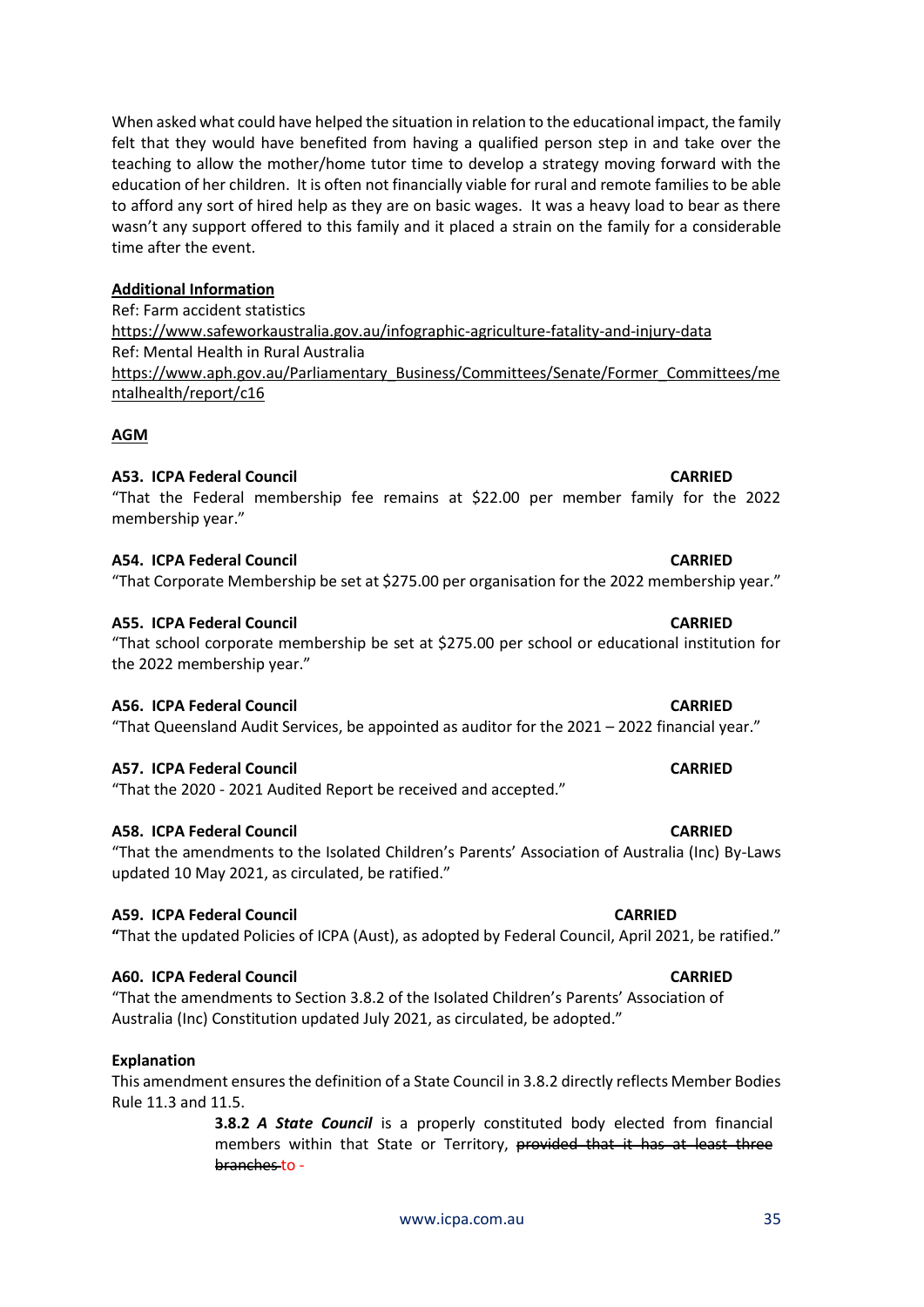When asked what could have helped the situation in relation to the educational impact, the family felt that they would have benefited from having a qualified person step in and take over the teaching to allow the mother/home tutor time to develop a strategy moving forward with the education of her children. It is often not financially viable for rural and remote families to be able to afford any sort of hired help as they are on basic wages. It was a heavy load to bear as there wasn't any support offered to this family and it placed a strain on the family for a considerable time after the event.

#### **Additional Information**

Ref: Farm accident statistics <https://www.safeworkaustralia.gov.au/infographic-agriculture-fatality-and-injury-data> Ref: Mental Health in Rural Australia [https://www.aph.gov.au/Parliamentary\\_Business/Committees/Senate/Former\\_Committees/me](https://www.aph.gov.au/Parliamentary_Business/Committees/Senate/Former_Committees/mentalhealth/report/c16) [ntalhealth/report/c16](https://www.aph.gov.au/Parliamentary_Business/Committees/Senate/Former_Committees/mentalhealth/report/c16)

#### **AGM**

#### **A53. ICPA Federal Council CARRIED**

#### **A54. ICPA Federal Council CARRIED**

membership year."

"That Corporate Membership be set at \$275.00 per organisation for the 2022 membership year."

"That the Federal membership fee remains at \$22.00 per member family for the 2022

#### **A55. ICPA Federal Council CARRIED**

### "That school corporate membership be set at \$275.00 per school or educational institution for the 2022 membership year."

#### **A56. ICPA Federal Council CARRIED**

"That Queensland Audit Services, be appointed as auditor for the 2021 – 2022 financial year."

#### **A57. ICPA Federal Council CARRIED**

"That the 2020 - 2021 Audited Report be received and accepted."

#### **A58. ICPA Federal Council CARRIED**

# "That the amendments to the Isolated Children's Parents' Association of Australia (Inc) By-Laws updated 10 May 2021, as circulated, be ratified."

#### **A59. ICPA Federal Council CARRIED**

**"**That the updated Policies of ICPA (Aust), as adopted by Federal Council, April 2021, be ratified."

# **A60. ICPA Federal Council CARRIED**

"That the amendments to Section 3.8.2 of the Isolated Children's Parents' Association of Australia (Inc) Constitution updated July 2021, as circulated, be adopted."

#### **Explanation**

### This amendment ensures the definition of a State Council in 3.8.2 directly reflects Member Bodies Rule 11.3 and 11.5.

**3.8.2** *A State Council* is a properly constituted body elected from financial members within that State or Territory, provided that it has at least three branches to -